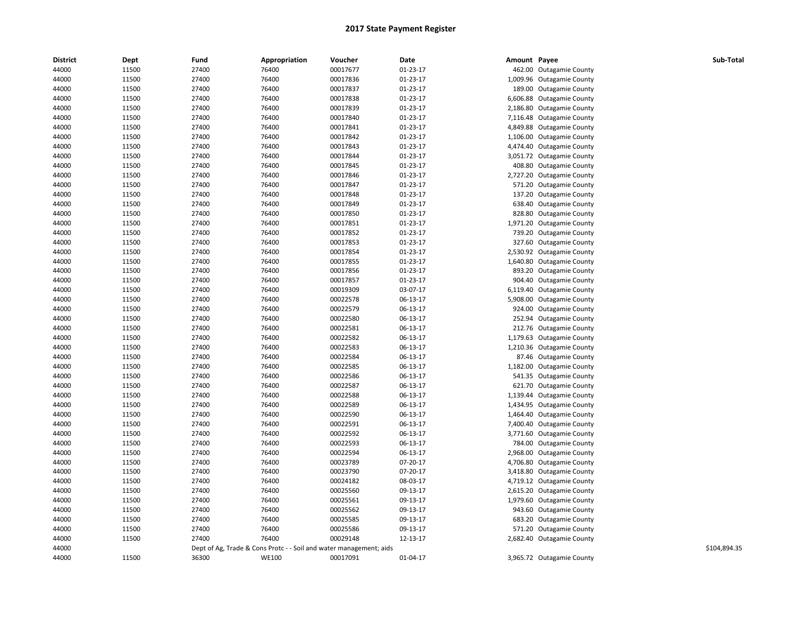| <b>District</b> | Dept  | Fund  | Appropriation                                                      | Voucher  | Date     | Amount Payee |                           | Sub-Total    |
|-----------------|-------|-------|--------------------------------------------------------------------|----------|----------|--------------|---------------------------|--------------|
| 44000           | 11500 | 27400 | 76400                                                              | 00017677 | 01-23-17 |              | 462.00 Outagamie County   |              |
| 44000           | 11500 | 27400 | 76400                                                              | 00017836 | 01-23-17 |              | 1,009.96 Outagamie County |              |
| 44000           | 11500 | 27400 | 76400                                                              | 00017837 | 01-23-17 |              | 189.00 Outagamie County   |              |
| 44000           | 11500 | 27400 | 76400                                                              | 00017838 | 01-23-17 |              | 6,606.88 Outagamie County |              |
| 44000           | 11500 | 27400 | 76400                                                              | 00017839 | 01-23-17 |              | 2,186.80 Outagamie County |              |
| 44000           | 11500 | 27400 | 76400                                                              | 00017840 | 01-23-17 |              | 7,116.48 Outagamie County |              |
| 44000           | 11500 | 27400 | 76400                                                              | 00017841 | 01-23-17 |              | 4,849.88 Outagamie County |              |
| 44000           | 11500 | 27400 | 76400                                                              | 00017842 | 01-23-17 |              | 1,106.00 Outagamie County |              |
| 44000           | 11500 | 27400 | 76400                                                              | 00017843 | 01-23-17 |              | 4,474.40 Outagamie County |              |
| 44000           | 11500 | 27400 | 76400                                                              | 00017844 | 01-23-17 |              | 3,051.72 Outagamie County |              |
| 44000           | 11500 | 27400 | 76400                                                              | 00017845 | 01-23-17 | 408.80       | Outagamie County          |              |
| 44000           | 11500 | 27400 | 76400                                                              | 00017846 | 01-23-17 |              | 2,727.20 Outagamie County |              |
| 44000           | 11500 | 27400 | 76400                                                              | 00017847 | 01-23-17 | 571.20       | <b>Outagamie County</b>   |              |
| 44000           | 11500 | 27400 | 76400                                                              | 00017848 | 01-23-17 |              | 137.20 Outagamie County   |              |
| 44000           | 11500 | 27400 | 76400                                                              | 00017849 | 01-23-17 | 638.40       | Outagamie County          |              |
| 44000           | 11500 | 27400 | 76400                                                              | 00017850 | 01-23-17 | 828.80       | Outagamie County          |              |
| 44000           | 11500 | 27400 | 76400                                                              | 00017851 | 01-23-17 |              | 1,971.20 Outagamie County |              |
| 44000           | 11500 | 27400 | 76400                                                              | 00017852 | 01-23-17 |              | 739.20 Outagamie County   |              |
| 44000           | 11500 | 27400 | 76400                                                              | 00017853 | 01-23-17 |              | 327.60 Outagamie County   |              |
| 44000           | 11500 | 27400 | 76400                                                              | 00017854 | 01-23-17 | 2,530.92     | Outagamie County          |              |
| 44000           | 11500 | 27400 | 76400                                                              | 00017855 | 01-23-17 | 1,640.80     | <b>Outagamie County</b>   |              |
| 44000           | 11500 | 27400 | 76400                                                              | 00017856 | 01-23-17 |              | 893.20 Outagamie County   |              |
| 44000           | 11500 | 27400 | 76400                                                              | 00017857 | 01-23-17 |              | 904.40 Outagamie County   |              |
| 44000           | 11500 | 27400 | 76400                                                              | 00019309 | 03-07-17 |              | 6,119.40 Outagamie County |              |
| 44000           | 11500 | 27400 | 76400                                                              | 00022578 | 06-13-17 | 5,908.00     | <b>Outagamie County</b>   |              |
| 44000           | 11500 | 27400 | 76400                                                              | 00022579 | 06-13-17 | 924.00       | <b>Outagamie County</b>   |              |
| 44000           | 11500 | 27400 | 76400                                                              | 00022580 | 06-13-17 |              | 252.94 Outagamie County   |              |
| 44000           | 11500 | 27400 | 76400                                                              | 00022581 | 06-13-17 | 212.76       | Outagamie County          |              |
| 44000           | 11500 | 27400 | 76400                                                              | 00022582 | 06-13-17 |              | 1,179.63 Outagamie County |              |
| 44000           | 11500 | 27400 | 76400                                                              | 00022583 | 06-13-17 |              | 1,210.36 Outagamie County |              |
| 44000           | 11500 | 27400 | 76400                                                              | 00022584 | 06-13-17 |              | 87.46 Outagamie County    |              |
| 44000           | 11500 | 27400 | 76400                                                              | 00022585 | 06-13-17 | 1,182.00     | <b>Outagamie County</b>   |              |
| 44000           | 11500 | 27400 | 76400                                                              | 00022586 | 06-13-17 |              | 541.35 Outagamie County   |              |
| 44000           | 11500 | 27400 | 76400                                                              | 00022587 | 06-13-17 |              | 621.70 Outagamie County   |              |
| 44000           | 11500 | 27400 | 76400                                                              | 00022588 | 06-13-17 | 1,139.44     | <b>Outagamie County</b>   |              |
| 44000           | 11500 | 27400 | 76400                                                              | 00022589 | 06-13-17 |              | 1,434.95 Outagamie County |              |
| 44000           | 11500 | 27400 | 76400                                                              | 00022590 | 06-13-17 |              | 1,464.40 Outagamie County |              |
| 44000           | 11500 | 27400 | 76400                                                              | 00022591 | 06-13-17 |              | 7,400.40 Outagamie County |              |
| 44000           | 11500 | 27400 | 76400                                                              | 00022592 | 06-13-17 |              | 3,771.60 Outagamie County |              |
| 44000           | 11500 | 27400 | 76400                                                              | 00022593 | 06-13-17 |              | 784.00 Outagamie County   |              |
| 44000           | 11500 | 27400 | 76400                                                              | 00022594 | 06-13-17 |              | 2,968.00 Outagamie County |              |
| 44000           | 11500 | 27400 | 76400                                                              | 00023789 | 07-20-17 | 4,706.80     | <b>Outagamie County</b>   |              |
| 44000           | 11500 | 27400 | 76400                                                              | 00023790 | 07-20-17 |              | 3,418.80 Outagamie County |              |
| 44000           | 11500 | 27400 | 76400                                                              | 00024182 | 08-03-17 |              | 4,719.12 Outagamie County |              |
| 44000           | 11500 | 27400 | 76400                                                              | 00025560 | 09-13-17 |              | 2,615.20 Outagamie County |              |
| 44000           | 11500 | 27400 | 76400                                                              | 00025561 | 09-13-17 |              | 1,979.60 Outagamie County |              |
| 44000           | 11500 | 27400 | 76400                                                              | 00025562 | 09-13-17 |              | 943.60 Outagamie County   |              |
| 44000           | 11500 | 27400 | 76400                                                              | 00025585 | 09-13-17 |              | 683.20 Outagamie County   |              |
| 44000           | 11500 | 27400 | 76400                                                              | 00025586 | 09-13-17 |              | 571.20 Outagamie County   |              |
| 44000           | 11500 | 27400 | 76400                                                              | 00029148 | 12-13-17 |              | 2,682.40 Outagamie County |              |
| 44000           |       |       | Dept of Ag, Trade & Cons Protc - - Soil and water management; aids |          |          |              |                           | \$104,894.35 |
| 44000           | 11500 | 36300 | <b>WE100</b>                                                       | 00017091 | 01-04-17 |              | 3,965.72 Outagamie County |              |
|                 |       |       |                                                                    |          |          |              |                           |              |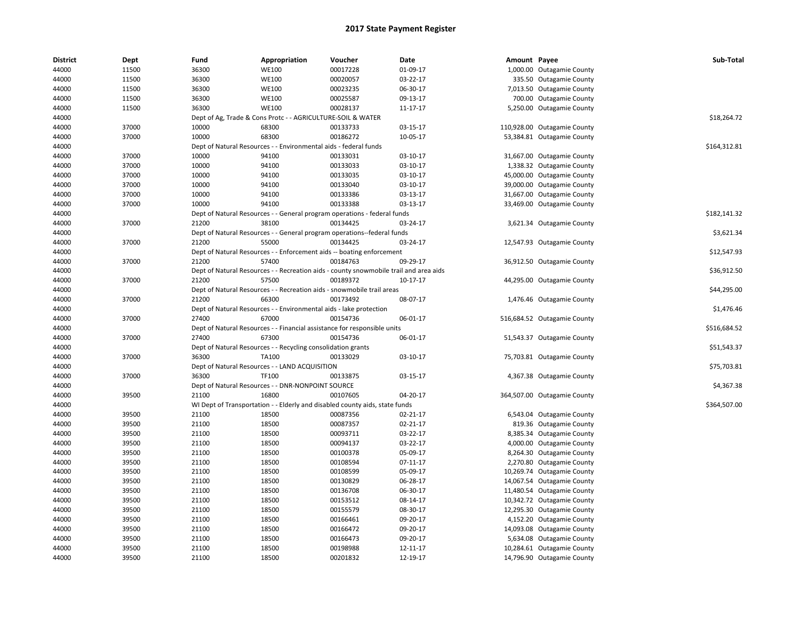| <b>District</b> | Dept  | Fund  | Appropriation                                                      | Voucher                                                                               | Date       | Amount Payee |                             | Sub-Total    |
|-----------------|-------|-------|--------------------------------------------------------------------|---------------------------------------------------------------------------------------|------------|--------------|-----------------------------|--------------|
| 44000           | 11500 | 36300 | <b>WE100</b>                                                       | 00017228                                                                              | 01-09-17   |              | 1,000.00 Outagamie County   |              |
| 44000           | 11500 | 36300 | <b>WE100</b>                                                       | 00020057                                                                              | 03-22-17   |              | 335.50 Outagamie County     |              |
| 44000           | 11500 | 36300 | <b>WE100</b>                                                       | 00023235                                                                              | 06-30-17   |              | 7,013.50 Outagamie County   |              |
| 44000           | 11500 | 36300 | <b>WE100</b>                                                       | 00025587                                                                              | 09-13-17   |              | 700.00 Outagamie County     |              |
| 44000           | 11500 | 36300 | <b>WE100</b>                                                       | 00028137                                                                              | 11-17-17   |              | 5,250.00 Outagamie County   |              |
| 44000           |       |       | Dept of Ag, Trade & Cons Protc - - AGRICULTURE-SOIL & WATER        |                                                                                       |            |              |                             | \$18,264.72  |
| 44000           | 37000 | 10000 | 68300                                                              | 00133733                                                                              | 03-15-17   |              | 110,928.00 Outagamie County |              |
| 44000           | 37000 | 10000 | 68300                                                              | 00186272                                                                              | 10-05-17   |              | 53,384.81 Outagamie County  |              |
| 44000           |       |       | Dept of Natural Resources - - Environmental aids - federal funds   |                                                                                       |            |              |                             | \$164,312.81 |
| 44000           | 37000 | 10000 | 94100                                                              | 00133031                                                                              | 03-10-17   |              | 31,667.00 Outagamie County  |              |
| 44000           | 37000 | 10000 | 94100                                                              | 00133033                                                                              | 03-10-17   |              | 1,338.32 Outagamie County   |              |
| 44000           | 37000 | 10000 | 94100                                                              | 00133035                                                                              | 03-10-17   |              | 45,000.00 Outagamie County  |              |
| 44000           | 37000 | 10000 | 94100                                                              | 00133040                                                                              | 03-10-17   |              | 39,000.00 Outagamie County  |              |
| 44000           | 37000 | 10000 | 94100                                                              | 00133386                                                                              | 03-13-17   |              | 31,667.00 Outagamie County  |              |
| 44000           | 37000 | 10000 | 94100                                                              | 00133388                                                                              | 03-13-17   |              | 33,469.00 Outagamie County  |              |
| 44000           |       |       |                                                                    | Dept of Natural Resources - - General program operations - federal funds              |            |              |                             | \$182,141.32 |
| 44000           | 37000 | 21200 | 38100                                                              | 00134425                                                                              | 03-24-17   |              | 3,621.34 Outagamie County   |              |
| 44000           |       |       |                                                                    | Dept of Natural Resources - - General program operations--federal funds               |            |              |                             | \$3,621.34   |
| 44000           | 37000 | 21200 | 55000                                                              | 00134425                                                                              | 03-24-17   |              | 12,547.93 Outagamie County  |              |
| 44000           |       |       |                                                                    | Dept of Natural Resources - - Enforcement aids -- boating enforcement                 |            |              |                             | \$12,547.93  |
| 44000           | 37000 | 21200 | 57400                                                              | 00184763                                                                              | 09-29-17   |              | 36,912.50 Outagamie County  |              |
| 44000           |       |       |                                                                    | Dept of Natural Resources - - Recreation aids - county snowmobile trail and area aids |            |              |                             | \$36,912.50  |
| 44000           | 37000 | 21200 | 57500                                                              | 00189372                                                                              | $10-17-17$ |              | 44,295.00 Outagamie County  |              |
| 44000           |       |       |                                                                    | Dept of Natural Resources - - Recreation aids - snowmobile trail areas                |            |              |                             | \$44,295.00  |
| 44000           | 37000 | 21200 | 66300                                                              | 00173492                                                                              | 08-07-17   |              | 1,476.46 Outagamie County   |              |
| 44000           |       |       | Dept of Natural Resources - - Environmental aids - lake protection |                                                                                       |            |              |                             | \$1,476.46   |
| 44000           | 37000 | 27400 | 67000                                                              | 00154736                                                                              | 06-01-17   |              | 516,684.52 Outagamie County |              |
| 44000           |       |       |                                                                    | Dept of Natural Resources - - Financial assistance for responsible units              |            |              |                             | \$516,684.52 |
| 44000           | 37000 | 27400 | 67300                                                              | 00154736                                                                              | 06-01-17   |              | 51,543.37 Outagamie County  |              |
| 44000           |       |       | Dept of Natural Resources - - Recycling consolidation grants       |                                                                                       |            |              |                             | \$51,543.37  |
| 44000           | 37000 | 36300 | TA100                                                              | 00133029                                                                              | 03-10-17   |              | 75,703.81 Outagamie County  |              |
| 44000           |       |       | Dept of Natural Resources - - LAND ACQUISITION                     |                                                                                       |            |              |                             | \$75,703.81  |
| 44000           | 37000 | 36300 | <b>TF100</b>                                                       | 00133875                                                                              | 03-15-17   |              | 4,367.38 Outagamie County   |              |
| 44000           |       |       | Dept of Natural Resources - - DNR-NONPOINT SOURCE                  |                                                                                       |            |              |                             | \$4,367.38   |
| 44000           | 39500 | 21100 | 16800                                                              | 00107605                                                                              | 04-20-17   |              | 364,507.00 Outagamie County |              |
| 44000           |       |       |                                                                    | WI Dept of Transportation - - Elderly and disabled county aids, state funds           |            |              |                             | \$364,507.00 |
| 44000           | 39500 | 21100 | 18500                                                              | 00087356                                                                              | 02-21-17   |              | 6,543.04 Outagamie County   |              |
| 44000           | 39500 | 21100 | 18500                                                              | 00087357                                                                              | 02-21-17   |              | 819.36 Outagamie County     |              |
| 44000           | 39500 | 21100 | 18500                                                              | 00093711                                                                              | 03-22-17   |              | 8,385.34 Outagamie County   |              |
| 44000           | 39500 | 21100 | 18500                                                              | 00094137                                                                              | 03-22-17   |              | 4,000.00 Outagamie County   |              |
| 44000           | 39500 | 21100 | 18500                                                              | 00100378                                                                              | 05-09-17   |              | 8,264.30 Outagamie County   |              |
| 44000           | 39500 | 21100 | 18500                                                              | 00108594                                                                              | 07-11-17   |              | 2,270.80 Outagamie County   |              |
| 44000           | 39500 | 21100 | 18500                                                              | 00108599                                                                              | 05-09-17   |              | 10,269.74 Outagamie County  |              |
| 44000           | 39500 | 21100 | 18500                                                              | 00130829                                                                              | 06-28-17   |              | 14,067.54 Outagamie County  |              |
| 44000           | 39500 | 21100 | 18500                                                              | 00136708                                                                              | 06-30-17   |              | 11,480.54 Outagamie County  |              |
| 44000           | 39500 | 21100 | 18500                                                              | 00153512                                                                              | 08-14-17   |              | 10,342.72 Outagamie County  |              |
| 44000           | 39500 | 21100 | 18500                                                              | 00155579                                                                              | 08-30-17   |              | 12,295.30 Outagamie County  |              |
| 44000           | 39500 | 21100 | 18500                                                              | 00166461                                                                              | 09-20-17   |              | 4,152.20 Outagamie County   |              |
| 44000           | 39500 | 21100 | 18500                                                              | 00166472                                                                              | 09-20-17   |              | 14,093.08 Outagamie County  |              |
| 44000           | 39500 | 21100 | 18500                                                              | 00166473                                                                              | 09-20-17   |              | 5,634.08 Outagamie County   |              |
| 44000           | 39500 | 21100 | 18500                                                              | 00198988                                                                              | 12-11-17   |              | 10,284.61 Outagamie County  |              |
| 44000           | 39500 | 21100 | 18500                                                              | 00201832                                                                              | 12-19-17   |              | 14,796.90 Outagamie County  |              |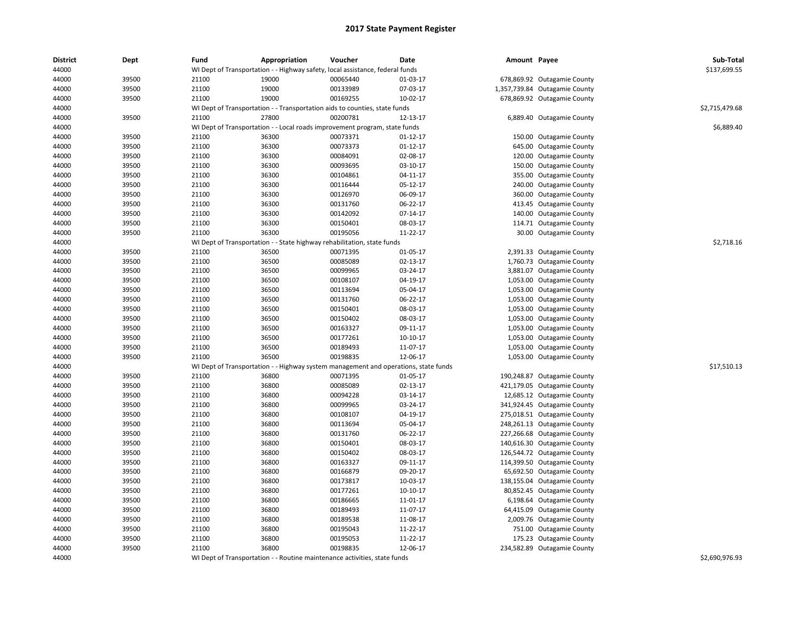| <b>District</b> | Dept  | Fund  | Appropriation                                                                       | Voucher  | Date           | Amount Payee |                               | Sub-Total      |
|-----------------|-------|-------|-------------------------------------------------------------------------------------|----------|----------------|--------------|-------------------------------|----------------|
| 44000           |       |       | WI Dept of Transportation - - Highway safety, local assistance, federal funds       |          |                |              |                               | \$137,699.55   |
| 44000           | 39500 | 21100 | 19000                                                                               | 00065440 | 01-03-17       |              | 678,869.92 Outagamie County   |                |
| 44000           | 39500 | 21100 | 19000                                                                               | 00133989 | 07-03-17       |              | 1,357,739.84 Outagamie County |                |
| 44000           | 39500 | 21100 | 19000                                                                               | 00169255 | 10-02-17       |              | 678,869.92 Outagamie County   |                |
| 44000           |       |       | WI Dept of Transportation - - Transportation aids to counties, state funds          |          |                |              |                               | \$2,715,479.68 |
| 44000           | 39500 | 21100 | 27800                                                                               | 00200781 | 12-13-17       |              | 6,889.40 Outagamie County     |                |
| 44000           |       |       | WI Dept of Transportation - - Local roads improvement program, state funds          |          |                |              |                               | \$6,889.40     |
| 44000           | 39500 | 21100 | 36300                                                                               | 00073371 | $01 - 12 - 17$ |              | 150.00 Outagamie County       |                |
| 44000           | 39500 | 21100 | 36300                                                                               | 00073373 | $01-12-17$     |              | 645.00 Outagamie County       |                |
| 44000           | 39500 | 21100 | 36300                                                                               | 00084091 | 02-08-17       | 120.00       | <b>Outagamie County</b>       |                |
| 44000           | 39500 | 21100 | 36300                                                                               | 00093695 | 03-10-17       | 150.00       | Outagamie County              |                |
| 44000           | 39500 | 21100 | 36300                                                                               | 00104861 | 04-11-17       | 355.00       | <b>Outagamie County</b>       |                |
| 44000           | 39500 | 21100 | 36300                                                                               | 00116444 | 05-12-17       | 240.00       | <b>Outagamie County</b>       |                |
| 44000           | 39500 | 21100 | 36300                                                                               | 00126970 | 06-09-17       |              | 360.00 Outagamie County       |                |
| 44000           | 39500 | 21100 | 36300                                                                               | 00131760 | 06-22-17       | 413.45       | <b>Outagamie County</b>       |                |
| 44000           | 39500 | 21100 | 36300                                                                               | 00142092 | 07-14-17       | 140.00       | <b>Outagamie County</b>       |                |
| 44000           | 39500 | 21100 | 36300                                                                               | 00150401 | 08-03-17       | 114.71       | <b>Outagamie County</b>       |                |
| 44000           | 39500 | 21100 | 36300                                                                               | 00195056 | 11-22-17       |              | 30.00 Outagamie County        |                |
| 44000           |       |       | WI Dept of Transportation - - State highway rehabilitation, state funds             |          |                |              |                               | \$2,718.16     |
| 44000           | 39500 | 21100 | 36500                                                                               | 00071395 | 01-05-17       |              | 2,391.33 Outagamie County     |                |
| 44000           | 39500 | 21100 | 36500                                                                               | 00085089 | 02-13-17       |              | 1,760.73 Outagamie County     |                |
| 44000           | 39500 | 21100 | 36500                                                                               | 00099965 | 03-24-17       | 3,881.07     | <b>Outagamie County</b>       |                |
| 44000           | 39500 | 21100 | 36500                                                                               | 00108107 | 04-19-17       | 1,053.00     | <b>Outagamie County</b>       |                |
| 44000           | 39500 | 21100 | 36500                                                                               | 00113694 | 05-04-17       | 1,053.00     | <b>Outagamie County</b>       |                |
| 44000           | 39500 | 21100 | 36500                                                                               | 00131760 | 06-22-17       |              | 1,053.00 Outagamie County     |                |
| 44000           | 39500 | 21100 | 36500                                                                               | 00150401 | 08-03-17       |              | 1,053.00 Outagamie County     |                |
| 44000           | 39500 | 21100 | 36500                                                                               | 00150402 | 08-03-17       |              | 1,053.00 Outagamie County     |                |
| 44000           | 39500 | 21100 | 36500                                                                               | 00163327 | 09-11-17       |              | 1,053.00 Outagamie County     |                |
| 44000           | 39500 | 21100 | 36500                                                                               | 00177261 | 10-10-17       | 1,053.00     | <b>Outagamie County</b>       |                |
| 44000           | 39500 | 21100 | 36500                                                                               | 00189493 | 11-07-17       |              | 1,053.00 Outagamie County     |                |
| 44000           | 39500 | 21100 | 36500                                                                               | 00198835 | 12-06-17       |              | 1,053.00 Outagamie County     |                |
| 44000           |       |       | WI Dept of Transportation - - Highway system management and operations, state funds |          |                |              |                               | \$17,510.13    |
| 44000           | 39500 | 21100 | 36800                                                                               | 00071395 | 01-05-17       |              | 190,248.87 Outagamie County   |                |
| 44000           | 39500 | 21100 | 36800                                                                               | 00085089 | 02-13-17       |              | 421,179.05 Outagamie County   |                |
| 44000           | 39500 | 21100 | 36800                                                                               | 00094228 | 03-14-17       |              | 12,685.12 Outagamie County    |                |
| 44000           | 39500 | 21100 | 36800                                                                               | 00099965 | 03-24-17       |              | 341,924.45 Outagamie County   |                |
| 44000           | 39500 | 21100 | 36800                                                                               | 00108107 | 04-19-17       |              | 275,018.51 Outagamie County   |                |
| 44000           | 39500 | 21100 | 36800                                                                               | 00113694 | 05-04-17       |              | 248,261.13 Outagamie County   |                |
| 44000           | 39500 | 21100 | 36800                                                                               | 00131760 | 06-22-17       |              | 227,266.68 Outagamie County   |                |
| 44000           | 39500 | 21100 | 36800                                                                               | 00150401 | 08-03-17       |              | 140,616.30 Outagamie County   |                |
| 44000           | 39500 | 21100 | 36800                                                                               | 00150402 | 08-03-17       |              | 126,544.72 Outagamie County   |                |
| 44000           | 39500 | 21100 | 36800                                                                               | 00163327 | 09-11-17       |              | 114,399.50 Outagamie County   |                |
| 44000           | 39500 | 21100 | 36800                                                                               | 00166879 | 09-20-17       |              | 65,692.50 Outagamie County    |                |
| 44000           | 39500 | 21100 | 36800                                                                               | 00173817 | 10-03-17       |              | 138,155.04 Outagamie County   |                |
| 44000           | 39500 | 21100 | 36800                                                                               | 00177261 | 10-10-17       |              | 80,852.45 Outagamie County    |                |
| 44000           | 39500 | 21100 | 36800                                                                               | 00186665 | 11-01-17       | 6,198.64     | <b>Outagamie County</b>       |                |
| 44000           | 39500 | 21100 | 36800                                                                               | 00189493 | 11-07-17       | 64,415.09    | <b>Outagamie County</b>       |                |
| 44000           | 39500 | 21100 | 36800                                                                               | 00189538 | 11-08-17       |              | 2,009.76 Outagamie County     |                |
| 44000           | 39500 | 21100 | 36800                                                                               | 00195043 | 11-22-17       |              | 751.00 Outagamie County       |                |
| 44000           | 39500 | 21100 | 36800                                                                               | 00195053 | 11-22-17       |              | 175.23 Outagamie County       |                |
| 44000           | 39500 | 21100 | 36800                                                                               | 00198835 | 12-06-17       |              | 234,582.89 Outagamie County   |                |
| 44000           |       |       | WI Dept of Transportation - - Routine maintenance activities, state funds           |          |                |              |                               | \$2,690,976.93 |
|                 |       |       |                                                                                     |          |                |              |                               |                |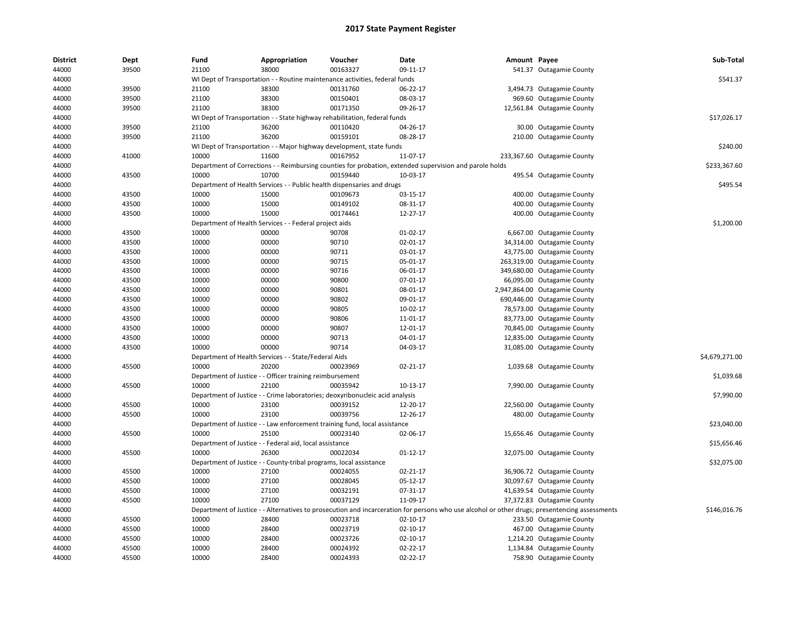| <b>District</b> | Dept  | Fund  | Appropriation                                                                                           | Voucher  | Date           | Amount Payee |                                                                                                                                               | Sub-Total      |
|-----------------|-------|-------|---------------------------------------------------------------------------------------------------------|----------|----------------|--------------|-----------------------------------------------------------------------------------------------------------------------------------------------|----------------|
| 44000           | 39500 | 21100 | 38000                                                                                                   | 00163327 | 09-11-17       |              | 541.37 Outagamie County                                                                                                                       |                |
| 44000           |       |       | WI Dept of Transportation - - Routine maintenance activities, federal funds                             |          |                |              |                                                                                                                                               | \$541.37       |
| 44000           | 39500 | 21100 | 38300                                                                                                   | 00131760 | 06-22-17       |              | 3,494.73 Outagamie County                                                                                                                     |                |
| 44000           | 39500 | 21100 | 38300                                                                                                   | 00150401 | 08-03-17       |              | 969.60 Outagamie County                                                                                                                       |                |
| 44000           | 39500 | 21100 | 38300                                                                                                   | 00171350 | 09-26-17       |              | 12,561.84 Outagamie County                                                                                                                    |                |
| 44000           |       |       | WI Dept of Transportation - - State highway rehabilitation, federal funds                               |          |                |              |                                                                                                                                               | \$17,026.17    |
| 44000           | 39500 | 21100 | 36200                                                                                                   | 00110420 | 04-26-17       |              | 30.00 Outagamie County                                                                                                                        |                |
| 44000           | 39500 | 21100 | 36200                                                                                                   | 00159101 | 08-28-17       |              | 210.00 Outagamie County                                                                                                                       |                |
| 44000           |       |       | WI Dept of Transportation - - Major highway development, state funds                                    |          |                |              |                                                                                                                                               | \$240.00       |
| 44000           | 41000 | 10000 | 11600                                                                                                   | 00167952 | 11-07-17       |              | 233,367.60 Outagamie County                                                                                                                   |                |
| 44000           |       |       | Department of Corrections - - Reimbursing counties for probation, extended supervision and parole holds |          |                |              |                                                                                                                                               | \$233,367.60   |
| 44000           | 43500 | 10000 | 10700                                                                                                   | 00159440 | 10-03-17       |              | 495.54 Outagamie County                                                                                                                       |                |
| 44000           |       |       | Department of Health Services - - Public health dispensaries and drugs                                  |          |                |              |                                                                                                                                               | \$495.54       |
| 44000           | 43500 | 10000 | 15000                                                                                                   | 00109673 | 03-15-17       |              | 400.00 Outagamie County                                                                                                                       |                |
| 44000           | 43500 | 10000 | 15000                                                                                                   | 00149102 | 08-31-17       |              | 400.00 Outagamie County                                                                                                                       |                |
| 44000           | 43500 | 10000 | 15000                                                                                                   | 00174461 | 12-27-17       |              | 400.00 Outagamie County                                                                                                                       |                |
| 44000           |       |       | Department of Health Services - - Federal project aids                                                  |          |                |              |                                                                                                                                               | \$1,200.00     |
| 44000           | 43500 | 10000 | 00000                                                                                                   | 90708    | 01-02-17       |              | 6,667.00 Outagamie County                                                                                                                     |                |
| 44000           | 43500 | 10000 | 00000                                                                                                   | 90710    | 02-01-17       |              | 34,314.00 Outagamie County                                                                                                                    |                |
| 44000           | 43500 | 10000 | 00000                                                                                                   | 90711    | 03-01-17       |              | 43,775.00 Outagamie County                                                                                                                    |                |
| 44000           | 43500 | 10000 | 00000                                                                                                   | 90715    | 05-01-17       |              | 263,319.00 Outagamie County                                                                                                                   |                |
| 44000           | 43500 | 10000 | 00000                                                                                                   | 90716    | 06-01-17       | 349,680.00   | Outagamie County                                                                                                                              |                |
| 44000           | 43500 | 10000 | 00000                                                                                                   | 90800    | 07-01-17       |              | 66,095.00 Outagamie County                                                                                                                    |                |
| 44000           | 43500 | 10000 | 00000                                                                                                   | 90801    | 08-01-17       |              | 2,947,864.00 Outagamie County                                                                                                                 |                |
| 44000           | 43500 | 10000 | 00000                                                                                                   | 90802    | 09-01-17       |              | 690,446.00 Outagamie County                                                                                                                   |                |
| 44000           | 43500 | 10000 | 00000                                                                                                   | 90805    | 10-02-17       |              | 78,573.00 Outagamie County                                                                                                                    |                |
| 44000           | 43500 | 10000 | 00000                                                                                                   | 90806    | 11-01-17       | 83,773.00    | <b>Outagamie County</b>                                                                                                                       |                |
| 44000           | 43500 | 10000 | 00000                                                                                                   | 90807    | 12-01-17       | 70,845.00    | <b>Outagamie County</b>                                                                                                                       |                |
| 44000           | 43500 | 10000 | 00000                                                                                                   | 90713    | 04-01-17       |              | 12,835.00 Outagamie County                                                                                                                    |                |
| 44000           | 43500 | 10000 | 00000                                                                                                   | 90714    | 04-03-17       |              | 31,085.00 Outagamie County                                                                                                                    |                |
| 44000           |       |       | Department of Health Services - - State/Federal Aids                                                    |          |                |              |                                                                                                                                               | \$4,679,271.00 |
| 44000           | 45500 | 10000 | 20200                                                                                                   | 00023969 | 02-21-17       |              | 1,039.68 Outagamie County                                                                                                                     |                |
| 44000           |       |       | Department of Justice - - Officer training reimbursement                                                |          |                |              |                                                                                                                                               | \$1,039.68     |
| 44000           | 45500 | 10000 | 22100                                                                                                   | 00035942 | 10-13-17       |              | 7,990.00 Outagamie County                                                                                                                     |                |
| 44000           |       |       | Department of Justice - - Crime laboratories; deoxyribonucleic acid analysis                            |          |                |              |                                                                                                                                               | \$7,990.00     |
| 44000           | 45500 | 10000 | 23100                                                                                                   | 00039152 | 12-20-17       |              | 22,560.00 Outagamie County                                                                                                                    |                |
| 44000           | 45500 | 10000 | 23100                                                                                                   | 00039756 | 12-26-17       |              | 480.00 Outagamie County                                                                                                                       |                |
| 44000           |       |       | Department of Justice - - Law enforcement training fund, local assistance                               |          |                |              |                                                                                                                                               | \$23,040.00    |
| 44000           | 45500 | 10000 | 25100                                                                                                   | 00023140 | 02-06-17       |              | 15,656.46 Outagamie County                                                                                                                    |                |
| 44000           |       |       | Department of Justice - - Federal aid, local assistance                                                 |          |                |              |                                                                                                                                               | \$15,656.46    |
| 44000           | 45500 | 10000 | 26300                                                                                                   | 00022034 | $01-12-17$     |              | 32,075.00 Outagamie County                                                                                                                    |                |
| 44000           |       |       | Department of Justice - - County-tribal programs, local assistance                                      |          |                |              |                                                                                                                                               | \$32,075.00    |
| 44000           | 45500 | 10000 | 27100                                                                                                   | 00024055 | $02 - 21 - 17$ |              | 36,906.72 Outagamie County                                                                                                                    |                |
| 44000           | 45500 | 10000 | 27100                                                                                                   | 00028045 | 05-12-17       |              | 30,097.67 Outagamie County                                                                                                                    |                |
| 44000           | 45500 | 10000 | 27100                                                                                                   | 00032191 | 07-31-17       |              | 41,639.54 Outagamie County                                                                                                                    |                |
| 44000           | 45500 | 10000 | 27100                                                                                                   | 00037129 | 11-09-17       |              | 37,372.83 Outagamie County                                                                                                                    |                |
| 44000           |       |       |                                                                                                         |          |                |              | Department of Justice - - Alternatives to prosecution and incarceration for persons who use alcohol or other drugs; presentencing assessments | \$146,016.76   |
| 44000           | 45500 | 10000 | 28400                                                                                                   | 00023718 | $02 - 10 - 17$ |              | 233.50 Outagamie County                                                                                                                       |                |
| 44000           | 45500 | 10000 | 28400                                                                                                   | 00023719 | $02 - 10 - 17$ |              | 467.00 Outagamie County                                                                                                                       |                |
| 44000           | 45500 | 10000 | 28400                                                                                                   | 00023726 | $02 - 10 - 17$ |              | 1,214.20 Outagamie County                                                                                                                     |                |
| 44000           | 45500 | 10000 | 28400                                                                                                   | 00024392 | 02-22-17       |              | 1,134.84 Outagamie County                                                                                                                     |                |
| 44000           | 45500 | 10000 | 28400                                                                                                   | 00024393 | 02-22-17       |              | 758.90 Outagamie County                                                                                                                       |                |
|                 |       |       |                                                                                                         |          |                |              |                                                                                                                                               |                |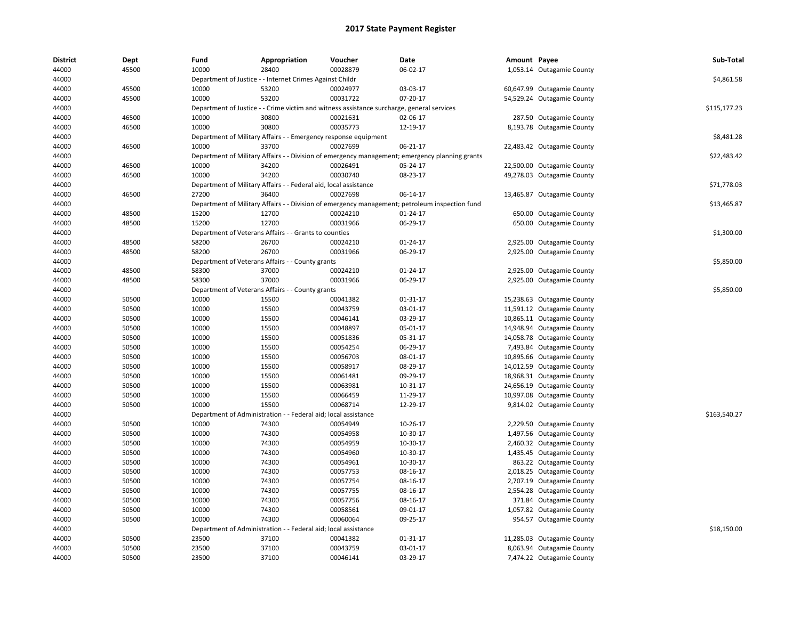| <b>District</b> | Dept  | Fund                         | Appropriation                                                                                  | Voucher                         | Date     | Amount Payee |                            | Sub-Total    |
|-----------------|-------|------------------------------|------------------------------------------------------------------------------------------------|---------------------------------|----------|--------------|----------------------------|--------------|
| 44000           | 45500 | 10000                        | 28400                                                                                          | 00028879                        | 06-02-17 |              | 1,053.14 Outagamie County  |              |
| 44000           |       |                              | Department of Justice - - Internet Crimes Against Childr                                       |                                 |          |              |                            | \$4,861.58   |
| 44000           | 45500 | 10000                        | 53200                                                                                          | 00024977                        | 03-03-17 |              | 60,647.99 Outagamie County |              |
| 44000           | 45500 | 10000                        | 53200                                                                                          | 00031722                        | 07-20-17 |              | 54,529.24 Outagamie County |              |
| 44000           |       |                              | Department of Justice - - Crime victim and witness assistance surcharge, general services      |                                 |          |              |                            | \$115.177.23 |
| 44000           | 46500 | 10000                        | 30800                                                                                          | 00021631                        | 02-06-17 |              | 287.50 Outagamie County    |              |
| 44000           | 46500 | 10000                        | 30800                                                                                          | 00035773                        | 12-19-17 |              | 8,193.78 Outagamie County  |              |
| 44000           |       |                              | Department of Military Affairs - - Emergency response equipment                                |                                 |          |              |                            | \$8,481.28   |
| 44000           | 46500 | 10000                        | 33700                                                                                          | 00027699                        | 06-21-17 |              | 22,483.42 Outagamie County |              |
| 44000           |       |                              | Department of Military Affairs - - Division of emergency management; emergency planning grants |                                 |          |              |                            | \$22,483.42  |
| 44000           | 46500 | 10000                        | 34200                                                                                          | 00026491                        | 05-24-17 |              | 22,500.00 Outagamie County |              |
| 44000           | 46500 | 10000                        | 34200                                                                                          | 00030740                        | 08-23-17 |              | 49,278.03 Outagamie County |              |
| 44000           |       |                              | Department of Military Affairs - - Federal aid, local assistance                               |                                 |          |              |                            | \$71,778.03  |
| 44000           | 46500 | 27200                        | 36400                                                                                          | 00027698                        | 06-14-17 |              | 13,465.87 Outagamie County |              |
| 44000           |       |                              | Department of Military Affairs - - Division of emergency management; petroleum inspection fund |                                 |          |              |                            | \$13,465.87  |
| 44000           | 48500 | 15200                        | 12700                                                                                          | 00024210                        | 01-24-17 |              | 650.00 Outagamie County    |              |
| 44000           | 48500 | 15200                        | 12700                                                                                          | 00031966                        | 06-29-17 |              | 650.00 Outagamie County    |              |
| 44000           |       |                              | Department of Veterans Affairs - - Grants to counties                                          |                                 |          |              |                            | \$1,300.00   |
| 44000           | 48500 | 58200                        | 26700                                                                                          | 00024210                        | 01-24-17 |              | 2,925.00 Outagamie County  |              |
| 44000           | 48500 | 58200                        | 26700                                                                                          | 00031966                        | 06-29-17 |              | 2,925.00 Outagamie County  |              |
| 44000           |       |                              | Department of Veterans Affairs - - County grants                                               |                                 |          |              |                            | \$5,850.00   |
| 44000           | 48500 | 58300                        | 37000                                                                                          | 00024210                        | 01-24-17 |              | 2,925.00 Outagamie County  |              |
| 44000           | 48500 | 58300                        | 37000                                                                                          | 00031966                        | 06-29-17 |              | 2,925.00 Outagamie County  |              |
| 44000           |       |                              | Department of Veterans Affairs - - County grants                                               |                                 |          |              |                            | \$5,850.00   |
| 44000           | 50500 | 10000                        | 15500                                                                                          | 00041382                        | 01-31-17 |              | 15,238.63 Outagamie County |              |
| 44000           | 50500 | 10000                        | 15500                                                                                          | 00043759                        | 03-01-17 |              | 11,591.12 Outagamie County |              |
| 44000           | 50500 | 10000                        | 15500                                                                                          | 00046141                        | 03-29-17 |              | 10,865.11 Outagamie County |              |
| 44000           | 50500 | 10000                        | 15500                                                                                          | 00048897                        | 05-01-17 |              | 14,948.94 Outagamie County |              |
| 44000           | 50500 | 10000                        | 15500                                                                                          | 00051836                        | 05-31-17 |              | 14,058.78 Outagamie County |              |
| 44000           | 50500 | 10000                        | 15500                                                                                          | 00054254                        | 06-29-17 |              | 7,493.84 Outagamie County  |              |
| 44000           | 50500 | 10000                        | 15500                                                                                          | 00056703                        | 08-01-17 |              | 10,895.66 Outagamie County |              |
| 44000           | 50500 | 10000                        | 15500                                                                                          | 00058917                        | 08-29-17 |              | 14,012.59 Outagamie County |              |
| 44000           | 50500 | 10000                        | 15500                                                                                          | 00061481                        | 09-29-17 |              | 18,968.31 Outagamie County |              |
| 44000           | 50500 | 10000                        | 15500                                                                                          | 00063981                        | 10-31-17 |              | 24,656.19 Outagamie County |              |
| 44000           | 50500 | 10000                        | 15500                                                                                          | 00066459                        | 11-29-17 |              | 10,997.08 Outagamie County |              |
| 44000           | 50500 | 10000                        | 15500                                                                                          | 00068714                        | 12-29-17 |              | 9,814.02 Outagamie County  |              |
| 44000           |       | Department of Administration |                                                                                                | Federal aid; local assistance   |          |              |                            | \$163,540.27 |
| 44000           | 50500 | 10000                        | 74300                                                                                          | 00054949                        | 10-26-17 |              | 2,229.50 Outagamie County  |              |
| 44000           | 50500 | 10000                        | 74300                                                                                          | 00054958                        | 10-30-17 |              | 1,497.56 Outagamie County  |              |
| 44000           | 50500 | 10000                        | 74300                                                                                          | 00054959                        | 10-30-17 |              | 2,460.32 Outagamie County  |              |
| 44000           | 50500 | 10000                        | 74300                                                                                          | 00054960                        | 10-30-17 |              | 1,435.45 Outagamie County  |              |
| 44000           | 50500 | 10000                        | 74300                                                                                          | 00054961                        | 10-30-17 |              | 863.22 Outagamie County    |              |
| 44000           | 50500 | 10000                        | 74300                                                                                          | 00057753                        | 08-16-17 |              | 2,018.25 Outagamie County  |              |
| 44000           | 50500 | 10000                        | 74300                                                                                          | 00057754                        | 08-16-17 |              | 2,707.19 Outagamie County  |              |
| 44000           | 50500 | 10000                        | 74300                                                                                          | 00057755                        | 08-16-17 |              | 2,554.28 Outagamie County  |              |
| 44000           | 50500 | 10000                        | 74300                                                                                          | 00057756                        | 08-16-17 |              | 371.84 Outagamie County    |              |
| 44000           | 50500 | 10000                        | 74300                                                                                          | 00058561                        | 09-01-17 |              | 1,057.82 Outagamie County  |              |
| 44000           | 50500 | 10000                        | 74300                                                                                          | 00060064                        | 09-25-17 |              | 954.57 Outagamie County    |              |
| 44000           |       | Department of Administration |                                                                                                | - Federal aid; local assistance |          |              |                            | \$18,150.00  |
| 44000           | 50500 | 23500                        | 37100                                                                                          | 00041382                        | 01-31-17 |              | 11,285.03 Outagamie County |              |
| 44000           | 50500 | 23500                        | 37100                                                                                          | 00043759                        | 03-01-17 |              | 8,063.94 Outagamie County  |              |
| 44000           | 50500 | 23500                        | 37100                                                                                          | 00046141                        | 03-29-17 |              | 7,474.22 Outagamie County  |              |
|                 |       |                              |                                                                                                |                                 |          |              |                            |              |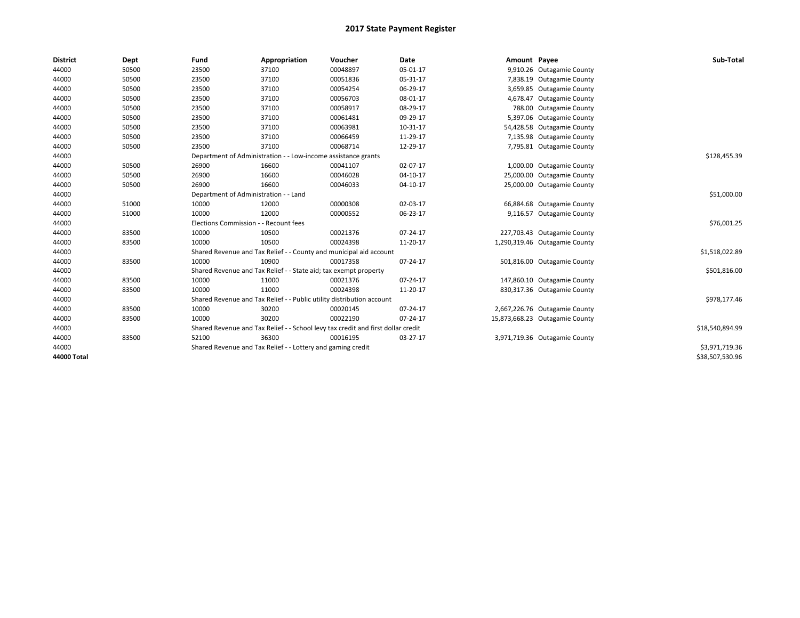| <b>District</b> | Dept  | Fund                                  | Appropriation                                                                    | Voucher  | Date           | Amount Payee |                                | Sub-Total       |
|-----------------|-------|---------------------------------------|----------------------------------------------------------------------------------|----------|----------------|--------------|--------------------------------|-----------------|
| 44000           | 50500 | 23500                                 | 37100                                                                            | 00048897 | 05-01-17       |              | 9,910.26 Outagamie County      |                 |
| 44000           | 50500 | 23500                                 | 37100                                                                            | 00051836 | 05-31-17       |              | 7,838.19 Outagamie County      |                 |
| 44000           | 50500 | 23500                                 | 37100                                                                            | 00054254 | 06-29-17       |              | 3,659.85 Outagamie County      |                 |
| 44000           | 50500 | 23500                                 | 37100                                                                            | 00056703 | 08-01-17       |              | 4,678.47 Outagamie County      |                 |
| 44000           | 50500 | 23500                                 | 37100                                                                            | 00058917 | 08-29-17       |              | 788.00 Outagamie County        |                 |
| 44000           | 50500 | 23500                                 | 37100                                                                            | 00061481 | 09-29-17       |              | 5,397.06 Outagamie County      |                 |
| 44000           | 50500 | 23500                                 | 37100                                                                            | 00063981 | 10-31-17       |              | 54,428.58 Outagamie County     |                 |
| 44000           | 50500 | 23500                                 | 37100                                                                            | 00066459 | 11-29-17       |              | 7,135.98 Outagamie County      |                 |
| 44000           | 50500 | 23500                                 | 37100                                                                            | 00068714 | 12-29-17       |              | 7,795.81 Outagamie County      |                 |
| 44000           |       |                                       | Department of Administration - - Low-income assistance grants                    |          |                |              |                                | \$128,455.39    |
| 44000           | 50500 | 26900                                 | 16600                                                                            | 00041107 | 02-07-17       |              | 1,000.00 Outagamie County      |                 |
| 44000           | 50500 | 26900                                 | 16600                                                                            | 00046028 | 04-10-17       |              | 25,000.00 Outagamie County     |                 |
| 44000           | 50500 | 26900                                 | 16600                                                                            | 00046033 | 04-10-17       |              | 25,000.00 Outagamie County     |                 |
| 44000           |       | Department of Administration - - Land |                                                                                  |          |                |              |                                | \$51,000.00     |
| 44000           | 51000 | 10000                                 | 12000                                                                            | 00000308 | 02-03-17       |              | 66,884.68 Outagamie County     |                 |
| 44000           | 51000 | 10000                                 | 12000                                                                            | 00000552 | 06-23-17       |              | 9,116.57 Outagamie County      |                 |
| 44000           |       | Elections Commission - - Recount fees |                                                                                  |          |                |              |                                | \$76,001.25     |
| 44000           | 83500 | 10000                                 | 10500                                                                            | 00021376 | 07-24-17       |              | 227,703.43 Outagamie County    |                 |
| 44000           | 83500 | 10000                                 | 10500                                                                            | 00024398 | 11-20-17       |              | 1,290,319.46 Outagamie County  |                 |
| 44000           |       |                                       | Shared Revenue and Tax Relief - - County and municipal aid account               |          |                |              |                                | \$1,518,022.89  |
| 44000           | 83500 | 10000                                 | 10900                                                                            | 00017358 | 07-24-17       |              | 501,816.00 Outagamie County    |                 |
| 44000           |       |                                       | Shared Revenue and Tax Relief - - State aid; tax exempt property                 |          |                |              |                                | \$501,816.00    |
| 44000           | 83500 | 10000                                 | 11000                                                                            | 00021376 | 07-24-17       |              | 147,860.10 Outagamie County    |                 |
| 44000           | 83500 | 10000                                 | 11000                                                                            | 00024398 | 11-20-17       |              | 830,317.36 Outagamie County    |                 |
| 44000           |       |                                       | Shared Revenue and Tax Relief - - Public utility distribution account            |          |                |              |                                | \$978,177.46    |
| 44000           | 83500 | 10000                                 | 30200                                                                            | 00020145 | 07-24-17       |              | 2,667,226.76 Outagamie County  |                 |
| 44000           | 83500 | 10000                                 | 30200                                                                            | 00022190 | 07-24-17       |              | 15,873,668.23 Outagamie County |                 |
| 44000           |       |                                       | Shared Revenue and Tax Relief - - School levy tax credit and first dollar credit |          |                |              |                                | \$18,540,894.99 |
| 44000           | 83500 | 52100                                 | 36300                                                                            | 00016195 | 03-27-17       |              | 3,971,719.36 Outagamie County  |                 |
| 44000           |       |                                       | Shared Revenue and Tax Relief - - Lottery and gaming credit                      |          | \$3,971,719.36 |              |                                |                 |
| 44000 Total     |       |                                       |                                                                                  |          |                |              |                                | \$38,507,530.96 |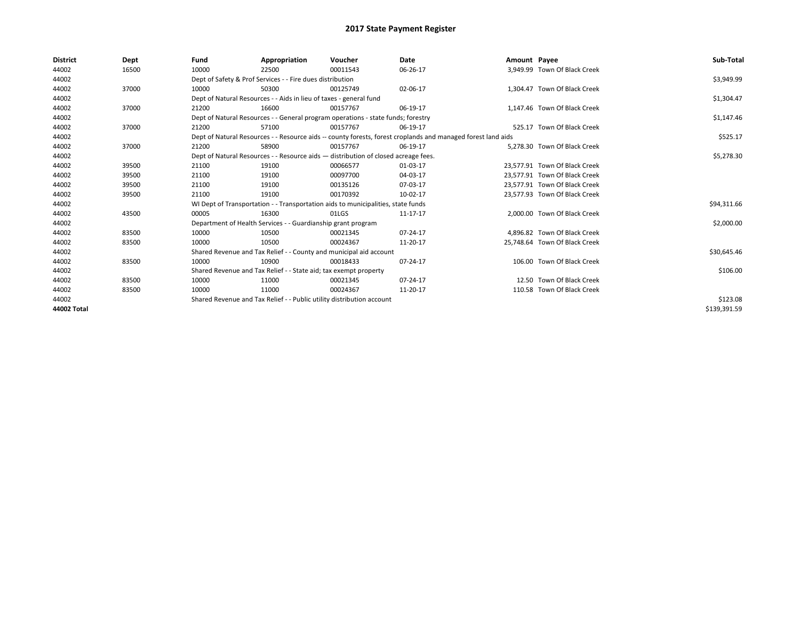| <b>District</b> | Dept  | Fund                                                                  | Appropriation                                                                      | Voucher  | <b>Date</b>                                                                                                  | Amount Payee |                               | Sub-Total    |
|-----------------|-------|-----------------------------------------------------------------------|------------------------------------------------------------------------------------|----------|--------------------------------------------------------------------------------------------------------------|--------------|-------------------------------|--------------|
| 44002           | 16500 | 10000                                                                 | 22500                                                                              | 00011543 | 06-26-17                                                                                                     |              | 3,949.99 Town Of Black Creek  |              |
| 44002           |       |                                                                       | Dept of Safety & Prof Services - - Fire dues distribution                          |          |                                                                                                              |              |                               | \$3,949.99   |
| 44002           | 37000 | 10000                                                                 | 50300                                                                              | 00125749 | 02-06-17                                                                                                     |              | 1,304.47 Town Of Black Creek  |              |
| 44002           |       |                                                                       | Dept of Natural Resources - - Aids in lieu of taxes - general fund                 |          |                                                                                                              |              |                               | \$1,304.47   |
| 44002           | 37000 | 21200                                                                 | 16600                                                                              | 00157767 | 06-19-17                                                                                                     |              | 1,147.46 Town Of Black Creek  |              |
| 44002           |       |                                                                       | Dept of Natural Resources - - General program operations - state funds; forestry   |          |                                                                                                              |              |                               | \$1,147.46   |
| 44002           | 37000 | 21200                                                                 | 57100                                                                              | 00157767 | 06-19-17                                                                                                     |              | 525.17 Town Of Black Creek    |              |
| 44002           |       |                                                                       |                                                                                    |          | Dept of Natural Resources - - Resource aids -- county forests, forest croplands and managed forest land aids |              |                               | \$525.17     |
| 44002           | 37000 | 21200                                                                 | 58900                                                                              | 00157767 | 06-19-17                                                                                                     |              | 5.278.30 Town Of Black Creek  |              |
| 44002           |       |                                                                       | Dept of Natural Resources - - Resource aids - distribution of closed acreage fees. |          |                                                                                                              |              |                               | \$5,278.30   |
| 44002           | 39500 | 21100                                                                 | 19100                                                                              | 00066577 | 01-03-17                                                                                                     |              | 23.577.91 Town Of Black Creek |              |
| 44002           | 39500 | 21100                                                                 | 19100                                                                              | 00097700 | 04-03-17                                                                                                     |              | 23.577.91 Town Of Black Creek |              |
| 44002           | 39500 | 21100                                                                 | 19100                                                                              | 00135126 | 07-03-17                                                                                                     |              | 23,577.91 Town Of Black Creek |              |
| 44002           | 39500 | 21100                                                                 | 19100                                                                              | 00170392 | 10-02-17                                                                                                     |              | 23,577.93 Town Of Black Creek |              |
| 44002           |       |                                                                       | WI Dept of Transportation - - Transportation aids to municipalities, state funds   |          |                                                                                                              |              |                               | \$94,311.66  |
| 44002           | 43500 | 00005                                                                 | 16300                                                                              | 01LGS    | 11-17-17                                                                                                     |              | 2.000.00 Town Of Black Creek  |              |
| 44002           |       |                                                                       | Department of Health Services - - Guardianship grant program                       |          |                                                                                                              |              |                               | \$2,000.00   |
| 44002           | 83500 | 10000                                                                 | 10500                                                                              | 00021345 | 07-24-17                                                                                                     |              | 4,896.82 Town Of Black Creek  |              |
| 44002           | 83500 | 10000                                                                 | 10500                                                                              | 00024367 | 11-20-17                                                                                                     |              | 25,748.64 Town Of Black Creek |              |
| 44002           |       |                                                                       | Shared Revenue and Tax Relief - - County and municipal aid account                 |          |                                                                                                              |              |                               | \$30,645.46  |
| 44002           | 83500 | 10000                                                                 | 10900                                                                              | 00018433 | 07-24-17                                                                                                     |              | 106.00 Town Of Black Creek    |              |
| 44002           |       |                                                                       | Shared Revenue and Tax Relief - - State aid; tax exempt property                   |          |                                                                                                              |              |                               | \$106.00     |
| 44002           | 83500 | 10000                                                                 | 11000                                                                              | 00021345 | 07-24-17                                                                                                     |              | 12.50 Town Of Black Creek     |              |
| 44002           | 83500 | 10000                                                                 | 11000                                                                              | 00024367 | 11-20-17                                                                                                     |              | 110.58 Town Of Black Creek    |              |
| 44002           |       | Shared Revenue and Tax Relief - - Public utility distribution account |                                                                                    | \$123.08 |                                                                                                              |              |                               |              |
| 44002 Total     |       |                                                                       |                                                                                    |          |                                                                                                              |              |                               | \$139,391.59 |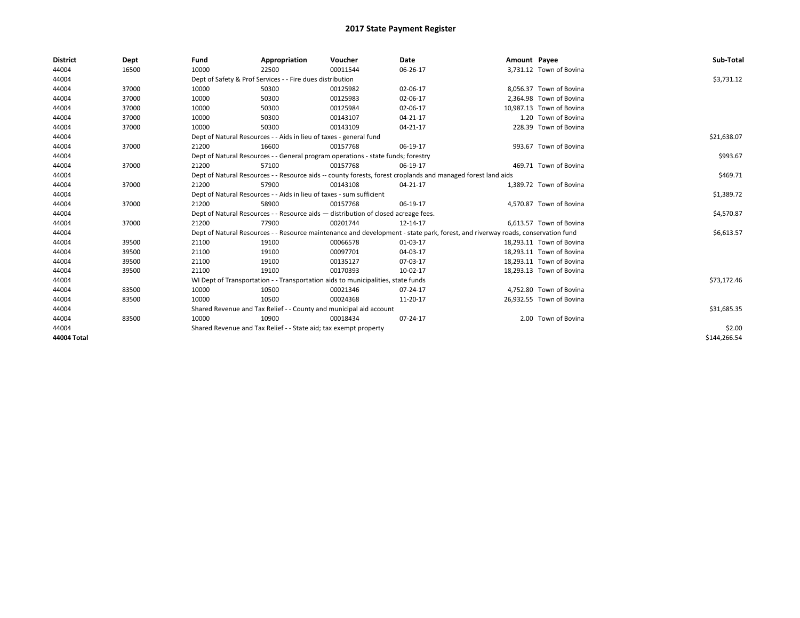| <b>District</b> | Dept  | Fund                                                                 | Appropriation                                                                      | Voucher    | Date                                                                                                                           | Amount Payee |                          | Sub-Total    |
|-----------------|-------|----------------------------------------------------------------------|------------------------------------------------------------------------------------|------------|--------------------------------------------------------------------------------------------------------------------------------|--------------|--------------------------|--------------|
| 44004           | 16500 | 10000                                                                | 22500                                                                              | 00011544   | 06-26-17                                                                                                                       |              | 3,731.12 Town of Bovina  |              |
| 44004           |       |                                                                      | Dept of Safety & Prof Services - - Fire dues distribution                          |            |                                                                                                                                |              |                          | \$3,731.12   |
| 44004           | 37000 | 10000                                                                | 50300                                                                              | 00125982   | 02-06-17                                                                                                                       |              | 8,056.37 Town of Bovina  |              |
| 44004           | 37000 | 10000                                                                | 50300                                                                              | 00125983   | 02-06-17                                                                                                                       |              | 2.364.98 Town of Bovina  |              |
| 44004           | 37000 | 10000                                                                | 50300                                                                              | 00125984   | 02-06-17                                                                                                                       |              | 10,987.13 Town of Bovina |              |
| 44004           | 37000 | 10000                                                                | 50300                                                                              | 00143107   | 04-21-17                                                                                                                       |              | 1.20 Town of Bovina      |              |
| 44004           | 37000 | 10000                                                                | 50300                                                                              | 00143109   | 04-21-17                                                                                                                       |              | 228.39 Town of Bovina    |              |
| 44004           |       |                                                                      | Dept of Natural Resources - - Aids in lieu of taxes - general fund                 |            |                                                                                                                                |              |                          | \$21,638.07  |
| 44004           | 37000 | 21200                                                                | 16600                                                                              | 00157768   | 06-19-17                                                                                                                       |              | 993.67 Town of Bovina    |              |
| 44004           |       |                                                                      | Dept of Natural Resources - - General program operations - state funds; forestry   |            |                                                                                                                                |              |                          | \$993.67     |
| 44004           | 37000 | 21200                                                                | 57100                                                                              | 00157768   | 06-19-17                                                                                                                       |              | 469.71 Town of Bovina    |              |
| 44004           |       |                                                                      |                                                                                    |            | Dept of Natural Resources - - Resource aids -- county forests, forest croplands and managed forest land aids                   |              |                          | \$469.71     |
| 44004           | 37000 | 21200                                                                | 57900                                                                              | 00143108   | 04-21-17                                                                                                                       |              | 1,389.72 Town of Bovina  |              |
| 44004           |       | Dept of Natural Resources - - Aids in lieu of taxes - sum sufficient |                                                                                    | \$1,389.72 |                                                                                                                                |              |                          |              |
| 44004           | 37000 | 21200                                                                | 58900                                                                              | 00157768   | 06-19-17                                                                                                                       |              | 4,570.87 Town of Bovina  |              |
| 44004           |       |                                                                      | Dept of Natural Resources - - Resource aids - distribution of closed acreage fees. |            |                                                                                                                                |              |                          | \$4,570.87   |
| 44004           | 37000 | 21200                                                                | 77900                                                                              | 00201744   | 12-14-17                                                                                                                       |              | 6.613.57 Town of Bovina  |              |
| 44004           |       |                                                                      |                                                                                    |            | Dept of Natural Resources - - Resource maintenance and development - state park, forest, and riverway roads, conservation fund |              |                          | \$6,613.57   |
| 44004           | 39500 | 21100                                                                | 19100                                                                              | 00066578   | 01-03-17                                                                                                                       |              | 18,293.11 Town of Bovina |              |
| 44004           | 39500 | 21100                                                                | 19100                                                                              | 00097701   | 04-03-17                                                                                                                       |              | 18.293.11 Town of Bovina |              |
| 44004           | 39500 | 21100                                                                | 19100                                                                              | 00135127   | 07-03-17                                                                                                                       |              | 18,293.11 Town of Bovina |              |
| 44004           | 39500 | 21100                                                                | 19100                                                                              | 00170393   | 10-02-17                                                                                                                       |              | 18,293.13 Town of Bovina |              |
| 44004           |       |                                                                      | WI Dept of Transportation - - Transportation aids to municipalities, state funds   |            |                                                                                                                                |              |                          | \$73,172.46  |
| 44004           | 83500 | 10000                                                                | 10500                                                                              | 00021346   | 07-24-17                                                                                                                       |              | 4.752.80 Town of Bovina  |              |
| 44004           | 83500 | 10000                                                                | 10500                                                                              | 00024368   | 11-20-17                                                                                                                       |              | 26,932.55 Town of Bovina |              |
| 44004           |       |                                                                      | Shared Revenue and Tax Relief - - County and municipal aid account                 |            |                                                                                                                                |              |                          | \$31,685.35  |
| 44004           | 83500 | 10000                                                                | 10900                                                                              | 00018434   | 07-24-17                                                                                                                       |              | 2.00 Town of Bovina      |              |
| 44004           |       | Shared Revenue and Tax Relief - - State aid; tax exempt property     |                                                                                    | \$2.00     |                                                                                                                                |              |                          |              |
| 44004 Total     |       |                                                                      |                                                                                    |            |                                                                                                                                |              |                          | \$144.266.54 |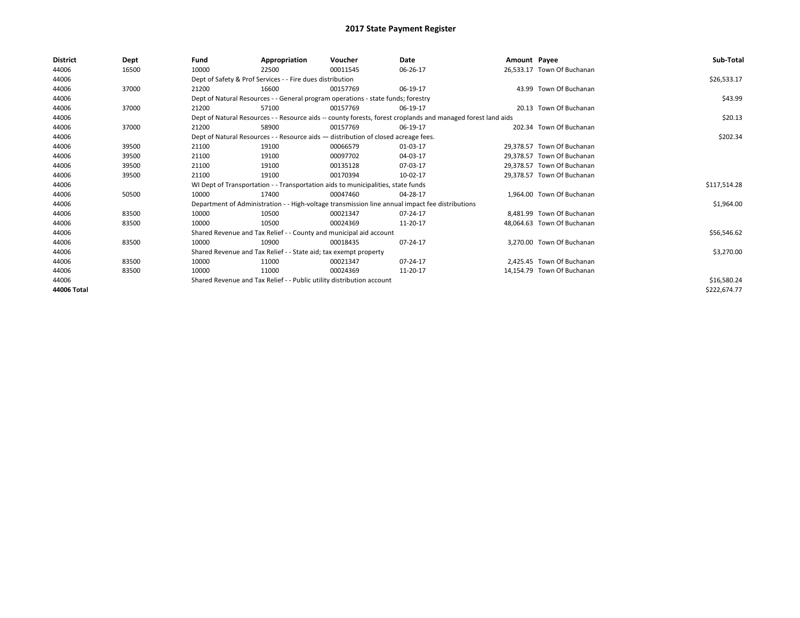| <b>District</b> | Dept  | Fund                                                                  | Appropriation                                                                      | Voucher     | Date                                                                                                         | Amount Payee |                            | Sub-Total    |
|-----------------|-------|-----------------------------------------------------------------------|------------------------------------------------------------------------------------|-------------|--------------------------------------------------------------------------------------------------------------|--------------|----------------------------|--------------|
| 44006           | 16500 | 10000                                                                 | 22500                                                                              | 00011545    | 06-26-17                                                                                                     |              | 26,533.17 Town Of Buchanan |              |
| 44006           |       |                                                                       | Dept of Safety & Prof Services - - Fire dues distribution                          |             |                                                                                                              |              |                            | \$26,533.17  |
| 44006           | 37000 | 21200                                                                 | 16600                                                                              | 00157769    | 06-19-17                                                                                                     |              | 43.99 Town Of Buchanan     |              |
| 44006           |       |                                                                       | Dept of Natural Resources - - General program operations - state funds; forestry   |             |                                                                                                              |              |                            | \$43.99      |
| 44006           | 37000 | 21200                                                                 | 57100                                                                              | 00157769    | 06-19-17                                                                                                     |              | 20.13 Town Of Buchanan     |              |
| 44006           |       |                                                                       |                                                                                    |             | Dept of Natural Resources - - Resource aids -- county forests, forest croplands and managed forest land aids |              |                            | \$20.13      |
| 44006           | 37000 | 21200                                                                 | 58900                                                                              | 00157769    | 06-19-17                                                                                                     |              | 202.34 Town Of Buchanan    |              |
| 44006           |       |                                                                       | Dept of Natural Resources - - Resource aids - distribution of closed acreage fees. |             |                                                                                                              |              |                            | \$202.34     |
| 44006           | 39500 | 21100                                                                 | 19100                                                                              | 00066579    | 01-03-17                                                                                                     |              | 29.378.57 Town Of Buchanan |              |
| 44006           | 39500 | 21100                                                                 | 19100                                                                              | 00097702    | 04-03-17                                                                                                     |              | 29.378.57 Town Of Buchanan |              |
| 44006           | 39500 | 21100                                                                 | 19100                                                                              | 00135128    | 07-03-17                                                                                                     |              | 29,378.57 Town Of Buchanan |              |
| 44006           | 39500 | 21100                                                                 | 19100                                                                              | 00170394    | 10-02-17                                                                                                     |              | 29,378.57 Town Of Buchanan |              |
| 44006           |       |                                                                       | WI Dept of Transportation - - Transportation aids to municipalities, state funds   |             |                                                                                                              |              |                            | \$117,514.28 |
| 44006           | 50500 | 10000                                                                 | 17400                                                                              | 00047460    | 04-28-17                                                                                                     |              | 1.964.00 Town Of Buchanan  |              |
| 44006           |       |                                                                       |                                                                                    |             | Department of Administration - - High-voltage transmission line annual impact fee distributions              |              |                            | \$1,964.00   |
| 44006           | 83500 | 10000                                                                 | 10500                                                                              | 00021347    | 07-24-17                                                                                                     |              | 8.481.99 Town Of Buchanan  |              |
| 44006           | 83500 | 10000                                                                 | 10500                                                                              | 00024369    | 11-20-17                                                                                                     |              | 48,064.63 Town Of Buchanan |              |
| 44006           |       |                                                                       | Shared Revenue and Tax Relief - - County and municipal aid account                 |             |                                                                                                              |              |                            | \$56,546.62  |
| 44006           | 83500 | 10000                                                                 | 10900                                                                              | 00018435    | 07-24-17                                                                                                     |              | 3.270.00 Town Of Buchanan  |              |
| 44006           |       |                                                                       | Shared Revenue and Tax Relief - - State aid; tax exempt property                   |             |                                                                                                              |              |                            | \$3,270.00   |
| 44006           | 83500 | 10000                                                                 | 11000                                                                              | 00021347    | 07-24-17                                                                                                     |              | 2.425.45 Town Of Buchanan  |              |
| 44006           | 83500 | 10000                                                                 | 11000                                                                              | 00024369    | 11-20-17                                                                                                     |              | 14.154.79 Town Of Buchanan |              |
| 44006           |       | Shared Revenue and Tax Relief - - Public utility distribution account |                                                                                    | \$16,580.24 |                                                                                                              |              |                            |              |
| 44006 Total     |       |                                                                       |                                                                                    |             |                                                                                                              |              |                            | \$222,674.77 |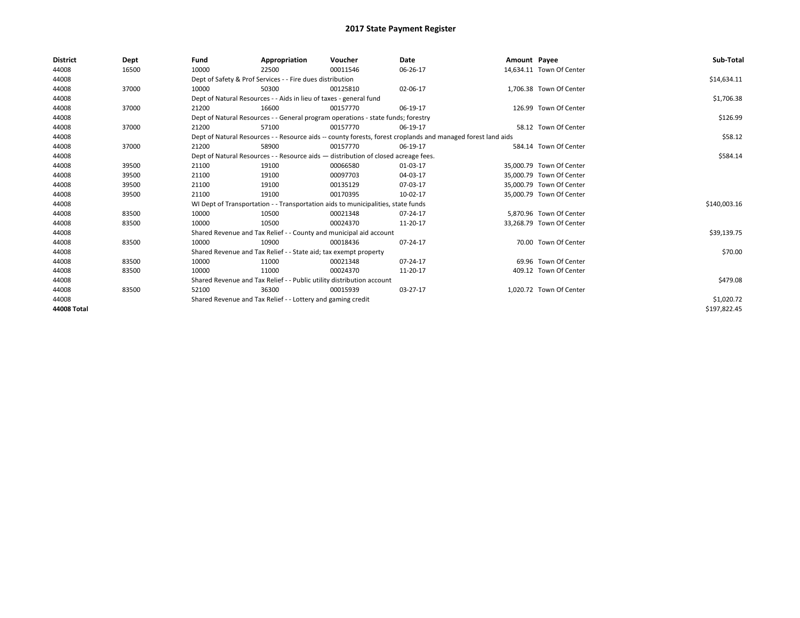| <b>District</b> | Dept  | Fund  | Appropriation                                                                                                | Voucher  | Date     | Amount Payee |                          | Sub-Total    |
|-----------------|-------|-------|--------------------------------------------------------------------------------------------------------------|----------|----------|--------------|--------------------------|--------------|
| 44008           | 16500 | 10000 | 22500                                                                                                        | 00011546 | 06-26-17 |              | 14,634.11 Town Of Center |              |
| 44008           |       |       | Dept of Safety & Prof Services - - Fire dues distribution                                                    |          |          |              |                          | \$14,634.11  |
| 44008           | 37000 | 10000 | 50300                                                                                                        | 00125810 | 02-06-17 |              | 1,706.38 Town Of Center  |              |
| 44008           |       |       | Dept of Natural Resources - - Aids in lieu of taxes - general fund                                           |          |          |              |                          | \$1,706.38   |
| 44008           | 37000 | 21200 | 16600                                                                                                        | 00157770 | 06-19-17 |              | 126.99 Town Of Center    |              |
| 44008           |       |       | Dept of Natural Resources - - General program operations - state funds; forestry                             |          |          |              |                          | \$126.99     |
| 44008           | 37000 | 21200 | 57100                                                                                                        | 00157770 | 06-19-17 |              | 58.12 Town Of Center     |              |
| 44008           |       |       | Dept of Natural Resources - - Resource aids -- county forests, forest croplands and managed forest land aids |          |          |              |                          | \$58.12      |
| 44008           | 37000 | 21200 | 58900                                                                                                        | 00157770 | 06-19-17 |              | 584.14 Town Of Center    |              |
| 44008           |       |       | Dept of Natural Resources - - Resource aids - distribution of closed acreage fees.                           |          |          |              |                          | \$584.14     |
| 44008           | 39500 | 21100 | 19100                                                                                                        | 00066580 | 01-03-17 |              | 35.000.79 Town Of Center |              |
| 44008           | 39500 | 21100 | 19100                                                                                                        | 00097703 | 04-03-17 |              | 35.000.79 Town Of Center |              |
| 44008           | 39500 | 21100 | 19100                                                                                                        | 00135129 | 07-03-17 |              | 35,000.79 Town Of Center |              |
| 44008           | 39500 | 21100 | 19100                                                                                                        | 00170395 | 10-02-17 |              | 35,000.79 Town Of Center |              |
| 44008           |       |       | WI Dept of Transportation - - Transportation aids to municipalities, state funds                             |          |          |              |                          | \$140,003.16 |
| 44008           | 83500 | 10000 | 10500                                                                                                        | 00021348 | 07-24-17 |              | 5.870.96 Town Of Center  |              |
| 44008           | 83500 | 10000 | 10500                                                                                                        | 00024370 | 11-20-17 |              | 33,268.79 Town Of Center |              |
| 44008           |       |       | Shared Revenue and Tax Relief - - County and municipal aid account                                           |          |          |              |                          | \$39,139.75  |
| 44008           | 83500 | 10000 | 10900                                                                                                        | 00018436 | 07-24-17 |              | 70.00 Town Of Center     |              |
| 44008           |       |       | Shared Revenue and Tax Relief - - State aid; tax exempt property                                             |          |          |              |                          | \$70.00      |
| 44008           | 83500 | 10000 | 11000                                                                                                        | 00021348 | 07-24-17 |              | 69.96 Town Of Center     |              |
| 44008           | 83500 | 10000 | 11000                                                                                                        | 00024370 | 11-20-17 |              | 409.12 Town Of Center    |              |
| 44008           |       |       | Shared Revenue and Tax Relief - - Public utility distribution account                                        |          |          |              |                          | \$479.08     |
| 44008           | 83500 | 52100 | 36300                                                                                                        | 00015939 | 03-27-17 |              | 1,020.72 Town Of Center  |              |
| 44008           |       |       | Shared Revenue and Tax Relief - - Lottery and gaming credit                                                  |          |          |              |                          | \$1,020.72   |
| 44008 Total     |       |       |                                                                                                              |          |          |              |                          | \$197,822.45 |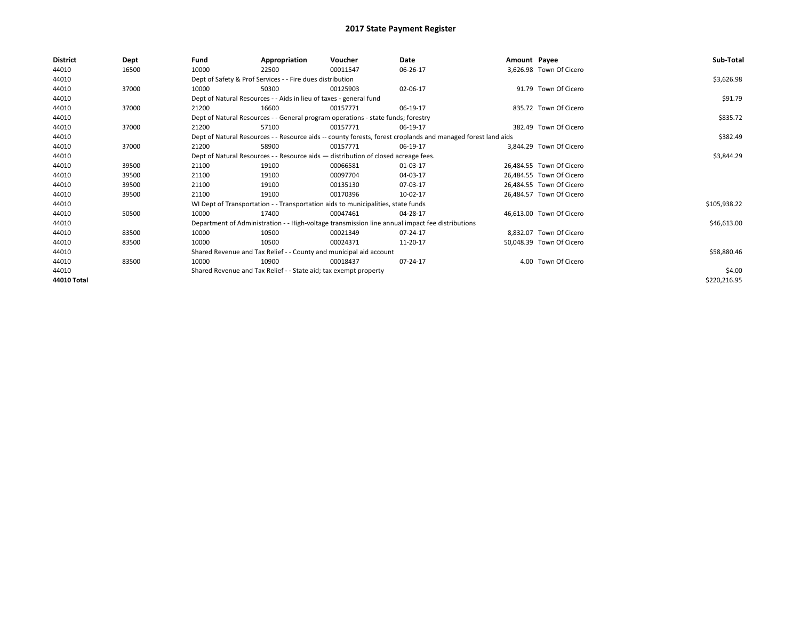| <b>District</b> | Dept  | Fund                                                             | Appropriation                                                                      | Voucher  | Date                                                                                                         | Amount Payee |                          | Sub-Total    |
|-----------------|-------|------------------------------------------------------------------|------------------------------------------------------------------------------------|----------|--------------------------------------------------------------------------------------------------------------|--------------|--------------------------|--------------|
| 44010           | 16500 | 10000                                                            | 22500                                                                              | 00011547 | 06-26-17                                                                                                     |              | 3,626.98 Town Of Cicero  |              |
| 44010           |       |                                                                  | Dept of Safety & Prof Services - - Fire dues distribution                          |          |                                                                                                              |              |                          | \$3,626.98   |
| 44010           | 37000 | 10000                                                            | 50300                                                                              | 00125903 | 02-06-17                                                                                                     |              | 91.79 Town Of Cicero     |              |
| 44010           |       |                                                                  | Dept of Natural Resources - - Aids in lieu of taxes - general fund                 |          |                                                                                                              |              |                          | \$91.79      |
| 44010           | 37000 | 21200                                                            | 16600                                                                              | 00157771 | 06-19-17                                                                                                     |              | 835.72 Town Of Cicero    |              |
| 44010           |       |                                                                  | Dept of Natural Resources - - General program operations - state funds; forestry   |          |                                                                                                              |              |                          | \$835.72     |
| 44010           | 37000 | 21200                                                            | 57100                                                                              | 00157771 | 06-19-17                                                                                                     |              | 382.49 Town Of Cicero    |              |
| 44010           |       |                                                                  |                                                                                    |          | Dept of Natural Resources - - Resource aids -- county forests, forest croplands and managed forest land aids |              |                          | \$382.49     |
| 44010           | 37000 | 21200                                                            | 58900                                                                              | 00157771 | 06-19-17                                                                                                     |              | 3.844.29 Town Of Cicero  |              |
| 44010           |       |                                                                  | Dept of Natural Resources - - Resource aids - distribution of closed acreage fees. |          |                                                                                                              |              |                          | \$3,844.29   |
| 44010           | 39500 | 21100                                                            | 19100                                                                              | 00066581 | 01-03-17                                                                                                     |              | 26.484.55 Town Of Cicero |              |
| 44010           | 39500 | 21100                                                            | 19100                                                                              | 00097704 | 04-03-17                                                                                                     |              | 26.484.55 Town Of Cicero |              |
| 44010           | 39500 | 21100                                                            | 19100                                                                              | 00135130 | 07-03-17                                                                                                     |              | 26.484.55 Town Of Cicero |              |
| 44010           | 39500 | 21100                                                            | 19100                                                                              | 00170396 | 10-02-17                                                                                                     |              | 26.484.57 Town Of Cicero |              |
| 44010           |       |                                                                  | WI Dept of Transportation - - Transportation aids to municipalities, state funds   |          |                                                                                                              |              |                          | \$105,938.22 |
| 44010           | 50500 | 10000                                                            | 17400                                                                              | 00047461 | 04-28-17                                                                                                     |              | 46,613.00 Town Of Cicero |              |
| 44010           |       |                                                                  |                                                                                    |          | Department of Administration - - High-voltage transmission line annual impact fee distributions              |              |                          | \$46,613.00  |
| 44010           | 83500 | 10000                                                            | 10500                                                                              | 00021349 | 07-24-17                                                                                                     |              | 8.832.07 Town Of Cicero  |              |
| 44010           | 83500 | 10000                                                            | 10500                                                                              | 00024371 | 11-20-17                                                                                                     |              | 50,048.39 Town Of Cicero |              |
| 44010           |       |                                                                  | Shared Revenue and Tax Relief - - County and municipal aid account                 |          |                                                                                                              |              |                          | \$58,880.46  |
| 44010           | 83500 | 10000                                                            | 10900                                                                              | 00018437 | 07-24-17                                                                                                     |              | 4.00 Town Of Cicero      |              |
| 44010           |       | Shared Revenue and Tax Relief - - State aid; tax exempt property |                                                                                    | \$4.00   |                                                                                                              |              |                          |              |
| 44010 Total     |       |                                                                  |                                                                                    |          |                                                                                                              |              |                          | \$220,216.95 |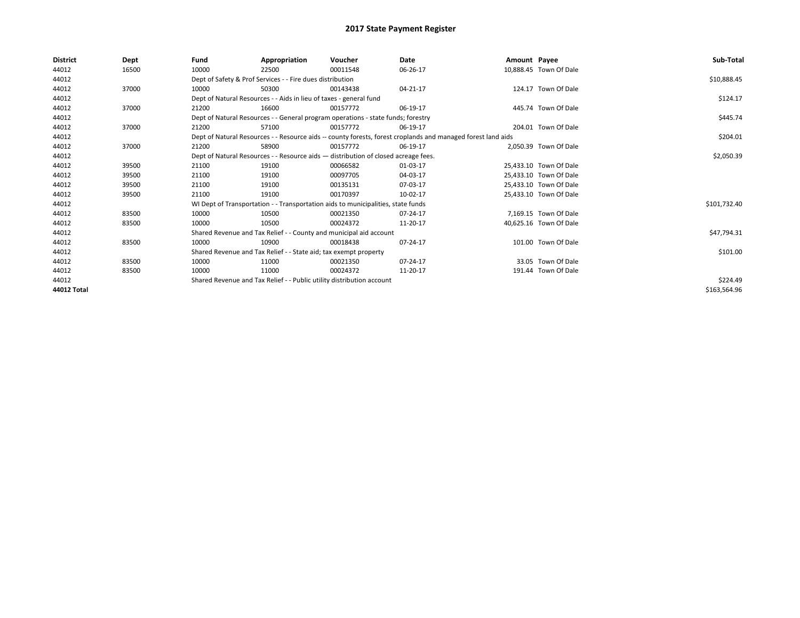| <b>District</b> | Dept  | Fund                                                                  | Appropriation                                                                      | Voucher  | Date                                                                                                         | Amount Payee |                        | Sub-Total    |
|-----------------|-------|-----------------------------------------------------------------------|------------------------------------------------------------------------------------|----------|--------------------------------------------------------------------------------------------------------------|--------------|------------------------|--------------|
| 44012           | 16500 | 10000                                                                 | 22500                                                                              | 00011548 | 06-26-17                                                                                                     |              | 10.888.45 Town Of Dale |              |
| 44012           |       |                                                                       | Dept of Safety & Prof Services - - Fire dues distribution                          |          |                                                                                                              |              |                        | \$10,888.45  |
| 44012           | 37000 | 10000                                                                 | 50300                                                                              | 00143438 | 04-21-17                                                                                                     |              | 124.17 Town Of Dale    |              |
| 44012           |       |                                                                       | Dept of Natural Resources - - Aids in lieu of taxes - general fund                 |          |                                                                                                              |              |                        | \$124.17     |
| 44012           | 37000 | 21200                                                                 | 16600                                                                              | 00157772 | 06-19-17                                                                                                     |              | 445.74 Town Of Dale    |              |
| 44012           |       |                                                                       | Dept of Natural Resources - - General program operations - state funds; forestry   |          |                                                                                                              |              |                        | \$445.74     |
| 44012           | 37000 | 21200                                                                 | 57100                                                                              | 00157772 | 06-19-17                                                                                                     |              | 204.01 Town Of Dale    |              |
| 44012           |       |                                                                       |                                                                                    |          | Dept of Natural Resources - - Resource aids -- county forests, forest croplands and managed forest land aids |              |                        | \$204.01     |
| 44012           | 37000 | 21200                                                                 | 58900                                                                              | 00157772 | 06-19-17                                                                                                     |              | 2.050.39 Town Of Dale  |              |
| 44012           |       |                                                                       | Dept of Natural Resources - - Resource aids - distribution of closed acreage fees. |          |                                                                                                              |              |                        | \$2,050.39   |
| 44012           | 39500 | 21100                                                                 | 19100                                                                              | 00066582 | 01-03-17                                                                                                     |              | 25,433.10 Town Of Dale |              |
| 44012           | 39500 | 21100                                                                 | 19100                                                                              | 00097705 | 04-03-17                                                                                                     |              | 25,433.10 Town Of Dale |              |
| 44012           | 39500 | 21100                                                                 | 19100                                                                              | 00135131 | 07-03-17                                                                                                     |              | 25.433.10 Town Of Dale |              |
| 44012           | 39500 | 21100                                                                 | 19100                                                                              | 00170397 | 10-02-17                                                                                                     |              | 25,433.10 Town Of Dale |              |
| 44012           |       |                                                                       | WI Dept of Transportation - - Transportation aids to municipalities, state funds   |          |                                                                                                              |              |                        | \$101,732.40 |
| 44012           | 83500 | 10000                                                                 | 10500                                                                              | 00021350 | 07-24-17                                                                                                     |              | 7.169.15 Town Of Dale  |              |
| 44012           | 83500 | 10000                                                                 | 10500                                                                              | 00024372 | 11-20-17                                                                                                     |              | 40,625.16 Town Of Dale |              |
| 44012           |       |                                                                       | Shared Revenue and Tax Relief - - County and municipal aid account                 |          |                                                                                                              |              |                        | \$47,794.31  |
| 44012           | 83500 | 10000                                                                 | 10900                                                                              | 00018438 | 07-24-17                                                                                                     |              | 101.00 Town Of Dale    |              |
| 44012           |       |                                                                       | Shared Revenue and Tax Relief - - State aid; tax exempt property                   |          |                                                                                                              |              |                        | \$101.00     |
| 44012           | 83500 | 10000                                                                 | 11000                                                                              | 00021350 | 07-24-17                                                                                                     |              | 33.05 Town Of Dale     |              |
| 44012           | 83500 | 10000                                                                 | 11000                                                                              | 00024372 | 11-20-17                                                                                                     |              | 191.44 Town Of Dale    |              |
| 44012           |       | Shared Revenue and Tax Relief - - Public utility distribution account |                                                                                    | \$224.49 |                                                                                                              |              |                        |              |
| 44012 Total     |       |                                                                       |                                                                                    |          |                                                                                                              |              |                        | \$163,564.96 |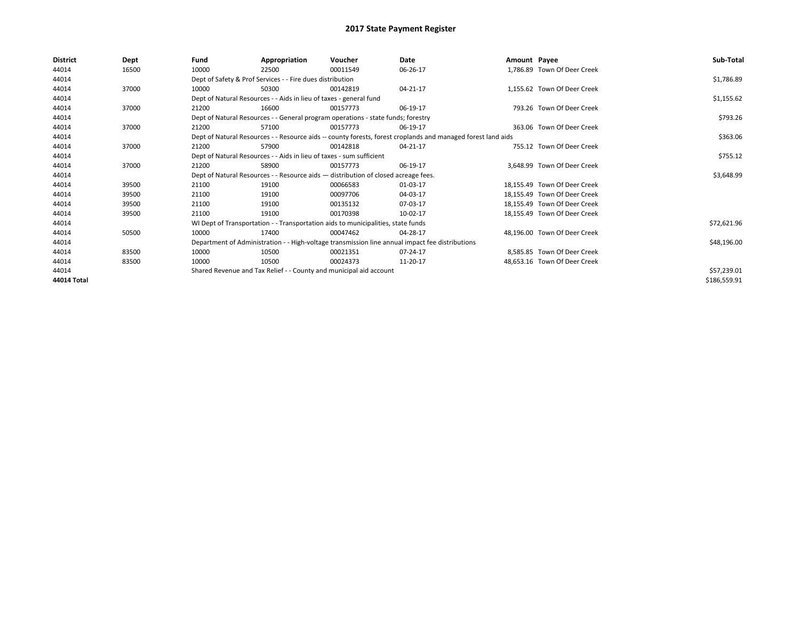| <b>District</b> | Dept  | Fund  | Appropriation                                                                                                | Voucher  | Date     | Amount Payee |                              | Sub-Total    |  |  |  |
|-----------------|-------|-------|--------------------------------------------------------------------------------------------------------------|----------|----------|--------------|------------------------------|--------------|--|--|--|
| 44014           | 16500 | 10000 | 22500                                                                                                        | 00011549 | 06-26-17 |              | 1,786.89 Town Of Deer Creek  |              |  |  |  |
| 44014           |       |       | Dept of Safety & Prof Services - - Fire dues distribution                                                    |          |          |              |                              | \$1,786.89   |  |  |  |
| 44014           | 37000 | 10000 | 50300                                                                                                        | 00142819 | 04-21-17 |              | 1,155.62 Town Of Deer Creek  |              |  |  |  |
| 44014           |       |       | Dept of Natural Resources - - Aids in lieu of taxes - general fund                                           |          |          |              |                              | \$1,155.62   |  |  |  |
| 44014           | 37000 | 21200 | 16600                                                                                                        | 00157773 | 06-19-17 |              | 793.26 Town Of Deer Creek    |              |  |  |  |
| 44014           |       |       | Dept of Natural Resources - - General program operations - state funds; forestry                             |          |          |              |                              | \$793.26     |  |  |  |
| 44014           | 37000 | 21200 | 57100                                                                                                        | 00157773 | 06-19-17 |              | 363.06 Town Of Deer Creek    |              |  |  |  |
| 44014           |       |       | Dept of Natural Resources - - Resource aids -- county forests, forest croplands and managed forest land aids |          | \$363.06 |              |                              |              |  |  |  |
| 44014           | 37000 | 21200 | 57900                                                                                                        | 00142818 | 04-21-17 |              | 755.12 Town Of Deer Creek    |              |  |  |  |
| 44014           |       |       | Dept of Natural Resources - - Aids in lieu of taxes - sum sufficient                                         |          |          |              |                              |              |  |  |  |
| 44014           | 37000 | 21200 | 58900                                                                                                        | 00157773 | 06-19-17 |              | 3.648.99 Town Of Deer Creek  |              |  |  |  |
| 44014           |       |       | Dept of Natural Resources - - Resource aids - distribution of closed acreage fees.                           |          |          |              |                              |              |  |  |  |
| 44014           | 39500 | 21100 | 19100                                                                                                        | 00066583 | 01-03-17 |              | 18.155.49 Town Of Deer Creek |              |  |  |  |
| 44014           | 39500 | 21100 | 19100                                                                                                        | 00097706 | 04-03-17 |              | 18,155.49 Town Of Deer Creek |              |  |  |  |
| 44014           | 39500 | 21100 | 19100                                                                                                        | 00135132 | 07-03-17 |              | 18.155.49 Town Of Deer Creek |              |  |  |  |
| 44014           | 39500 | 21100 | 19100                                                                                                        | 00170398 | 10-02-17 |              | 18,155.49 Town Of Deer Creek |              |  |  |  |
| 44014           |       |       | WI Dept of Transportation - - Transportation aids to municipalities, state funds                             |          |          |              |                              | \$72,621.96  |  |  |  |
| 44014           | 50500 | 10000 | 17400                                                                                                        | 00047462 | 04-28-17 |              | 48.196.00 Town Of Deer Creek |              |  |  |  |
| 44014           |       |       | Department of Administration - - High-voltage transmission line annual impact fee distributions              |          |          |              |                              | \$48,196.00  |  |  |  |
| 44014           | 83500 | 10000 | 10500                                                                                                        | 00021351 | 07-24-17 |              | 8.585.85 Town Of Deer Creek  |              |  |  |  |
| 44014           | 83500 | 10000 | 10500                                                                                                        | 00024373 | 11-20-17 |              | 48,653.16 Town Of Deer Creek |              |  |  |  |
| 44014           |       |       | Shared Revenue and Tax Relief - - County and municipal aid account                                           |          |          |              |                              |              |  |  |  |
| 44014 Total     |       |       |                                                                                                              |          |          |              |                              | \$186,559.91 |  |  |  |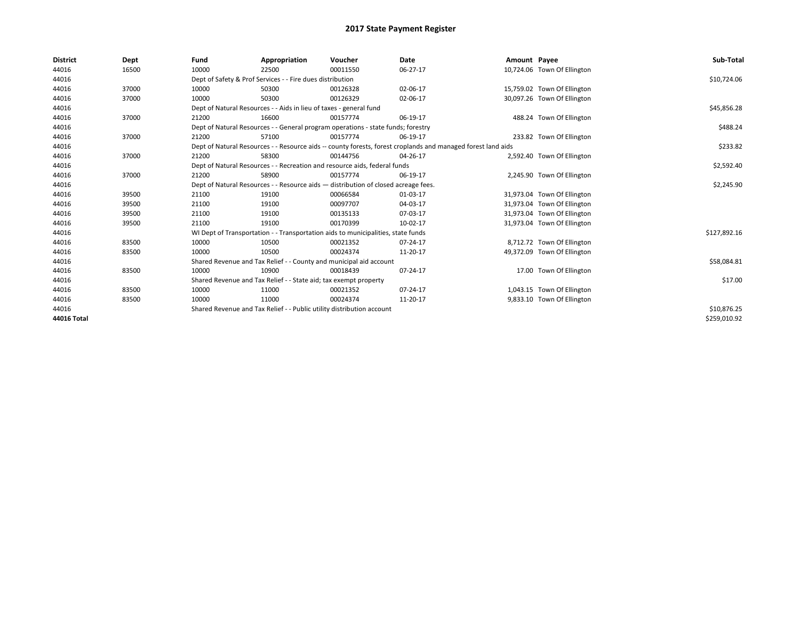| <b>District</b> | Dept  | Fund                                                                                                         | Appropriation                                                                    | Voucher    | Date     | Amount Payee |                             | Sub-Total    |
|-----------------|-------|--------------------------------------------------------------------------------------------------------------|----------------------------------------------------------------------------------|------------|----------|--------------|-----------------------------|--------------|
| 44016           | 16500 | 10000                                                                                                        | 22500                                                                            | 00011550   | 06-27-17 |              | 10,724.06 Town Of Ellington |              |
| 44016           |       |                                                                                                              | Dept of Safety & Prof Services - - Fire dues distribution                        |            |          |              |                             | \$10,724.06  |
| 44016           | 37000 | 10000                                                                                                        | 50300                                                                            | 00126328   | 02-06-17 |              | 15,759.02 Town Of Ellington |              |
| 44016           | 37000 | 10000                                                                                                        | 50300                                                                            | 00126329   | 02-06-17 |              | 30,097.26 Town Of Ellington |              |
| 44016           |       |                                                                                                              | Dept of Natural Resources - - Aids in lieu of taxes - general fund               |            |          |              |                             | \$45,856.28  |
| 44016           | 37000 | 21200                                                                                                        | 16600                                                                            | 00157774   | 06-19-17 |              | 488.24 Town Of Ellington    |              |
| 44016           |       |                                                                                                              | Dept of Natural Resources - - General program operations - state funds; forestry |            |          |              |                             | \$488.24     |
| 44016           | 37000 | 21200                                                                                                        | 57100                                                                            | 00157774   | 06-19-17 |              | 233.82 Town Of Ellington    |              |
| 44016           |       | Dept of Natural Resources - - Resource aids -- county forests, forest croplands and managed forest land aids |                                                                                  | \$233.82   |          |              |                             |              |
| 44016           | 37000 | 21200                                                                                                        | 58300                                                                            | 00144756   | 04-26-17 |              | 2,592.40 Town Of Ellington  |              |
| 44016           |       | Dept of Natural Resources - - Recreation and resource aids, federal funds                                    |                                                                                  | \$2,592.40 |          |              |                             |              |
| 44016           | 37000 | 21200                                                                                                        | 58900                                                                            | 00157774   | 06-19-17 |              | 2,245.90 Town Of Ellington  |              |
| 44016           |       | Dept of Natural Resources - - Resource aids - distribution of closed acreage fees.                           |                                                                                  | \$2,245.90 |          |              |                             |              |
| 44016           | 39500 | 21100                                                                                                        | 19100                                                                            | 00066584   | 01-03-17 |              | 31,973.04 Town Of Ellington |              |
| 44016           | 39500 | 21100                                                                                                        | 19100                                                                            | 00097707   | 04-03-17 |              | 31,973.04 Town Of Ellington |              |
| 44016           | 39500 | 21100                                                                                                        | 19100                                                                            | 00135133   | 07-03-17 |              | 31,973.04 Town Of Ellington |              |
| 44016           | 39500 | 21100                                                                                                        | 19100                                                                            | 00170399   | 10-02-17 |              | 31,973.04 Town Of Ellington |              |
| 44016           |       |                                                                                                              | WI Dept of Transportation - - Transportation aids to municipalities, state funds |            |          |              |                             | \$127,892.16 |
| 44016           | 83500 | 10000                                                                                                        | 10500                                                                            | 00021352   | 07-24-17 |              | 8,712.72 Town Of Ellington  |              |
| 44016           | 83500 | 10000                                                                                                        | 10500                                                                            | 00024374   | 11-20-17 |              | 49,372.09 Town Of Ellington |              |
| 44016           |       |                                                                                                              | Shared Revenue and Tax Relief - - County and municipal aid account               |            |          |              |                             | \$58,084.81  |
| 44016           | 83500 | 10000                                                                                                        | 10900                                                                            | 00018439   | 07-24-17 |              | 17.00 Town Of Ellington     |              |
| 44016           |       |                                                                                                              | Shared Revenue and Tax Relief - - State aid; tax exempt property                 |            |          |              |                             | \$17.00      |
| 44016           | 83500 | 10000                                                                                                        | 11000                                                                            | 00021352   | 07-24-17 |              | 1,043.15 Town Of Ellington  |              |
| 44016           | 83500 | 10000                                                                                                        | 11000                                                                            | 00024374   | 11-20-17 |              | 9,833.10 Town Of Ellington  |              |
| 44016           |       |                                                                                                              | Shared Revenue and Tax Relief - - Public utility distribution account            |            |          |              |                             | \$10,876.25  |
| 44016 Total     |       |                                                                                                              |                                                                                  |            |          |              |                             | \$259,010.92 |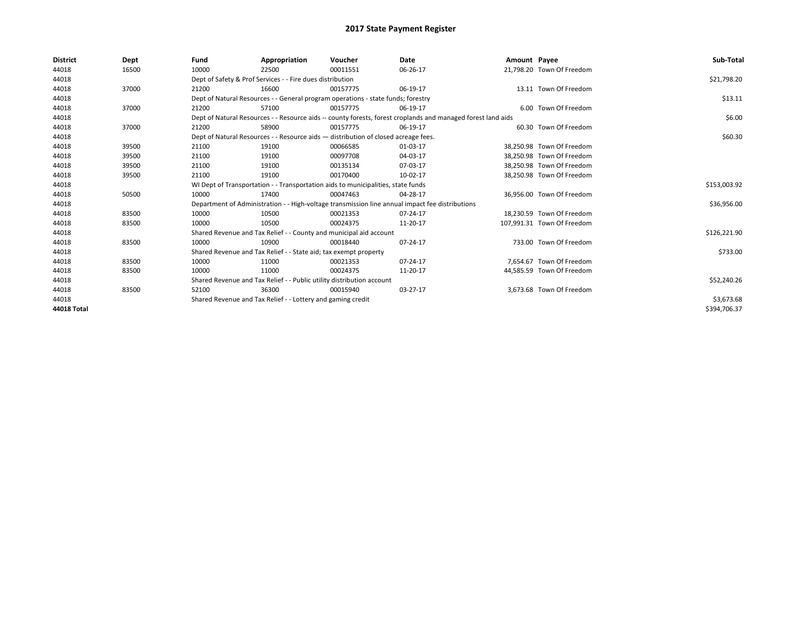| <b>District</b> | Dept  | Fund  | Appropriation                                                                                                | Voucher  | Date       | Amount Payee |                            | Sub-Total    |  |  |  |
|-----------------|-------|-------|--------------------------------------------------------------------------------------------------------------|----------|------------|--------------|----------------------------|--------------|--|--|--|
| 44018           | 16500 | 10000 | 22500                                                                                                        | 00011551 | 06-26-17   |              | 21,798.20 Town Of Freedom  |              |  |  |  |
| 44018           |       |       | Dept of Safety & Prof Services - - Fire dues distribution                                                    |          |            |              |                            | \$21,798.20  |  |  |  |
| 44018           | 37000 | 21200 | 16600                                                                                                        | 00157775 | 06-19-17   |              | 13.11 Town Of Freedom      |              |  |  |  |
| 44018           |       |       | Dept of Natural Resources - - General program operations - state funds; forestry                             |          |            |              |                            | \$13.11      |  |  |  |
| 44018           | 37000 | 21200 | 57100                                                                                                        | 00157775 | 06-19-17   |              | 6.00 Town Of Freedom       |              |  |  |  |
| 44018           |       |       | Dept of Natural Resources - - Resource aids -- county forests, forest croplands and managed forest land aids |          |            |              |                            | \$6.00       |  |  |  |
| 44018           | 37000 | 21200 | 58900                                                                                                        | 00157775 | 06-19-17   |              | 60.30 Town Of Freedom      |              |  |  |  |
| 44018           |       |       | Dept of Natural Resources - - Resource aids - distribution of closed acreage fees.                           |          |            |              |                            |              |  |  |  |
| 44018           | 39500 | 21100 | 19100                                                                                                        | 00066585 | 01-03-17   |              | 38,250.98 Town Of Freedom  |              |  |  |  |
| 44018           | 39500 | 21100 | 19100                                                                                                        | 00097708 | 04-03-17   |              | 38.250.98 Town Of Freedom  |              |  |  |  |
| 44018           | 39500 | 21100 | 19100                                                                                                        | 00135134 | 07-03-17   |              | 38.250.98 Town Of Freedom  |              |  |  |  |
| 44018           | 39500 | 21100 | 19100                                                                                                        | 00170400 | 10-02-17   |              | 38,250.98 Town Of Freedom  |              |  |  |  |
| 44018           |       |       | WI Dept of Transportation - - Transportation aids to municipalities, state funds                             |          |            |              |                            |              |  |  |  |
| 44018           | 50500 | 10000 | 17400                                                                                                        | 00047463 | 04-28-17   |              | 36,956.00 Town Of Freedom  |              |  |  |  |
| 44018           |       |       | Department of Administration - - High-voltage transmission line annual impact fee distributions              |          |            |              |                            | \$36,956.00  |  |  |  |
| 44018           | 83500 | 10000 | 10500                                                                                                        | 00021353 | 07-24-17   |              | 18.230.59 Town Of Freedom  |              |  |  |  |
| 44018           | 83500 | 10000 | 10500                                                                                                        | 00024375 | 11-20-17   |              | 107,991.31 Town Of Freedom |              |  |  |  |
| 44018           |       |       | Shared Revenue and Tax Relief - - County and municipal aid account                                           |          |            |              |                            | \$126,221.90 |  |  |  |
| 44018           | 83500 | 10000 | 10900                                                                                                        | 00018440 | 07-24-17   |              | 733.00 Town Of Freedom     |              |  |  |  |
| 44018           |       |       | Shared Revenue and Tax Relief - - State aid; tax exempt property                                             |          |            |              |                            | \$733.00     |  |  |  |
| 44018           | 83500 | 10000 | 11000                                                                                                        | 00021353 | 07-24-17   |              | 7.654.67 Town Of Freedom   |              |  |  |  |
| 44018           | 83500 | 10000 | 11000                                                                                                        | 00024375 | 11-20-17   |              | 44.585.59 Town Of Freedom  |              |  |  |  |
| 44018           |       |       | Shared Revenue and Tax Relief - - Public utility distribution account                                        |          |            |              |                            |              |  |  |  |
| 44018           | 83500 | 52100 | 36300                                                                                                        | 00015940 | $03-27-17$ |              | 3,673.68 Town Of Freedom   |              |  |  |  |
| 44018           |       |       | Shared Revenue and Tax Relief - - Lottery and gaming credit                                                  |          |            |              |                            |              |  |  |  |
| 44018 Total     |       |       |                                                                                                              |          |            |              |                            | \$394,706.37 |  |  |  |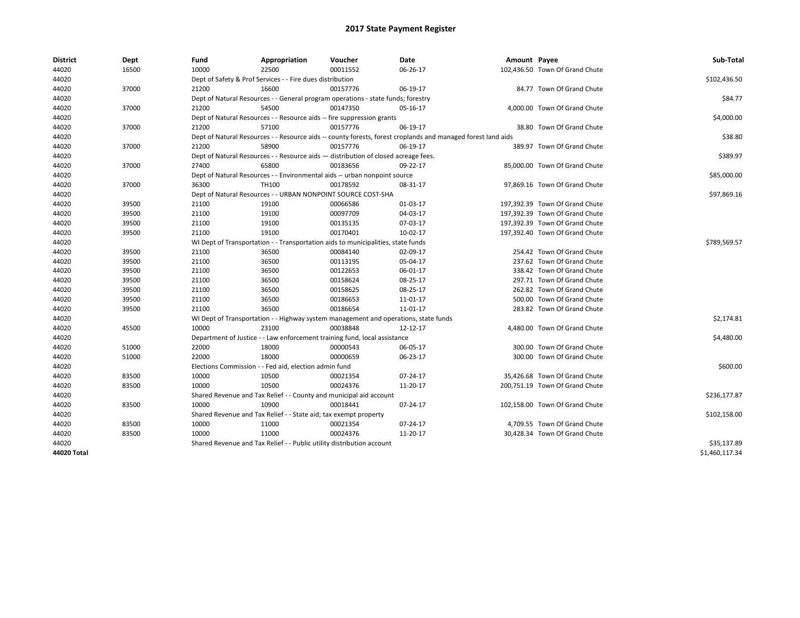| <b>District</b> | Dept  | Fund  | Appropriation                                                                       | Voucher  | Date                                                                                                         | Amount Payee |                                | Sub-Total      |  |  |  |  |
|-----------------|-------|-------|-------------------------------------------------------------------------------------|----------|--------------------------------------------------------------------------------------------------------------|--------------|--------------------------------|----------------|--|--|--|--|
| 44020           | 16500 | 10000 | 22500                                                                               | 00011552 | 06-26-17                                                                                                     |              | 102,436.50 Town Of Grand Chute |                |  |  |  |  |
| 44020           |       |       | Dept of Safety & Prof Services - - Fire dues distribution                           |          |                                                                                                              |              |                                | \$102,436.50   |  |  |  |  |
| 44020           | 37000 | 21200 | 16600                                                                               | 00157776 | 06-19-17                                                                                                     |              | 84.77 Town Of Grand Chute      |                |  |  |  |  |
| 44020           |       |       | Dept of Natural Resources - - General program operations - state funds; forestry    |          |                                                                                                              |              |                                | \$84.77        |  |  |  |  |
| 44020           | 37000 | 21200 | 54500                                                                               | 00147350 | 05-16-17                                                                                                     |              | 4,000.00 Town Of Grand Chute   |                |  |  |  |  |
| 44020           |       |       | Dept of Natural Resources - - Resource aids -- fire suppression grants              |          |                                                                                                              |              |                                | \$4,000.00     |  |  |  |  |
| 44020           | 37000 | 21200 | 57100                                                                               | 00157776 | 06-19-17                                                                                                     |              | 38.80 Town Of Grand Chute      |                |  |  |  |  |
| 44020           |       |       |                                                                                     |          | Dept of Natural Resources - - Resource aids -- county forests, forest croplands and managed forest land aids |              |                                | \$38.80        |  |  |  |  |
| 44020           | 37000 | 21200 | 58900                                                                               | 00157776 | 06-19-17                                                                                                     |              | 389.97 Town Of Grand Chute     |                |  |  |  |  |
| 44020           |       |       | Dept of Natural Resources - - Resource aids - distribution of closed acreage fees.  |          |                                                                                                              |              |                                | \$389.97       |  |  |  |  |
| 44020           | 37000 | 27400 | 65800                                                                               | 00183656 | 09-22-17                                                                                                     |              | 85,000.00 Town Of Grand Chute  |                |  |  |  |  |
| 44020           |       |       | Dept of Natural Resources - - Environmental aids -- urban nonpoint source           |          |                                                                                                              |              |                                |                |  |  |  |  |
| 44020           | 37000 | 36300 | TH100                                                                               | 00178592 | 08-31-17                                                                                                     |              | 97,869.16 Town Of Grand Chute  |                |  |  |  |  |
| 44020           |       |       | Dept of Natural Resources - - URBAN NONPOINT SOURCE COST-SHA                        |          |                                                                                                              |              |                                | \$97,869.16    |  |  |  |  |
| 44020           | 39500 | 21100 | 19100                                                                               | 00066586 | 01-03-17                                                                                                     |              | 197,392.39 Town Of Grand Chute |                |  |  |  |  |
| 44020           | 39500 | 21100 | 19100                                                                               | 00097709 | 04-03-17                                                                                                     |              | 197,392.39 Town Of Grand Chute |                |  |  |  |  |
| 44020           | 39500 | 21100 | 19100                                                                               | 00135135 | 07-03-17                                                                                                     |              | 197,392.39 Town Of Grand Chute |                |  |  |  |  |
| 44020           | 39500 | 21100 | 19100                                                                               | 00170401 | 10-02-17                                                                                                     |              | 197,392.40 Town Of Grand Chute |                |  |  |  |  |
| 44020           |       |       | WI Dept of Transportation - - Transportation aids to municipalities, state funds    |          |                                                                                                              |              |                                |                |  |  |  |  |
| 44020           | 39500 | 21100 | 36500                                                                               | 00084140 | 02-09-17                                                                                                     |              | 254.42 Town Of Grand Chute     |                |  |  |  |  |
| 44020           | 39500 | 21100 | 36500                                                                               | 00113195 | 05-04-17                                                                                                     |              | 237.62 Town Of Grand Chute     |                |  |  |  |  |
| 44020           | 39500 | 21100 | 36500                                                                               | 00122653 | 06-01-17                                                                                                     |              | 338.42 Town Of Grand Chute     |                |  |  |  |  |
| 44020           | 39500 | 21100 | 36500                                                                               | 00158624 | 08-25-17                                                                                                     |              | 297.71 Town Of Grand Chute     |                |  |  |  |  |
| 44020           | 39500 | 21100 | 36500                                                                               | 00158625 | 08-25-17                                                                                                     |              | 262.82 Town Of Grand Chute     |                |  |  |  |  |
| 44020           | 39500 | 21100 | 36500                                                                               | 00186653 | 11-01-17                                                                                                     |              | 500.00 Town Of Grand Chute     |                |  |  |  |  |
| 44020           | 39500 | 21100 | 36500                                                                               | 00186654 | 11-01-17                                                                                                     |              | 283.82 Town Of Grand Chute     |                |  |  |  |  |
| 44020           |       |       | WI Dept of Transportation - - Highway system management and operations, state funds |          |                                                                                                              |              |                                | \$2,174.81     |  |  |  |  |
| 44020           | 45500 | 10000 | 23100                                                                               | 00038848 | 12-12-17                                                                                                     |              | 4,480.00 Town Of Grand Chute   |                |  |  |  |  |
| 44020           |       |       | Department of Justice - - Law enforcement training fund, local assistance           |          |                                                                                                              |              |                                | \$4,480.00     |  |  |  |  |
| 44020           | 51000 | 22000 | 18000                                                                               | 00000543 | 06-05-17                                                                                                     |              | 300.00 Town Of Grand Chute     |                |  |  |  |  |
| 44020           | 51000 | 22000 | 18000                                                                               | 00000659 | 06-23-17                                                                                                     |              | 300.00 Town Of Grand Chute     |                |  |  |  |  |
| 44020           |       |       | Elections Commission - - Fed aid, election admin fund                               |          |                                                                                                              |              |                                | \$600.00       |  |  |  |  |
| 44020           | 83500 | 10000 | 10500                                                                               | 00021354 | 07-24-17                                                                                                     |              | 35,426.68 Town Of Grand Chute  |                |  |  |  |  |
| 44020           | 83500 | 10000 | 10500                                                                               | 00024376 | 11-20-17                                                                                                     |              | 200,751.19 Town Of Grand Chute |                |  |  |  |  |
| 44020           |       |       | Shared Revenue and Tax Relief - - County and municipal aid account                  |          |                                                                                                              |              |                                | \$236,177.87   |  |  |  |  |
| 44020           | 83500 | 10000 | 10900                                                                               | 00018441 | 07-24-17                                                                                                     |              | 102,158.00 Town Of Grand Chute |                |  |  |  |  |
| 44020           |       |       | Shared Revenue and Tax Relief - - State aid; tax exempt property                    |          |                                                                                                              |              |                                | \$102,158.00   |  |  |  |  |
| 44020           | 83500 | 10000 | 11000                                                                               | 00021354 | 07-24-17                                                                                                     |              | 4,709.55 Town Of Grand Chute   |                |  |  |  |  |
| 44020           | 83500 | 10000 | 11000                                                                               | 00024376 | 11-20-17                                                                                                     |              | 30,428.34 Town Of Grand Chute  |                |  |  |  |  |
| 44020           |       |       | Shared Revenue and Tax Relief - - Public utility distribution account               |          |                                                                                                              |              |                                | \$35,137.89    |  |  |  |  |
| 44020 Total     |       |       |                                                                                     |          |                                                                                                              |              |                                | \$1,460,117.34 |  |  |  |  |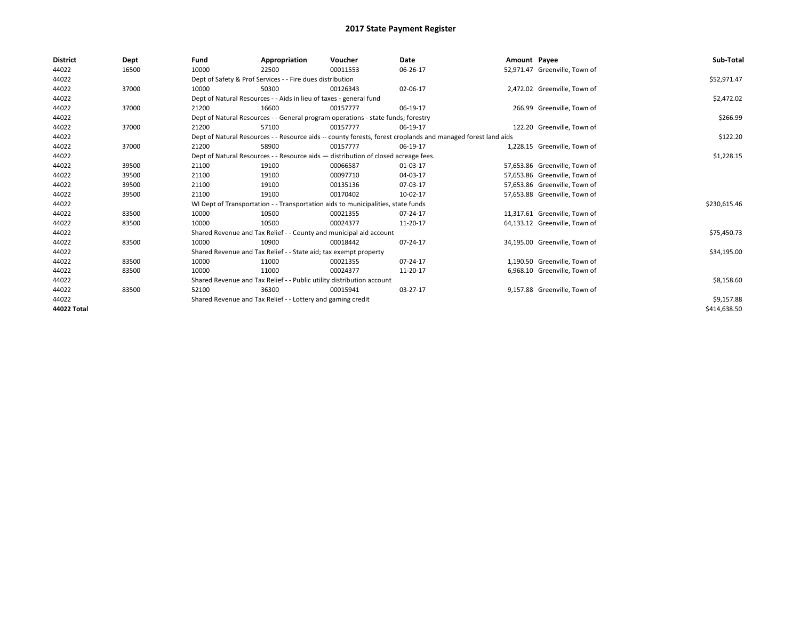| <b>District</b> | Dept  | Fund                                                                                                         | Appropriation                                                      | Voucher                                                                          | Date     | Amount Payee |                               | Sub-Total    |
|-----------------|-------|--------------------------------------------------------------------------------------------------------------|--------------------------------------------------------------------|----------------------------------------------------------------------------------|----------|--------------|-------------------------------|--------------|
| 44022           | 16500 | 10000                                                                                                        | 22500                                                              | 00011553                                                                         | 06-26-17 |              | 52,971.47 Greenville, Town of |              |
| 44022           |       |                                                                                                              | Dept of Safety & Prof Services - - Fire dues distribution          |                                                                                  |          |              |                               | \$52,971.47  |
| 44022           | 37000 | 10000                                                                                                        | 50300                                                              | 00126343                                                                         | 02-06-17 |              | 2,472.02 Greenville, Town of  |              |
| 44022           |       |                                                                                                              | Dept of Natural Resources - - Aids in lieu of taxes - general fund |                                                                                  |          |              |                               | \$2,472.02   |
| 44022           | 37000 | 21200                                                                                                        | 16600                                                              | 00157777                                                                         | 06-19-17 |              | 266.99 Greenville, Town of    |              |
| 44022           |       | Dept of Natural Resources - - General program operations - state funds; forestry                             |                                                                    | \$266.99                                                                         |          |              |                               |              |
| 44022           | 37000 | 21200                                                                                                        | 57100                                                              | 00157777                                                                         | 06-19-17 |              | 122.20 Greenville, Town of    |              |
| 44022           |       | Dept of Natural Resources - - Resource aids -- county forests, forest croplands and managed forest land aids |                                                                    | \$122.20                                                                         |          |              |                               |              |
| 44022           | 37000 | 21200                                                                                                        | 58900                                                              | 00157777                                                                         | 06-19-17 |              | 1,228.15 Greenville, Town of  |              |
| 44022           |       | Dept of Natural Resources - - Resource aids - distribution of closed acreage fees.                           |                                                                    | \$1,228.15                                                                       |          |              |                               |              |
| 44022           | 39500 | 21100                                                                                                        | 19100                                                              | 00066587                                                                         | 01-03-17 |              | 57,653.86 Greenville, Town of |              |
| 44022           | 39500 | 21100                                                                                                        | 19100                                                              | 00097710                                                                         | 04-03-17 |              | 57,653.86 Greenville, Town of |              |
| 44022           | 39500 | 21100                                                                                                        | 19100                                                              | 00135136                                                                         | 07-03-17 |              | 57,653.86 Greenville, Town of |              |
| 44022           | 39500 | 21100                                                                                                        | 19100                                                              | 00170402                                                                         | 10-02-17 |              | 57,653.88 Greenville, Town of |              |
| 44022           |       |                                                                                                              |                                                                    | WI Dept of Transportation - - Transportation aids to municipalities, state funds |          |              |                               | \$230,615.46 |
| 44022           | 83500 | 10000                                                                                                        | 10500                                                              | 00021355                                                                         | 07-24-17 |              | 11,317.61 Greenville, Town of |              |
| 44022           | 83500 | 10000                                                                                                        | 10500                                                              | 00024377                                                                         | 11-20-17 |              | 64,133.12 Greenville, Town of |              |
| 44022           |       |                                                                                                              |                                                                    | Shared Revenue and Tax Relief - - County and municipal aid account               |          |              |                               | \$75,450.73  |
| 44022           | 83500 | 10000                                                                                                        | 10900                                                              | 00018442                                                                         | 07-24-17 |              | 34,195.00 Greenville, Town of |              |
| 44022           |       |                                                                                                              | Shared Revenue and Tax Relief - - State aid; tax exempt property   |                                                                                  |          |              |                               | \$34,195.00  |
| 44022           | 83500 | 10000                                                                                                        | 11000                                                              | 00021355                                                                         | 07-24-17 |              | 1,190.50 Greenville, Town of  |              |
| 44022           | 83500 | 10000                                                                                                        | 11000                                                              | 00024377                                                                         | 11-20-17 |              | 6,968.10 Greenville, Town of  |              |
| 44022           |       | Shared Revenue and Tax Relief - - Public utility distribution account                                        |                                                                    | \$8,158.60                                                                       |          |              |                               |              |
| 44022           | 83500 | 52100                                                                                                        | 36300                                                              | 00015941                                                                         | 03-27-17 |              | 9,157.88 Greenville, Town of  |              |
| 44022           |       | Shared Revenue and Tax Relief - - Lottery and gaming credit                                                  |                                                                    | \$9,157.88                                                                       |          |              |                               |              |
| 44022 Total     |       |                                                                                                              |                                                                    |                                                                                  |          |              |                               | \$414,638.50 |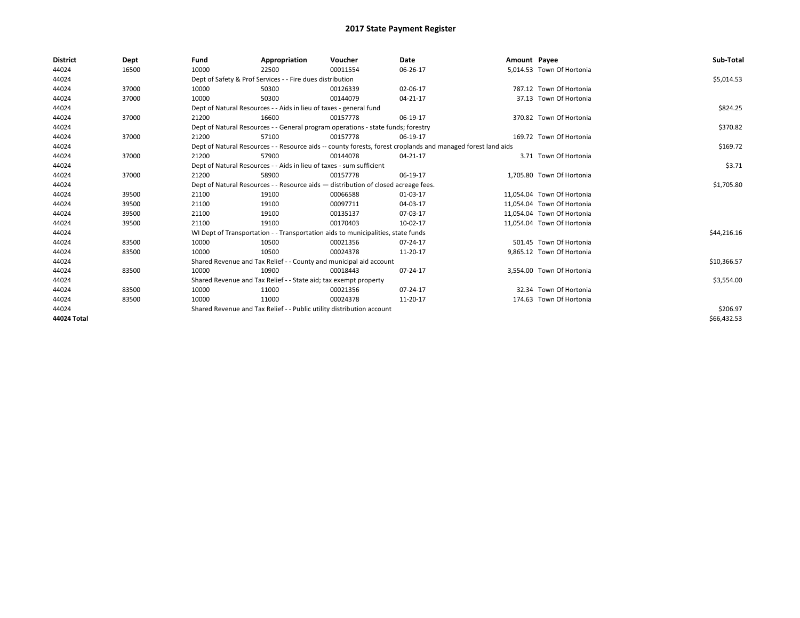| <b>District</b> | <b>Dept</b> | Fund  | Appropriation                                                                                                | Voucher  | Date     | Amount Payee |                            | Sub-Total   |  |  |  |
|-----------------|-------------|-------|--------------------------------------------------------------------------------------------------------------|----------|----------|--------------|----------------------------|-------------|--|--|--|
| 44024           | 16500       | 10000 | 22500                                                                                                        | 00011554 | 06-26-17 |              | 5,014.53 Town Of Hortonia  |             |  |  |  |
| 44024           |             |       | Dept of Safety & Prof Services - - Fire dues distribution                                                    |          |          |              |                            | \$5,014.53  |  |  |  |
| 44024           | 37000       | 10000 | 50300                                                                                                        | 00126339 | 02-06-17 |              | 787.12 Town Of Hortonia    |             |  |  |  |
| 44024           | 37000       | 10000 | 50300                                                                                                        | 00144079 | 04-21-17 |              | 37.13 Town Of Hortonia     |             |  |  |  |
| 44024           |             |       | Dept of Natural Resources - - Aids in lieu of taxes - general fund                                           |          |          |              |                            | \$824.25    |  |  |  |
| 44024           | 37000       | 21200 | 16600                                                                                                        | 00157778 | 06-19-17 |              | 370.82 Town Of Hortonia    |             |  |  |  |
| 44024           |             |       | Dept of Natural Resources - - General program operations - state funds; forestry                             |          |          |              |                            |             |  |  |  |
| 44024           | 37000       | 21200 | 57100                                                                                                        | 00157778 | 06-19-17 |              | 169.72 Town Of Hortonia    |             |  |  |  |
| 44024           |             |       | Dept of Natural Resources - - Resource aids -- county forests, forest croplands and managed forest land aids |          |          |              |                            |             |  |  |  |
| 44024           | 37000       | 21200 | 57900                                                                                                        | 00144078 | 04-21-17 |              | 3.71 Town Of Hortonia      |             |  |  |  |
| 44024           |             |       | Dept of Natural Resources - - Aids in lieu of taxes - sum sufficient                                         |          |          |              |                            |             |  |  |  |
| 44024           | 37000       | 21200 | 58900                                                                                                        | 00157778 | 06-19-17 |              | 1.705.80 Town Of Hortonia  |             |  |  |  |
| 44024           |             |       | Dept of Natural Resources - - Resource aids - distribution of closed acreage fees.                           |          |          |              |                            |             |  |  |  |
| 44024           | 39500       | 21100 | 19100                                                                                                        | 00066588 | 01-03-17 |              | 11,054.04 Town Of Hortonia |             |  |  |  |
| 44024           | 39500       | 21100 | 19100                                                                                                        | 00097711 | 04-03-17 |              | 11,054.04 Town Of Hortonia |             |  |  |  |
| 44024           | 39500       | 21100 | 19100                                                                                                        | 00135137 | 07-03-17 |              | 11,054.04 Town Of Hortonia |             |  |  |  |
| 44024           | 39500       | 21100 | 19100                                                                                                        | 00170403 | 10-02-17 |              | 11,054.04 Town Of Hortonia |             |  |  |  |
| 44024           |             |       | WI Dept of Transportation - - Transportation aids to municipalities, state funds                             |          |          |              |                            | \$44,216.16 |  |  |  |
| 44024           | 83500       | 10000 | 10500                                                                                                        | 00021356 | 07-24-17 |              | 501.45 Town Of Hortonia    |             |  |  |  |
| 44024           | 83500       | 10000 | 10500                                                                                                        | 00024378 | 11-20-17 |              | 9,865.12 Town Of Hortonia  |             |  |  |  |
| 44024           |             |       | Shared Revenue and Tax Relief - - County and municipal aid account                                           |          |          |              |                            | \$10,366.57 |  |  |  |
| 44024           | 83500       | 10000 | 10900                                                                                                        | 00018443 | 07-24-17 |              | 3.554.00 Town Of Hortonia  |             |  |  |  |
| 44024           |             |       | Shared Revenue and Tax Relief - - State aid; tax exempt property                                             |          |          |              |                            | \$3,554.00  |  |  |  |
| 44024           | 83500       | 10000 | 11000                                                                                                        | 00021356 | 07-24-17 |              | 32.34 Town Of Hortonia     |             |  |  |  |
| 44024           | 83500       | 10000 | 11000                                                                                                        | 00024378 | 11-20-17 |              | 174.63 Town Of Hortonia    |             |  |  |  |
| 44024           |             |       | Shared Revenue and Tax Relief - - Public utility distribution account                                        |          |          |              |                            | \$206.97    |  |  |  |
| 44024 Total     |             |       |                                                                                                              |          |          |              |                            | \$66,432.53 |  |  |  |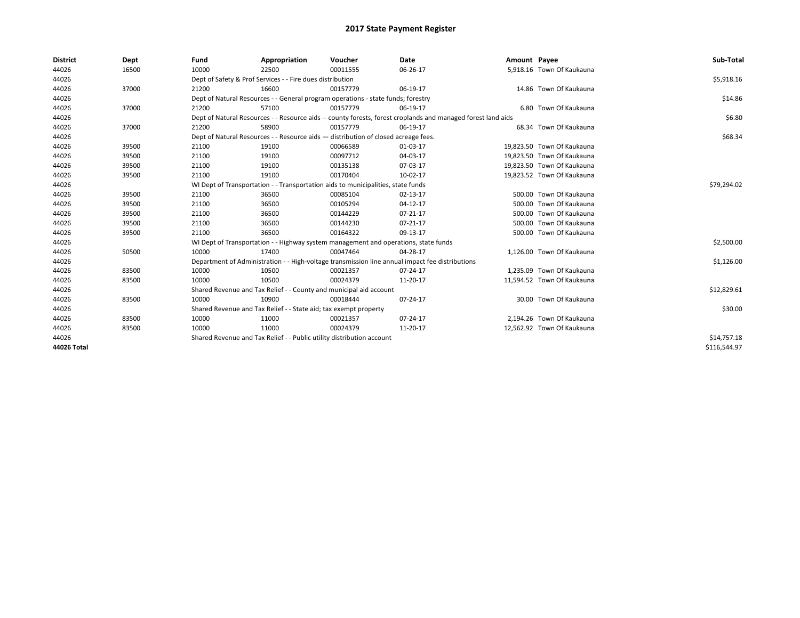| <b>District</b> | Dept  | Fund                                                                                                         | Appropriation                                                                       | Voucher     | <b>Date</b>                                                                                     | Amount Payee |                            | Sub-Total    |
|-----------------|-------|--------------------------------------------------------------------------------------------------------------|-------------------------------------------------------------------------------------|-------------|-------------------------------------------------------------------------------------------------|--------------|----------------------------|--------------|
| 44026           | 16500 | 10000                                                                                                        | 22500                                                                               | 00011555    | 06-26-17                                                                                        |              | 5,918.16 Town Of Kaukauna  |              |
| 44026           |       |                                                                                                              | Dept of Safety & Prof Services - - Fire dues distribution                           |             |                                                                                                 |              |                            | \$5,918.16   |
| 44026           | 37000 | 21200                                                                                                        | 16600                                                                               | 00157779    | 06-19-17                                                                                        |              | 14.86 Town Of Kaukauna     |              |
| 44026           |       |                                                                                                              | Dept of Natural Resources - - General program operations - state funds; forestry    |             |                                                                                                 |              |                            | \$14.86      |
| 44026           | 37000 | 21200                                                                                                        | 57100                                                                               | 00157779    | 06-19-17                                                                                        |              | 6.80 Town Of Kaukauna      |              |
| 44026           |       | Dept of Natural Resources - - Resource aids -- county forests, forest croplands and managed forest land aids |                                                                                     | \$6.80      |                                                                                                 |              |                            |              |
| 44026           | 37000 | 21200                                                                                                        | 58900                                                                               | 00157779    | 06-19-17                                                                                        |              | 68.34 Town Of Kaukauna     |              |
| 44026           |       | Dept of Natural Resources - - Resource aids - distribution of closed acreage fees.                           |                                                                                     | \$68.34     |                                                                                                 |              |                            |              |
| 44026           | 39500 | 21100                                                                                                        | 19100                                                                               | 00066589    | 01-03-17                                                                                        |              | 19,823.50 Town Of Kaukauna |              |
| 44026           | 39500 | 21100                                                                                                        | 19100                                                                               | 00097712    | 04-03-17                                                                                        |              | 19,823.50 Town Of Kaukauna |              |
| 44026           | 39500 | 21100                                                                                                        | 19100                                                                               | 00135138    | 07-03-17                                                                                        |              | 19.823.50 Town Of Kaukauna |              |
| 44026           | 39500 | 21100                                                                                                        | 19100                                                                               | 00170404    | 10-02-17                                                                                        |              | 19,823.52 Town Of Kaukauna |              |
| 44026           |       | WI Dept of Transportation - - Transportation aids to municipalities, state funds                             |                                                                                     | \$79,294.02 |                                                                                                 |              |                            |              |
| 44026           | 39500 | 21100                                                                                                        | 36500                                                                               | 00085104    | 02-13-17                                                                                        |              | 500.00 Town Of Kaukauna    |              |
| 44026           | 39500 | 21100                                                                                                        | 36500                                                                               | 00105294    | 04-12-17                                                                                        |              | 500.00 Town Of Kaukauna    |              |
| 44026           | 39500 | 21100                                                                                                        | 36500                                                                               | 00144229    | 07-21-17                                                                                        |              | 500.00 Town Of Kaukauna    |              |
| 44026           | 39500 | 21100                                                                                                        | 36500                                                                               | 00144230    | 07-21-17                                                                                        |              | 500.00 Town Of Kaukauna    |              |
| 44026           | 39500 | 21100                                                                                                        | 36500                                                                               | 00164322    | 09-13-17                                                                                        |              | 500.00 Town Of Kaukauna    |              |
| 44026           |       |                                                                                                              | WI Dept of Transportation - - Highway system management and operations, state funds |             |                                                                                                 |              |                            | \$2,500.00   |
| 44026           | 50500 | 10000                                                                                                        | 17400                                                                               | 00047464    | 04-28-17                                                                                        |              | 1,126.00 Town Of Kaukauna  |              |
| 44026           |       |                                                                                                              |                                                                                     |             | Department of Administration - - High-voltage transmission line annual impact fee distributions |              |                            | \$1,126.00   |
| 44026           | 83500 | 10000                                                                                                        | 10500                                                                               | 00021357    | 07-24-17                                                                                        |              | 1.235.09 Town Of Kaukauna  |              |
| 44026           | 83500 | 10000                                                                                                        | 10500                                                                               | 00024379    | 11-20-17                                                                                        |              | 11,594.52 Town Of Kaukauna |              |
| 44026           |       |                                                                                                              | Shared Revenue and Tax Relief - - County and municipal aid account                  |             |                                                                                                 |              |                            | \$12,829.61  |
| 44026           | 83500 | 10000                                                                                                        | 10900                                                                               | 00018444    | 07-24-17                                                                                        |              | 30.00 Town Of Kaukauna     |              |
| 44026           |       | Shared Revenue and Tax Relief - - State aid; tax exempt property                                             |                                                                                     | \$30.00     |                                                                                                 |              |                            |              |
| 44026           | 83500 | 10000                                                                                                        | 11000                                                                               | 00021357    | 07-24-17                                                                                        |              | 2.194.26 Town Of Kaukauna  |              |
| 44026           | 83500 | 10000                                                                                                        | 11000                                                                               | 00024379    | 11-20-17                                                                                        |              | 12,562.92 Town Of Kaukauna |              |
| 44026           |       | Shared Revenue and Tax Relief - - Public utility distribution account                                        |                                                                                     | \$14,757.18 |                                                                                                 |              |                            |              |
| 44026 Total     |       |                                                                                                              |                                                                                     |             |                                                                                                 |              |                            | \$116,544.97 |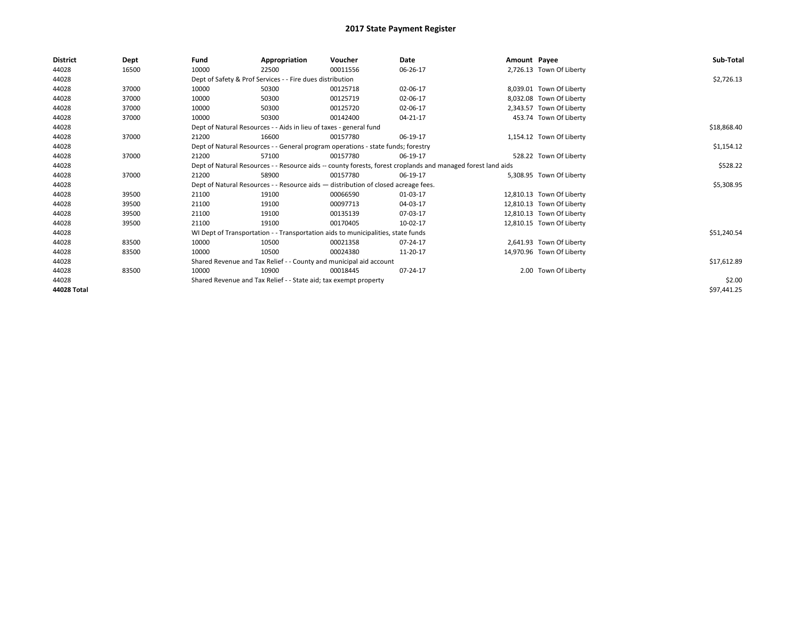| <b>District</b> | Dept  | Fund                                                                                                         | Appropriation                                                                      | Voucher  | Date     | Amount Payee |                           | Sub-Total   |
|-----------------|-------|--------------------------------------------------------------------------------------------------------------|------------------------------------------------------------------------------------|----------|----------|--------------|---------------------------|-------------|
| 44028           | 16500 | 10000                                                                                                        | 22500                                                                              | 00011556 | 06-26-17 |              | 2,726.13 Town Of Liberty  |             |
| 44028           |       |                                                                                                              | Dept of Safety & Prof Services - - Fire dues distribution                          |          |          |              |                           | \$2,726.13  |
| 44028           | 37000 | 10000                                                                                                        | 50300                                                                              | 00125718 | 02-06-17 |              | 8,039.01 Town Of Liberty  |             |
| 44028           | 37000 | 10000                                                                                                        | 50300                                                                              | 00125719 | 02-06-17 |              | 8,032.08 Town Of Liberty  |             |
| 44028           | 37000 | 10000                                                                                                        | 50300                                                                              | 00125720 | 02-06-17 |              | 2,343.57 Town Of Liberty  |             |
| 44028           | 37000 | 10000                                                                                                        | 50300                                                                              | 00142400 | 04-21-17 |              | 453.74 Town Of Liberty    |             |
| 44028           |       |                                                                                                              | Dept of Natural Resources - - Aids in lieu of taxes - general fund                 |          |          |              |                           | \$18,868.40 |
| 44028           | 37000 | 21200                                                                                                        | 16600                                                                              | 00157780 | 06-19-17 |              | 1,154.12 Town Of Liberty  |             |
| 44028           |       |                                                                                                              | Dept of Natural Resources - - General program operations - state funds; forestry   |          |          |              |                           | \$1,154.12  |
| 44028           | 37000 | 21200                                                                                                        | 57100                                                                              | 00157780 | 06-19-17 |              | 528.22 Town Of Liberty    |             |
| 44028           |       | Dept of Natural Resources - - Resource aids -- county forests, forest croplands and managed forest land aids |                                                                                    | \$528.22 |          |              |                           |             |
| 44028           | 37000 | 21200                                                                                                        | 58900                                                                              | 00157780 | 06-19-17 |              | 5,308.95 Town Of Liberty  |             |
| 44028           |       |                                                                                                              | Dept of Natural Resources - - Resource aids - distribution of closed acreage fees. |          |          |              |                           | \$5,308.95  |
| 44028           | 39500 | 21100                                                                                                        | 19100                                                                              | 00066590 | 01-03-17 |              | 12,810.13 Town Of Liberty |             |
| 44028           | 39500 | 21100                                                                                                        | 19100                                                                              | 00097713 | 04-03-17 |              | 12,810.13 Town Of Liberty |             |
| 44028           | 39500 | 21100                                                                                                        | 19100                                                                              | 00135139 | 07-03-17 |              | 12,810.13 Town Of Liberty |             |
| 44028           | 39500 | 21100                                                                                                        | 19100                                                                              | 00170405 | 10-02-17 |              | 12,810.15 Town Of Liberty |             |
| 44028           |       |                                                                                                              | WI Dept of Transportation - - Transportation aids to municipalities, state funds   |          |          |              |                           | \$51,240.54 |
| 44028           | 83500 | 10000                                                                                                        | 10500                                                                              | 00021358 | 07-24-17 |              | 2,641.93 Town Of Liberty  |             |
| 44028           | 83500 | 10000                                                                                                        | 10500                                                                              | 00024380 | 11-20-17 |              | 14,970.96 Town Of Liberty |             |
| 44028           |       |                                                                                                              | Shared Revenue and Tax Relief - - County and municipal aid account                 |          |          |              |                           | \$17,612.89 |
| 44028           | 83500 | 10000                                                                                                        | 10900                                                                              | 00018445 | 07-24-17 |              | 2.00 Town Of Liberty      |             |
| 44028           |       | Shared Revenue and Tax Relief - - State aid; tax exempt property                                             |                                                                                    | \$2.00   |          |              |                           |             |
| 44028 Total     |       |                                                                                                              |                                                                                    |          |          |              |                           | \$97,441.25 |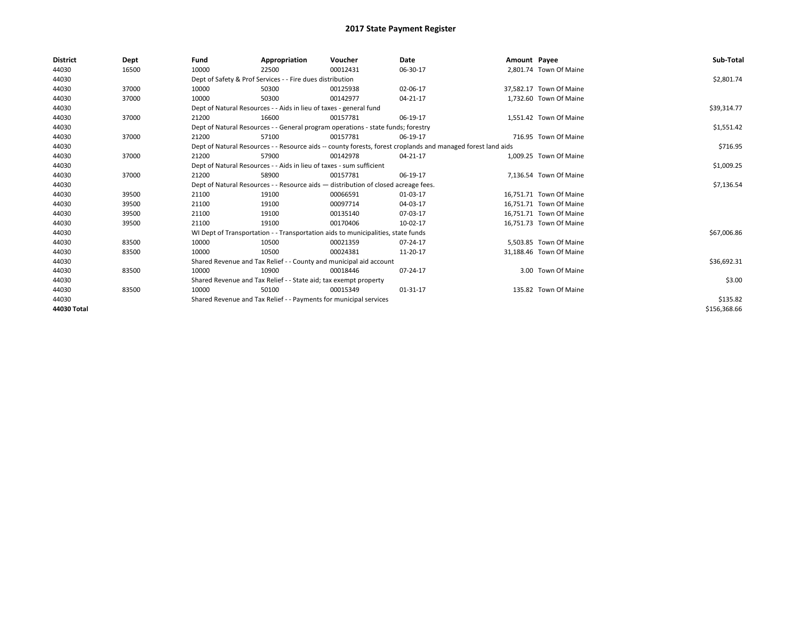| <b>District</b> | Dept  | Fund                                                                                                         | Appropriation                                                      | Voucher                                                                          | <b>Date</b> | Amount Payee |                         | Sub-Total    |
|-----------------|-------|--------------------------------------------------------------------------------------------------------------|--------------------------------------------------------------------|----------------------------------------------------------------------------------|-------------|--------------|-------------------------|--------------|
| 44030           | 16500 | 10000                                                                                                        | 22500                                                              | 00012431                                                                         | 06-30-17    |              | 2.801.74 Town Of Maine  |              |
| 44030           |       |                                                                                                              | Dept of Safety & Prof Services - - Fire dues distribution          |                                                                                  |             |              |                         | \$2,801.74   |
| 44030           | 37000 | 10000                                                                                                        | 50300                                                              | 00125938                                                                         | 02-06-17    |              | 37,582.17 Town Of Maine |              |
| 44030           | 37000 | 10000                                                                                                        | 50300                                                              | 00142977                                                                         | 04-21-17    |              | 1,732.60 Town Of Maine  |              |
| 44030           |       |                                                                                                              | Dept of Natural Resources - - Aids in lieu of taxes - general fund |                                                                                  |             |              |                         | \$39,314.77  |
| 44030           | 37000 | 21200                                                                                                        | 16600                                                              | 00157781                                                                         | 06-19-17    |              | 1,551.42 Town Of Maine  |              |
| 44030           |       |                                                                                                              |                                                                    | Dept of Natural Resources - - General program operations - state funds; forestry |             |              |                         | \$1,551.42   |
| 44030           | 37000 | 21200                                                                                                        | 57100                                                              | 00157781                                                                         | 06-19-17    |              | 716.95 Town Of Maine    |              |
| 44030           |       | Dept of Natural Resources - - Resource aids -- county forests, forest croplands and managed forest land aids |                                                                    | \$716.95                                                                         |             |              |                         |              |
| 44030           | 37000 | 21200                                                                                                        | 57900                                                              | 00142978                                                                         | 04-21-17    |              | 1,009.25 Town Of Maine  |              |
| 44030           |       | Dept of Natural Resources - - Aids in lieu of taxes - sum sufficient                                         |                                                                    | \$1,009.25                                                                       |             |              |                         |              |
| 44030           | 37000 | 21200                                                                                                        | 58900                                                              | 00157781                                                                         | 06-19-17    |              | 7,136.54 Town Of Maine  |              |
| 44030           |       | Dept of Natural Resources - - Resource aids - distribution of closed acreage fees.                           |                                                                    | \$7,136.54                                                                       |             |              |                         |              |
| 44030           | 39500 | 21100                                                                                                        | 19100                                                              | 00066591                                                                         | 01-03-17    |              | 16,751.71 Town Of Maine |              |
| 44030           | 39500 | 21100                                                                                                        | 19100                                                              | 00097714                                                                         | 04-03-17    |              | 16,751.71 Town Of Maine |              |
| 44030           | 39500 | 21100                                                                                                        | 19100                                                              | 00135140                                                                         | 07-03-17    |              | 16.751.71 Town Of Maine |              |
| 44030           | 39500 | 21100                                                                                                        | 19100                                                              | 00170406                                                                         | 10-02-17    |              | 16,751.73 Town Of Maine |              |
| 44030           |       |                                                                                                              |                                                                    | WI Dept of Transportation - - Transportation aids to municipalities, state funds |             |              |                         | \$67,006.86  |
| 44030           | 83500 | 10000                                                                                                        | 10500                                                              | 00021359                                                                         | 07-24-17    |              | 5.503.85 Town Of Maine  |              |
| 44030           | 83500 | 10000                                                                                                        | 10500                                                              | 00024381                                                                         | 11-20-17    |              | 31,188.46 Town Of Maine |              |
| 44030           |       |                                                                                                              |                                                                    | Shared Revenue and Tax Relief - - County and municipal aid account               |             |              |                         | \$36,692.31  |
| 44030           | 83500 | 10000                                                                                                        | 10900                                                              | 00018446                                                                         | 07-24-17    |              | 3.00 Town Of Maine      |              |
| 44030           |       | Shared Revenue and Tax Relief - - State aid; tax exempt property                                             |                                                                    | \$3.00                                                                           |             |              |                         |              |
| 44030           | 83500 | 10000                                                                                                        | 50100                                                              | 00015349                                                                         | 01-31-17    |              | 135.82 Town Of Maine    |              |
| 44030           |       | Shared Revenue and Tax Relief - - Payments for municipal services                                            |                                                                    | \$135.82                                                                         |             |              |                         |              |
| 44030 Total     |       |                                                                                                              |                                                                    |                                                                                  |             |              |                         | \$156,368.66 |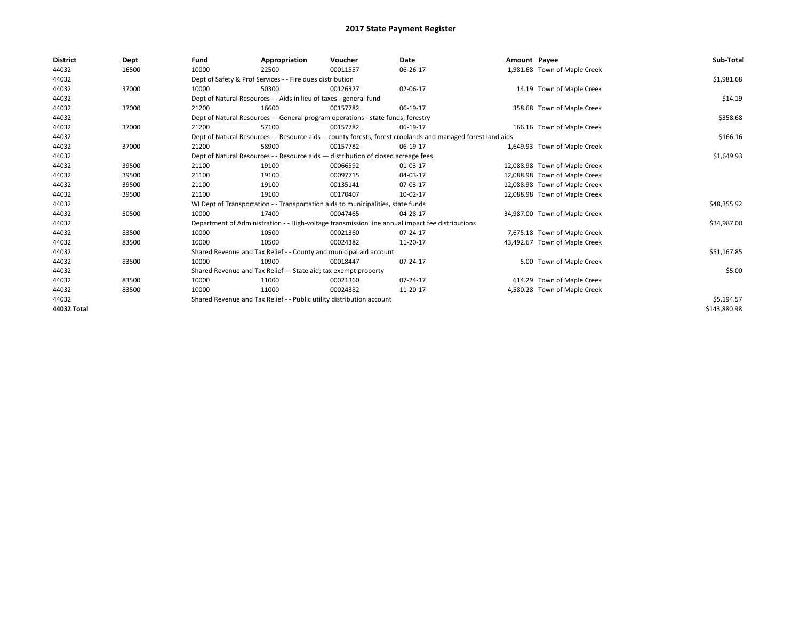| <b>District</b> | Dept  | Fund                                                                                                         | Appropriation                                                                    | Voucher    | Date                                                                                            | Amount Payee |                               | Sub-Total    |
|-----------------|-------|--------------------------------------------------------------------------------------------------------------|----------------------------------------------------------------------------------|------------|-------------------------------------------------------------------------------------------------|--------------|-------------------------------|--------------|
| 44032           | 16500 | 10000                                                                                                        | 22500                                                                            | 00011557   | 06-26-17                                                                                        |              | 1,981.68 Town of Maple Creek  |              |
| 44032           |       |                                                                                                              | Dept of Safety & Prof Services - - Fire dues distribution                        |            |                                                                                                 |              |                               | \$1,981.68   |
| 44032           | 37000 | 10000                                                                                                        | 50300                                                                            | 00126327   | 02-06-17                                                                                        |              | 14.19 Town of Maple Creek     |              |
| 44032           |       |                                                                                                              | Dept of Natural Resources - - Aids in lieu of taxes - general fund               |            |                                                                                                 |              |                               | \$14.19      |
| 44032           | 37000 | 21200                                                                                                        | 16600                                                                            | 00157782   | 06-19-17                                                                                        |              | 358.68 Town of Maple Creek    |              |
| 44032           |       |                                                                                                              | Dept of Natural Resources - - General program operations - state funds; forestry |            |                                                                                                 |              |                               | \$358.68     |
| 44032           | 37000 | 21200                                                                                                        | 57100                                                                            | 00157782   | 06-19-17                                                                                        |              | 166.16 Town of Maple Creek    |              |
| 44032           |       | Dept of Natural Resources - - Resource aids -- county forests, forest croplands and managed forest land aids |                                                                                  | \$166.16   |                                                                                                 |              |                               |              |
| 44032           | 37000 | 21200                                                                                                        | 58900                                                                            | 00157782   | 06-19-17                                                                                        |              | 1,649.93 Town of Maple Creek  |              |
| 44032           |       | Dept of Natural Resources - - Resource aids - distribution of closed acreage fees.                           |                                                                                  | \$1,649.93 |                                                                                                 |              |                               |              |
| 44032           | 39500 | 21100                                                                                                        | 19100                                                                            | 00066592   | 01-03-17                                                                                        |              | 12,088.98 Town of Maple Creek |              |
| 44032           | 39500 | 21100                                                                                                        | 19100                                                                            | 00097715   | 04-03-17                                                                                        |              | 12,088.98 Town of Maple Creek |              |
| 44032           | 39500 | 21100                                                                                                        | 19100                                                                            | 00135141   | 07-03-17                                                                                        |              | 12,088.98 Town of Maple Creek |              |
| 44032           | 39500 | 21100                                                                                                        | 19100                                                                            | 00170407   | 10-02-17                                                                                        |              | 12,088.98 Town of Maple Creek |              |
| 44032           |       |                                                                                                              | WI Dept of Transportation - - Transportation aids to municipalities, state funds |            |                                                                                                 |              |                               | \$48,355.92  |
| 44032           | 50500 | 10000                                                                                                        | 17400                                                                            | 00047465   | 04-28-17                                                                                        |              | 34,987.00 Town of Maple Creek |              |
| 44032           |       |                                                                                                              |                                                                                  |            | Department of Administration - - High-voltage transmission line annual impact fee distributions |              |                               | \$34,987.00  |
| 44032           | 83500 | 10000                                                                                                        | 10500                                                                            | 00021360   | 07-24-17                                                                                        |              | 7,675.18 Town of Maple Creek  |              |
| 44032           | 83500 | 10000                                                                                                        | 10500                                                                            | 00024382   | 11-20-17                                                                                        |              | 43,492.67 Town of Maple Creek |              |
| 44032           |       |                                                                                                              | Shared Revenue and Tax Relief - - County and municipal aid account               |            |                                                                                                 |              |                               | \$51,167.85  |
| 44032           | 83500 | 10000                                                                                                        | 10900                                                                            | 00018447   | 07-24-17                                                                                        |              | 5.00 Town of Maple Creek      |              |
| 44032           |       |                                                                                                              | Shared Revenue and Tax Relief - - State aid; tax exempt property                 |            |                                                                                                 |              |                               | \$5.00       |
| 44032           | 83500 | 10000                                                                                                        | 11000                                                                            | 00021360   | 07-24-17                                                                                        |              | 614.29 Town of Maple Creek    |              |
| 44032           | 83500 | 10000                                                                                                        | 11000                                                                            | 00024382   | 11-20-17                                                                                        |              | 4,580.28 Town of Maple Creek  |              |
| 44032           |       | Shared Revenue and Tax Relief - - Public utility distribution account                                        |                                                                                  | \$5,194.57 |                                                                                                 |              |                               |              |
| 44032 Total     |       |                                                                                                              |                                                                                  |            |                                                                                                 |              |                               | \$143,880.98 |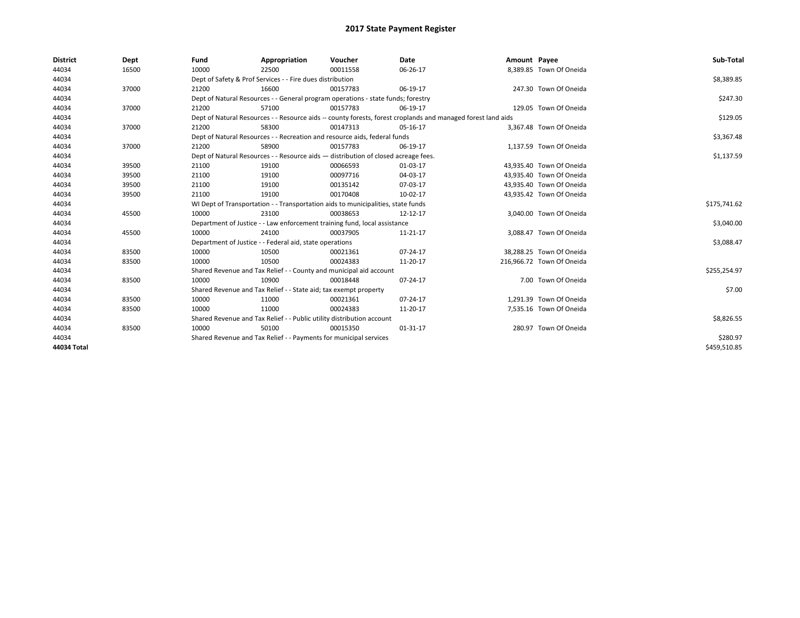| <b>District</b> | Dept  | Fund                                                                             | Appropriation                                                                      | Voucher  | Date                                                                                                         | Amount Payee |                           | Sub-Total    |  |  |  |
|-----------------|-------|----------------------------------------------------------------------------------|------------------------------------------------------------------------------------|----------|--------------------------------------------------------------------------------------------------------------|--------------|---------------------------|--------------|--|--|--|
| 44034           | 16500 | 10000                                                                            | 22500                                                                              | 00011558 | 06-26-17                                                                                                     |              | 8,389.85 Town Of Oneida   |              |  |  |  |
| 44034           |       |                                                                                  | Dept of Safety & Prof Services - - Fire dues distribution                          |          |                                                                                                              |              |                           | \$8,389.85   |  |  |  |
| 44034           | 37000 | 21200                                                                            | 16600                                                                              | 00157783 | 06-19-17                                                                                                     |              | 247.30 Town Of Oneida     |              |  |  |  |
| 44034           |       |                                                                                  | Dept of Natural Resources - - General program operations - state funds; forestry   |          |                                                                                                              |              |                           | \$247.30     |  |  |  |
| 44034           | 37000 | 21200                                                                            | 57100                                                                              | 00157783 | 06-19-17                                                                                                     |              | 129.05 Town Of Oneida     |              |  |  |  |
| 44034           |       |                                                                                  |                                                                                    |          | Dept of Natural Resources - - Resource aids -- county forests, forest croplands and managed forest land aids |              |                           | \$129.05     |  |  |  |
| 44034           | 37000 | 21200                                                                            | 58300                                                                              | 00147313 | 05-16-17                                                                                                     |              | 3,367.48 Town Of Oneida   |              |  |  |  |
| 44034           |       |                                                                                  | Dept of Natural Resources - - Recreation and resource aids, federal funds          |          |                                                                                                              |              |                           | \$3,367.48   |  |  |  |
| 44034           | 37000 | 21200                                                                            | 58900                                                                              | 00157783 | 06-19-17                                                                                                     |              | 1,137.59 Town Of Oneida   |              |  |  |  |
| 44034           |       |                                                                                  | Dept of Natural Resources - - Resource aids - distribution of closed acreage fees. |          |                                                                                                              |              |                           |              |  |  |  |
| 44034           | 39500 | 21100                                                                            | 19100                                                                              | 00066593 | 01-03-17                                                                                                     |              | 43,935.40 Town Of Oneida  |              |  |  |  |
| 44034           | 39500 | 21100                                                                            | 19100                                                                              | 00097716 | 04-03-17                                                                                                     |              | 43,935.40 Town Of Oneida  |              |  |  |  |
| 44034           | 39500 | 21100                                                                            | 19100                                                                              | 00135142 | 07-03-17                                                                                                     |              | 43,935.40 Town Of Oneida  |              |  |  |  |
| 44034           | 39500 | 21100                                                                            | 19100                                                                              | 00170408 | 10-02-17                                                                                                     |              | 43,935.42 Town Of Oneida  |              |  |  |  |
| 44034           |       | WI Dept of Transportation - - Transportation aids to municipalities, state funds | \$175,741.62                                                                       |          |                                                                                                              |              |                           |              |  |  |  |
| 44034           | 45500 | 10000                                                                            | 23100                                                                              | 00038653 | 12-12-17                                                                                                     |              | 3,040.00 Town Of Oneida   |              |  |  |  |
| 44034           |       |                                                                                  | Department of Justice - - Law enforcement training fund, local assistance          |          |                                                                                                              |              |                           | \$3,040.00   |  |  |  |
| 44034           | 45500 | 10000                                                                            | 24100                                                                              | 00037905 | 11-21-17                                                                                                     |              | 3,088.47 Town Of Oneida   |              |  |  |  |
| 44034           |       |                                                                                  | Department of Justice - - Federal aid, state operations                            |          |                                                                                                              |              |                           | \$3,088.47   |  |  |  |
| 44034           | 83500 | 10000                                                                            | 10500                                                                              | 00021361 | 07-24-17                                                                                                     |              | 38.288.25 Town Of Oneida  |              |  |  |  |
| 44034           | 83500 | 10000                                                                            | 10500                                                                              | 00024383 | 11-20-17                                                                                                     |              | 216,966.72 Town Of Oneida |              |  |  |  |
| 44034           |       |                                                                                  | Shared Revenue and Tax Relief - - County and municipal aid account                 |          |                                                                                                              |              |                           | \$255,254.97 |  |  |  |
| 44034           | 83500 | 10000                                                                            | 10900                                                                              | 00018448 | 07-24-17                                                                                                     |              | 7.00 Town Of Oneida       |              |  |  |  |
| 44034           |       |                                                                                  | Shared Revenue and Tax Relief - - State aid; tax exempt property                   |          |                                                                                                              |              |                           | \$7.00       |  |  |  |
| 44034           | 83500 | 10000                                                                            | 11000                                                                              | 00021361 | 07-24-17                                                                                                     |              | 1,291.39 Town Of Oneida   |              |  |  |  |
| 44034           | 83500 | 10000                                                                            | 11000                                                                              | 00024383 | 11-20-17                                                                                                     |              | 7,535.16 Town Of Oneida   |              |  |  |  |
| 44034           |       |                                                                                  | Shared Revenue and Tax Relief - - Public utility distribution account              |          |                                                                                                              |              |                           | \$8,826.55   |  |  |  |
| 44034           | 83500 | 10000                                                                            | 50100                                                                              | 00015350 | 01-31-17                                                                                                     |              | 280.97 Town Of Oneida     |              |  |  |  |
| 44034           |       | Shared Revenue and Tax Relief - - Payments for municipal services                |                                                                                    | \$280.97 |                                                                                                              |              |                           |              |  |  |  |
| 44034 Total     |       |                                                                                  |                                                                                    |          |                                                                                                              |              |                           | \$459,510.85 |  |  |  |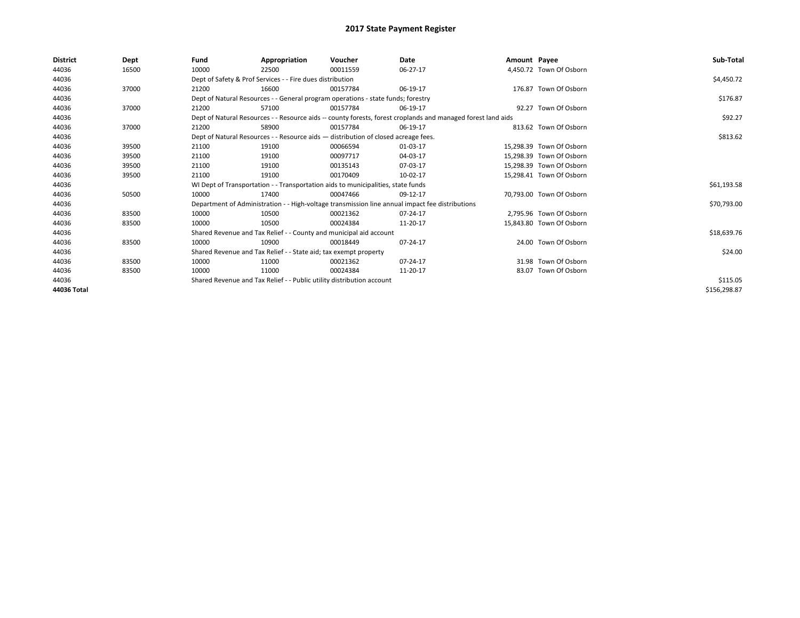| <b>District</b> | Dept  | Fund  | Appropriation                                                                                                | Voucher  | Date     | Amount Payee |                          | Sub-Total    |  |  |
|-----------------|-------|-------|--------------------------------------------------------------------------------------------------------------|----------|----------|--------------|--------------------------|--------------|--|--|
| 44036           | 16500 | 10000 | 22500                                                                                                        | 00011559 | 06-27-17 |              | 4.450.72 Town Of Osborn  |              |  |  |
| 44036           |       |       | Dept of Safety & Prof Services - - Fire dues distribution                                                    |          |          |              |                          | \$4,450.72   |  |  |
| 44036           | 37000 | 21200 | 16600                                                                                                        | 00157784 | 06-19-17 |              | 176.87 Town Of Osborn    |              |  |  |
| 44036           |       |       | Dept of Natural Resources - - General program operations - state funds; forestry                             |          |          |              |                          | \$176.87     |  |  |
| 44036           | 37000 | 21200 | 57100                                                                                                        | 00157784 | 06-19-17 |              | 92.27 Town Of Osborn     |              |  |  |
| 44036           |       |       | Dept of Natural Resources - - Resource aids -- county forests, forest croplands and managed forest land aids |          |          |              |                          | \$92.27      |  |  |
| 44036           | 37000 | 21200 | 58900                                                                                                        | 00157784 | 06-19-17 |              | 813.62 Town Of Osborn    |              |  |  |
| 44036           |       |       | Dept of Natural Resources - - Resource aids - distribution of closed acreage fees.                           |          | \$813.62 |              |                          |              |  |  |
| 44036           | 39500 | 21100 | 19100                                                                                                        | 00066594 | 01-03-17 |              | 15,298.39 Town Of Osborn |              |  |  |
| 44036           | 39500 | 21100 | 19100                                                                                                        | 00097717 | 04-03-17 |              | 15.298.39 Town Of Osborn |              |  |  |
| 44036           | 39500 | 21100 | 19100                                                                                                        | 00135143 | 07-03-17 |              | 15,298.39 Town Of Osborn |              |  |  |
| 44036           | 39500 | 21100 | 19100                                                                                                        | 00170409 | 10-02-17 |              | 15,298.41 Town Of Osborn |              |  |  |
| 44036           |       |       | WI Dept of Transportation - - Transportation aids to municipalities, state funds                             |          |          |              |                          | \$61,193.58  |  |  |
| 44036           | 50500 | 10000 | 17400                                                                                                        | 00047466 | 09-12-17 |              | 70,793.00 Town Of Osborn |              |  |  |
| 44036           |       |       | Department of Administration - - High-voltage transmission line annual impact fee distributions              |          |          |              |                          | \$70,793.00  |  |  |
| 44036           | 83500 | 10000 | 10500                                                                                                        | 00021362 | 07-24-17 |              | 2.795.96 Town Of Osborn  |              |  |  |
| 44036           | 83500 | 10000 | 10500                                                                                                        | 00024384 | 11-20-17 |              | 15,843.80 Town Of Osborn |              |  |  |
| 44036           |       |       | Shared Revenue and Tax Relief - - County and municipal aid account                                           |          |          |              |                          | \$18,639.76  |  |  |
| 44036           | 83500 | 10000 | 10900                                                                                                        | 00018449 | 07-24-17 |              | 24.00 Town Of Osborn     |              |  |  |
| 44036           |       |       | Shared Revenue and Tax Relief - - State aid; tax exempt property                                             |          |          |              |                          | \$24.00      |  |  |
| 44036           | 83500 | 10000 | 11000                                                                                                        | 00021362 | 07-24-17 |              | 31.98 Town Of Osborn     |              |  |  |
| 44036           | 83500 | 10000 | 11000                                                                                                        | 00024384 | 11-20-17 |              | 83.07 Town Of Osborn     |              |  |  |
| 44036           |       |       | Shared Revenue and Tax Relief - - Public utility distribution account                                        |          |          |              |                          |              |  |  |
| 44036 Total     |       |       |                                                                                                              |          |          |              |                          | \$156,298.87 |  |  |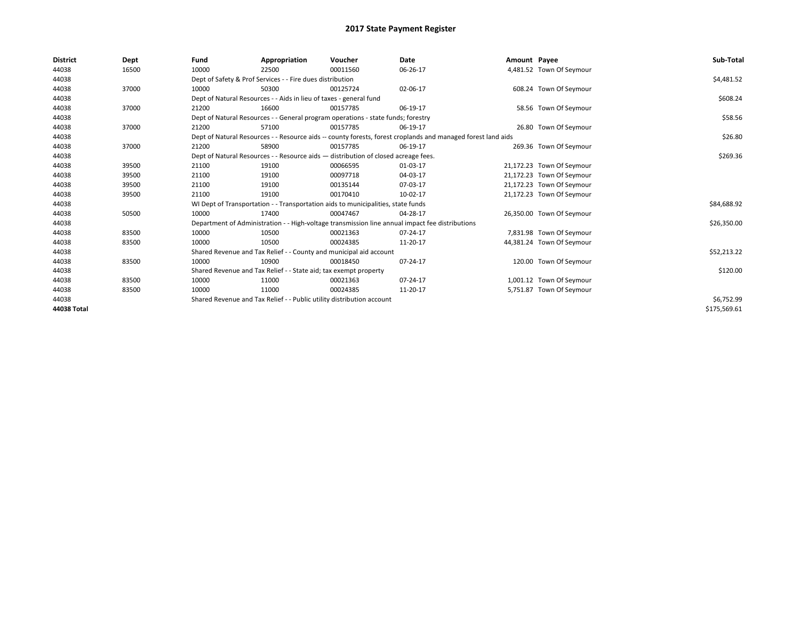| <b>District</b> | Dept  | Fund                                                                  | Appropriation                                                                                                | Voucher    | <b>Date</b> | Amount Payee |                           | Sub-Total    |  |
|-----------------|-------|-----------------------------------------------------------------------|--------------------------------------------------------------------------------------------------------------|------------|-------------|--------------|---------------------------|--------------|--|
| 44038           | 16500 | 10000                                                                 | 22500                                                                                                        | 00011560   | 06-26-17    |              | 4,481.52 Town Of Seymour  |              |  |
| 44038           |       |                                                                       | Dept of Safety & Prof Services - - Fire dues distribution                                                    |            |             |              |                           | \$4,481.52   |  |
| 44038           | 37000 | 10000                                                                 | 50300                                                                                                        | 00125724   | 02-06-17    |              | 608.24 Town Of Seymour    |              |  |
| 44038           |       |                                                                       | Dept of Natural Resources - - Aids in lieu of taxes - general fund                                           |            |             |              |                           | \$608.24     |  |
| 44038           | 37000 | 21200                                                                 | 16600                                                                                                        | 00157785   | 06-19-17    |              | 58.56 Town Of Seymour     |              |  |
| 44038           |       |                                                                       | Dept of Natural Resources - - General program operations - state funds; forestry                             |            |             |              |                           |              |  |
| 44038           | 37000 | 21200                                                                 | 57100                                                                                                        | 00157785   | 06-19-17    |              | 26.80 Town Of Seymour     |              |  |
| 44038           |       |                                                                       | Dept of Natural Resources - - Resource aids -- county forests, forest croplands and managed forest land aids |            |             |              |                           | \$26.80      |  |
| 44038           | 37000 | 21200                                                                 | 58900                                                                                                        | 00157785   | 06-19-17    |              | 269.36 Town Of Seymour    |              |  |
| 44038           |       |                                                                       | Dept of Natural Resources - - Resource aids - distribution of closed acreage fees.                           |            |             |              |                           | \$269.36     |  |
| 44038           | 39500 | 21100                                                                 | 19100                                                                                                        | 00066595   | 01-03-17    |              | 21,172.23 Town Of Seymour |              |  |
| 44038           | 39500 | 21100                                                                 | 19100                                                                                                        | 00097718   | 04-03-17    |              | 21,172.23 Town Of Seymour |              |  |
| 44038           | 39500 | 21100                                                                 | 19100                                                                                                        | 00135144   | 07-03-17    |              | 21,172.23 Town Of Seymour |              |  |
| 44038           | 39500 | 21100                                                                 | 19100                                                                                                        | 00170410   | 10-02-17    |              | 21,172.23 Town Of Seymour |              |  |
| 44038           |       |                                                                       | WI Dept of Transportation - - Transportation aids to municipalities, state funds                             |            |             |              |                           | \$84,688.92  |  |
| 44038           | 50500 | 10000                                                                 | 17400                                                                                                        | 00047467   | 04-28-17    |              | 26,350.00 Town Of Seymour |              |  |
| 44038           |       |                                                                       | Department of Administration - - High-voltage transmission line annual impact fee distributions              |            |             |              |                           | \$26,350.00  |  |
| 44038           | 83500 | 10000                                                                 | 10500                                                                                                        | 00021363   | 07-24-17    |              | 7,831.98 Town Of Seymour  |              |  |
| 44038           | 83500 | 10000                                                                 | 10500                                                                                                        | 00024385   | 11-20-17    |              | 44,381.24 Town Of Seymour |              |  |
| 44038           |       |                                                                       | Shared Revenue and Tax Relief - - County and municipal aid account                                           |            |             |              |                           | \$52,213.22  |  |
| 44038           | 83500 | 10000                                                                 | 10900                                                                                                        | 00018450   | 07-24-17    |              | 120.00 Town Of Seymour    |              |  |
| 44038           |       |                                                                       | Shared Revenue and Tax Relief - - State aid; tax exempt property                                             |            |             |              |                           | \$120.00     |  |
| 44038           | 83500 | 10000                                                                 | 11000                                                                                                        | 00021363   | 07-24-17    |              | 1,001.12 Town Of Seymour  |              |  |
| 44038           | 83500 | 10000                                                                 | 11000                                                                                                        | 00024385   | 11-20-17    |              | 5,751.87 Town Of Seymour  |              |  |
| 44038           |       | Shared Revenue and Tax Relief - - Public utility distribution account |                                                                                                              | \$6,752.99 |             |              |                           |              |  |
| 44038 Total     |       |                                                                       |                                                                                                              |            |             |              |                           | \$175,569.61 |  |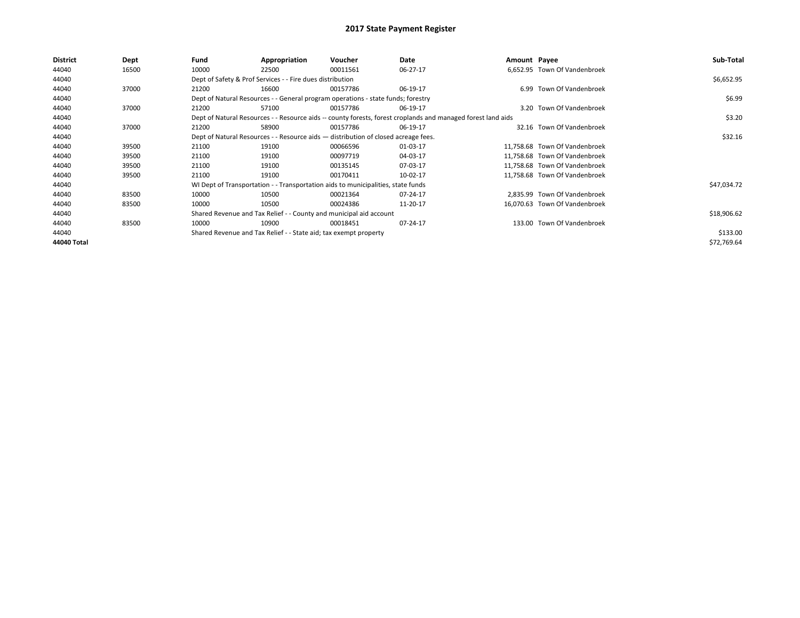| District    | Dept  | Fund  | Appropriation                                                                      | Voucher  | Date                                                                                                         | Amount Payee |                               | Sub-Total   |
|-------------|-------|-------|------------------------------------------------------------------------------------|----------|--------------------------------------------------------------------------------------------------------------|--------------|-------------------------------|-------------|
| 44040       | 16500 | 10000 | 22500                                                                              | 00011561 | 06-27-17                                                                                                     |              | 6.652.95 Town Of Vandenbroek  |             |
| 44040       |       |       | Dept of Safety & Prof Services - - Fire dues distribution                          |          |                                                                                                              |              |                               | \$6,652.95  |
| 44040       | 37000 | 21200 | 16600                                                                              | 00157786 | 06-19-17                                                                                                     |              | 6.99 Town Of Vandenbroek      |             |
| 44040       |       |       | Dept of Natural Resources - - General program operations - state funds; forestry   |          |                                                                                                              |              |                               | \$6.99      |
| 44040       | 37000 | 21200 | 57100                                                                              | 00157786 | 06-19-17                                                                                                     |              | 3.20 Town Of Vandenbroek      |             |
| 44040       |       |       |                                                                                    |          | Dept of Natural Resources - - Resource aids -- county forests, forest croplands and managed forest land aids |              |                               | \$3.20      |
| 44040       | 37000 | 21200 | 58900                                                                              | 00157786 | 06-19-17                                                                                                     |              | 32.16 Town Of Vandenbroek     |             |
| 44040       |       |       | Dept of Natural Resources - - Resource aids - distribution of closed acreage fees. |          |                                                                                                              |              |                               | \$32.16     |
| 44040       | 39500 | 21100 | 19100                                                                              | 00066596 | 01-03-17                                                                                                     |              | 11.758.68 Town Of Vandenbroek |             |
| 44040       | 39500 | 21100 | 19100                                                                              | 00097719 | 04-03-17                                                                                                     |              | 11,758.68 Town Of Vandenbroek |             |
| 44040       | 39500 | 21100 | 19100                                                                              | 00135145 | 07-03-17                                                                                                     |              | 11,758.68 Town Of Vandenbroek |             |
| 44040       | 39500 | 21100 | 19100                                                                              | 00170411 | 10-02-17                                                                                                     |              | 11.758.68 Town Of Vandenbroek |             |
| 44040       |       |       | WI Dept of Transportation - - Transportation aids to municipalities, state funds   |          |                                                                                                              |              |                               | \$47,034.72 |
| 44040       | 83500 | 10000 | 10500                                                                              | 00021364 | 07-24-17                                                                                                     |              | 2.835.99 Town Of Vandenbroek  |             |
| 44040       | 83500 | 10000 | 10500                                                                              | 00024386 | 11-20-17                                                                                                     |              | 16.070.63 Town Of Vandenbroek |             |
| 44040       |       |       | Shared Revenue and Tax Relief - - County and municipal aid account                 |          |                                                                                                              |              |                               | \$18,906.62 |
| 44040       | 83500 | 10000 | 10900                                                                              | 00018451 | 07-24-17                                                                                                     |              | 133.00 Town Of Vandenbroek    |             |
| 44040       |       |       | Shared Revenue and Tax Relief - - State aid; tax exempt property                   |          |                                                                                                              |              |                               | \$133.00    |
| 44040 Total |       |       |                                                                                    |          |                                                                                                              |              |                               | \$72,769.64 |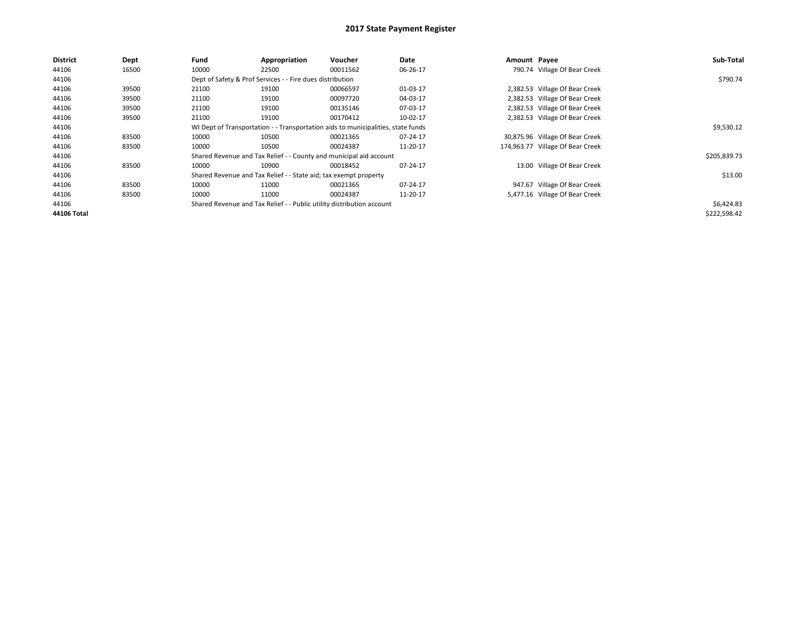| <b>District</b> | Dept  | Fund  | Appropriation                                                                    | Voucher  | Date     | Amount Payee |                                  | Sub-Total    |
|-----------------|-------|-------|----------------------------------------------------------------------------------|----------|----------|--------------|----------------------------------|--------------|
| 44106           | 16500 | 10000 | 22500                                                                            | 00011562 | 06-26-17 |              | 790.74 Village Of Bear Creek     |              |
| 44106           |       |       | Dept of Safety & Prof Services - - Fire dues distribution                        |          |          |              |                                  | \$790.74     |
| 44106           | 39500 | 21100 | 19100                                                                            | 00066597 | 01-03-17 |              | 2,382.53 Village Of Bear Creek   |              |
| 44106           | 39500 | 21100 | 19100                                                                            | 00097720 | 04-03-17 |              | 2,382.53 Village Of Bear Creek   |              |
| 44106           | 39500 | 21100 | 19100                                                                            | 00135146 | 07-03-17 |              | 2,382.53 Village Of Bear Creek   |              |
| 44106           | 39500 | 21100 | 19100                                                                            | 00170412 | 10-02-17 |              | 2,382.53 Village Of Bear Creek   |              |
| 44106           |       |       | WI Dept of Transportation - - Transportation aids to municipalities, state funds |          |          |              |                                  | \$9,530.12   |
| 44106           | 83500 | 10000 | 10500                                                                            | 00021365 | 07-24-17 |              | 30,875.96 Village Of Bear Creek  |              |
| 44106           | 83500 | 10000 | 10500                                                                            | 00024387 | 11-20-17 |              | 174,963.77 Village Of Bear Creek |              |
| 44106           |       |       | Shared Revenue and Tax Relief - - County and municipal aid account               |          |          |              |                                  | \$205,839.73 |
| 44106           | 83500 | 10000 | 10900                                                                            | 00018452 | 07-24-17 |              | 13.00 Village Of Bear Creek      |              |
| 44106           |       |       | Shared Revenue and Tax Relief - - State aid; tax exempt property                 |          |          |              |                                  | \$13.00      |
| 44106           | 83500 | 10000 | 11000                                                                            | 00021365 | 07-24-17 |              | 947.67 Village Of Bear Creek     |              |
| 44106           | 83500 | 10000 | 11000                                                                            | 00024387 | 11-20-17 |              | 5,477.16 Village Of Bear Creek   |              |
| 44106           |       |       | Shared Revenue and Tax Relief - - Public utility distribution account            |          |          |              |                                  | \$6,424.83   |
| 44106 Total     |       |       |                                                                                  |          |          |              |                                  | \$222,598.42 |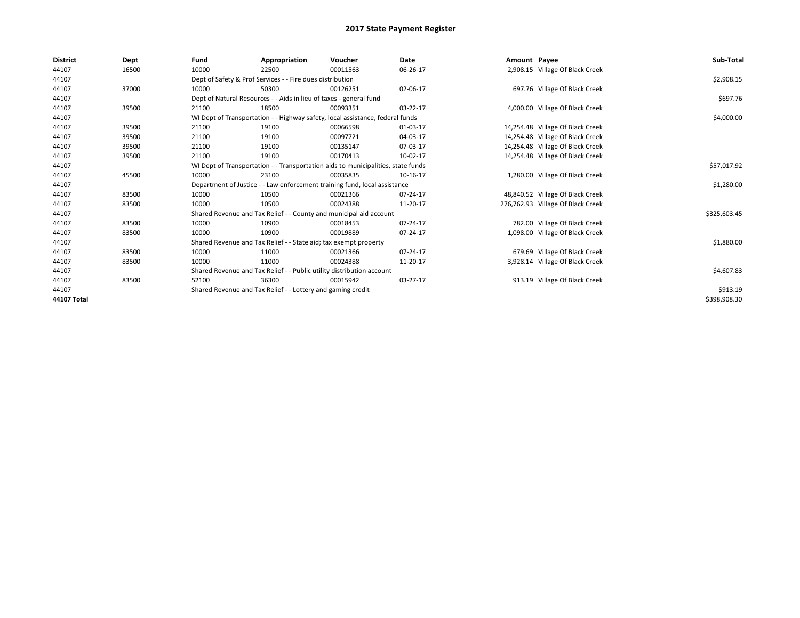| <b>District</b>    | Dept  | Fund  | Appropriation                                                                    | Voucher  | Date     | Amount Payee |                                   | Sub-Total    |
|--------------------|-------|-------|----------------------------------------------------------------------------------|----------|----------|--------------|-----------------------------------|--------------|
| 44107              | 16500 | 10000 | 22500                                                                            | 00011563 | 06-26-17 |              | 2,908.15 Village Of Black Creek   |              |
| 44107              |       |       | Dept of Safety & Prof Services - - Fire dues distribution                        |          |          |              |                                   | \$2,908.15   |
| 44107              | 37000 | 10000 | 50300                                                                            | 00126251 | 02-06-17 |              | 697.76 Village Of Black Creek     |              |
| 44107              |       |       | Dept of Natural Resources - - Aids in lieu of taxes - general fund               |          |          |              |                                   | \$697.76     |
| 44107              | 39500 | 21100 | 18500                                                                            | 00093351 | 03-22-17 |              | 4,000.00 Village Of Black Creek   |              |
| 44107              |       |       | WI Dept of Transportation - - Highway safety, local assistance, federal funds    |          |          |              |                                   | \$4,000.00   |
| 44107              | 39500 | 21100 | 19100                                                                            | 00066598 | 01-03-17 |              | 14,254.48 Village Of Black Creek  |              |
| 44107              | 39500 | 21100 | 19100                                                                            | 00097721 | 04-03-17 |              | 14,254.48 Village Of Black Creek  |              |
| 44107              | 39500 | 21100 | 19100                                                                            | 00135147 | 07-03-17 |              | 14,254.48 Village Of Black Creek  |              |
| 44107              | 39500 | 21100 | 19100                                                                            | 00170413 | 10-02-17 |              | 14,254.48 Village Of Black Creek  |              |
| 44107              |       |       | WI Dept of Transportation - - Transportation aids to municipalities, state funds |          |          |              |                                   | \$57,017.92  |
| 44107              | 45500 | 10000 | 23100                                                                            | 00035835 | 10-16-17 |              | 1,280.00 Village Of Black Creek   |              |
| 44107              |       |       | Department of Justice - - Law enforcement training fund, local assistance        |          |          |              |                                   | \$1,280.00   |
| 44107              | 83500 | 10000 | 10500                                                                            | 00021366 | 07-24-17 |              | 48,840.52 Village Of Black Creek  |              |
| 44107              | 83500 | 10000 | 10500                                                                            | 00024388 | 11-20-17 |              | 276,762.93 Village Of Black Creek |              |
| 44107              |       |       | Shared Revenue and Tax Relief - - County and municipal aid account               |          |          |              |                                   | \$325,603.45 |
| 44107              | 83500 | 10000 | 10900                                                                            | 00018453 | 07-24-17 |              | 782.00 Village Of Black Creek     |              |
| 44107              | 83500 | 10000 | 10900                                                                            | 00019889 | 07-24-17 |              | 1,098.00 Village Of Black Creek   |              |
| 44107              |       |       | Shared Revenue and Tax Relief - - State aid; tax exempt property                 |          |          |              |                                   | \$1,880.00   |
| 44107              | 83500 | 10000 | 11000                                                                            | 00021366 | 07-24-17 |              | 679.69 Village Of Black Creek     |              |
| 44107              | 83500 | 10000 | 11000                                                                            | 00024388 | 11-20-17 |              | 3,928.14 Village Of Black Creek   |              |
| 44107              |       |       | Shared Revenue and Tax Relief - - Public utility distribution account            |          |          |              |                                   | \$4,607.83   |
| 44107              | 83500 | 52100 | 36300                                                                            | 00015942 | 03-27-17 |              | 913.19 Village Of Black Creek     |              |
| 44107              |       |       | Shared Revenue and Tax Relief - - Lottery and gaming credit                      |          |          |              |                                   | \$913.19     |
| <b>44107 Total</b> |       |       |                                                                                  |          |          |              |                                   | \$398,908.30 |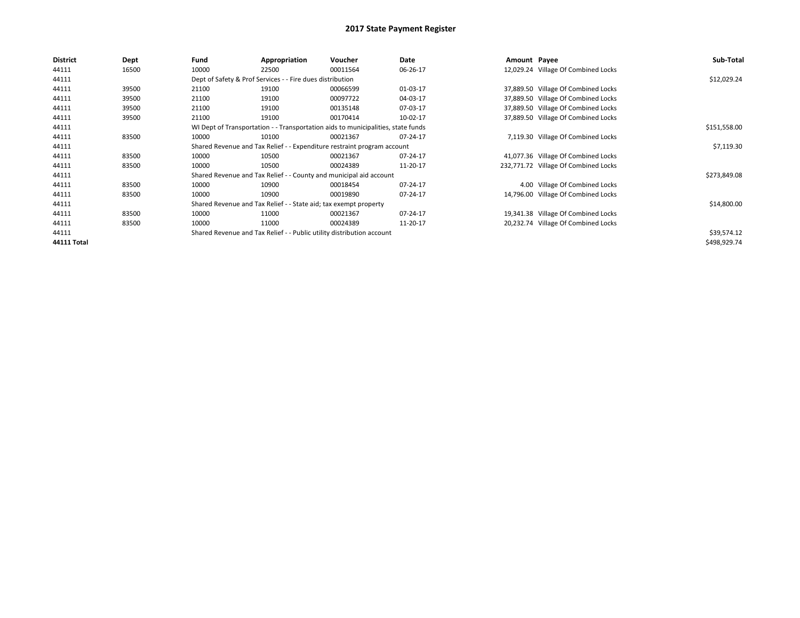| <b>District</b>    | Dept  | Fund  | Appropriation                                                                    | Voucher  | Date     | Amount Payee |                                      | Sub-Total    |
|--------------------|-------|-------|----------------------------------------------------------------------------------|----------|----------|--------------|--------------------------------------|--------------|
| 44111              | 16500 | 10000 | 22500                                                                            | 00011564 | 06-26-17 |              | 12,029.24 Village Of Combined Locks  |              |
| 44111              |       |       | Dept of Safety & Prof Services - - Fire dues distribution                        |          |          |              |                                      | \$12,029.24  |
| 44111              | 39500 | 21100 | 19100                                                                            | 00066599 | 01-03-17 |              | 37,889.50 Village Of Combined Locks  |              |
| 44111              | 39500 | 21100 | 19100                                                                            | 00097722 | 04-03-17 |              | 37,889.50 Village Of Combined Locks  |              |
| 44111              | 39500 | 21100 | 19100                                                                            | 00135148 | 07-03-17 |              | 37,889.50 Village Of Combined Locks  |              |
| 44111              | 39500 | 21100 | 19100                                                                            | 00170414 | 10-02-17 |              | 37,889.50 Village Of Combined Locks  |              |
| 44111              |       |       | WI Dept of Transportation - - Transportation aids to municipalities, state funds |          |          |              |                                      | \$151,558.00 |
| 44111              | 83500 | 10000 | 10100                                                                            | 00021367 | 07-24-17 |              | 7,119.30 Village Of Combined Locks   |              |
| 44111              |       |       | Shared Revenue and Tax Relief - - Expenditure restraint program account          |          |          |              |                                      | \$7,119.30   |
| 44111              | 83500 | 10000 | 10500                                                                            | 00021367 | 07-24-17 |              | 41,077.36 Village Of Combined Locks  |              |
| 44111              | 83500 | 10000 | 10500                                                                            | 00024389 | 11-20-17 |              | 232,771.72 Village Of Combined Locks |              |
| 44111              |       |       | Shared Revenue and Tax Relief - - County and municipal aid account               |          |          |              |                                      | \$273,849.08 |
| 44111              | 83500 | 10000 | 10900                                                                            | 00018454 | 07-24-17 |              | 4.00 Village Of Combined Locks       |              |
| 44111              | 83500 | 10000 | 10900                                                                            | 00019890 | 07-24-17 |              | 14,796.00 Village Of Combined Locks  |              |
| 44111              |       |       | Shared Revenue and Tax Relief - - State aid; tax exempt property                 |          |          |              |                                      | \$14,800.00  |
| 44111              | 83500 | 10000 | 11000                                                                            | 00021367 | 07-24-17 |              | 19,341.38 Village Of Combined Locks  |              |
| 44111              | 83500 | 10000 | 11000                                                                            | 00024389 | 11-20-17 |              | 20,232.74 Village Of Combined Locks  |              |
| 44111              |       |       | Shared Revenue and Tax Relief - - Public utility distribution account            |          |          |              |                                      | \$39,574.12  |
| <b>44111 Total</b> |       |       |                                                                                  |          |          |              |                                      | \$498,929.74 |
|                    |       |       |                                                                                  |          |          |              |                                      |              |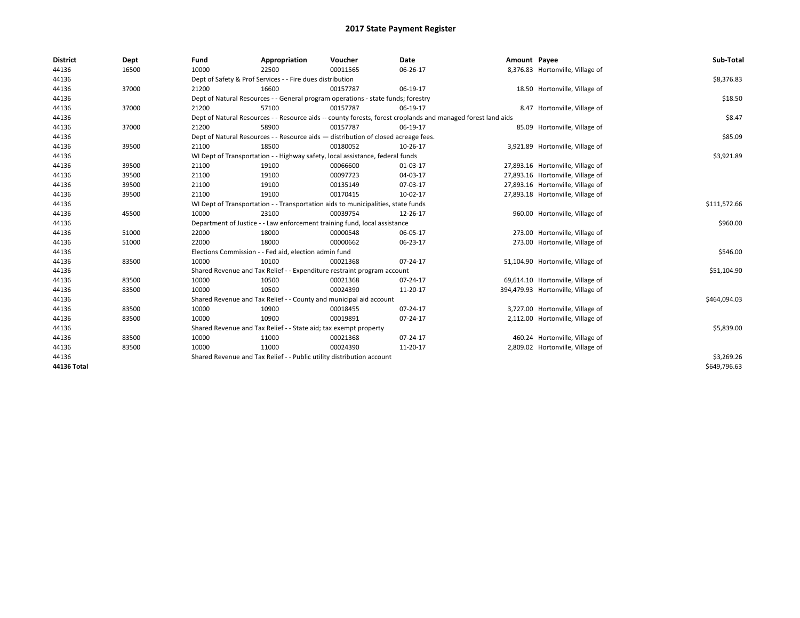| <b>District</b> | Dept  | Fund                                                                             | Appropriation                                                                      | Voucher      | <b>Date</b>                                                                                                  | Amount Payee |                                    | Sub-Total    |
|-----------------|-------|----------------------------------------------------------------------------------|------------------------------------------------------------------------------------|--------------|--------------------------------------------------------------------------------------------------------------|--------------|------------------------------------|--------------|
| 44136           | 16500 | 10000                                                                            | 22500                                                                              | 00011565     | 06-26-17                                                                                                     |              | 8,376.83 Hortonville, Village of   |              |
| 44136           |       |                                                                                  | Dept of Safety & Prof Services - - Fire dues distribution                          |              |                                                                                                              |              |                                    | \$8,376.83   |
| 44136           | 37000 | 21200                                                                            | 16600                                                                              | 00157787     | 06-19-17                                                                                                     |              | 18.50 Hortonville, Village of      |              |
| 44136           |       |                                                                                  | Dept of Natural Resources - - General program operations - state funds; forestry   |              |                                                                                                              |              |                                    | \$18.50      |
| 44136           | 37000 | 21200                                                                            | 57100                                                                              | 00157787     | 06-19-17                                                                                                     |              | 8.47 Hortonville, Village of       |              |
| 44136           |       |                                                                                  |                                                                                    |              | Dept of Natural Resources - - Resource aids -- county forests, forest croplands and managed forest land aids |              |                                    | \$8.47       |
| 44136           | 37000 | 21200                                                                            | 58900                                                                              | 00157787     | 06-19-17                                                                                                     |              | 85.09 Hortonville, Village of      |              |
| 44136           |       |                                                                                  | Dept of Natural Resources - - Resource aids - distribution of closed acreage fees. |              |                                                                                                              |              |                                    | \$85.09      |
| 44136           | 39500 | 21100                                                                            | 18500                                                                              | 00180052     | 10-26-17                                                                                                     |              | 3,921.89 Hortonville, Village of   |              |
| 44136           |       |                                                                                  | WI Dept of Transportation - - Highway safety, local assistance, federal funds      |              |                                                                                                              |              |                                    | \$3,921.89   |
| 44136           | 39500 | 21100                                                                            | 19100                                                                              | 00066600     | 01-03-17                                                                                                     |              | 27,893.16 Hortonville, Village of  |              |
| 44136           | 39500 | 21100                                                                            | 19100                                                                              | 00097723     | 04-03-17                                                                                                     |              | 27,893.16 Hortonville, Village of  |              |
| 44136           | 39500 | 21100                                                                            | 19100                                                                              | 00135149     | 07-03-17                                                                                                     |              | 27,893.16 Hortonville, Village of  |              |
| 44136           | 39500 | 21100                                                                            | 19100                                                                              | 00170415     | 10-02-17                                                                                                     |              | 27,893.18 Hortonville, Village of  |              |
| 44136           |       | WI Dept of Transportation - - Transportation aids to municipalities, state funds |                                                                                    | \$111,572.66 |                                                                                                              |              |                                    |              |
| 44136           | 45500 | 10000                                                                            | 23100                                                                              | 00039754     | 12-26-17                                                                                                     |              | 960.00 Hortonville, Village of     |              |
| 44136           |       |                                                                                  | Department of Justice - - Law enforcement training fund, local assistance          |              |                                                                                                              |              |                                    | \$960.00     |
| 44136           | 51000 | 22000                                                                            | 18000                                                                              | 00000548     | 06-05-17                                                                                                     |              | 273.00 Hortonville, Village of     |              |
| 44136           | 51000 | 22000                                                                            | 18000                                                                              | 00000662     | 06-23-17                                                                                                     |              | 273.00 Hortonville, Village of     |              |
| 44136           |       |                                                                                  | Elections Commission - - Fed aid, election admin fund                              |              |                                                                                                              |              |                                    | \$546.00     |
| 44136           | 83500 | 10000                                                                            | 10100                                                                              | 00021368     | 07-24-17                                                                                                     |              | 51,104.90 Hortonville, Village of  |              |
| 44136           |       |                                                                                  | Shared Revenue and Tax Relief - - Expenditure restraint program account            |              |                                                                                                              |              |                                    | \$51,104.90  |
| 44136           | 83500 | 10000                                                                            | 10500                                                                              | 00021368     | 07-24-17                                                                                                     |              | 69,614.10 Hortonville, Village of  |              |
| 44136           | 83500 | 10000                                                                            | 10500                                                                              | 00024390     | 11-20-17                                                                                                     |              | 394,479.93 Hortonville, Village of |              |
| 44136           |       |                                                                                  | Shared Revenue and Tax Relief - - County and municipal aid account                 |              |                                                                                                              |              |                                    | \$464,094.03 |
| 44136           | 83500 | 10000                                                                            | 10900                                                                              | 00018455     | 07-24-17                                                                                                     |              | 3,727.00 Hortonville, Village of   |              |
| 44136           | 83500 | 10000                                                                            | 10900                                                                              | 00019891     | 07-24-17                                                                                                     |              | 2,112.00 Hortonville, Village of   |              |
| 44136           |       |                                                                                  | Shared Revenue and Tax Relief - - State aid; tax exempt property                   |              |                                                                                                              |              |                                    | \$5,839.00   |
| 44136           | 83500 | 10000                                                                            | 11000                                                                              | 00021368     | 07-24-17                                                                                                     |              | 460.24 Hortonville, Village of     |              |
| 44136           | 83500 | 10000                                                                            | 11000                                                                              | 00024390     | 11-20-17                                                                                                     |              | 2,809.02 Hortonville, Village of   |              |
| 44136           |       |                                                                                  | Shared Revenue and Tax Relief - - Public utility distribution account              |              |                                                                                                              |              |                                    | \$3,269.26   |
| 44136 Total     |       |                                                                                  |                                                                                    |              |                                                                                                              |              |                                    | \$649,796.63 |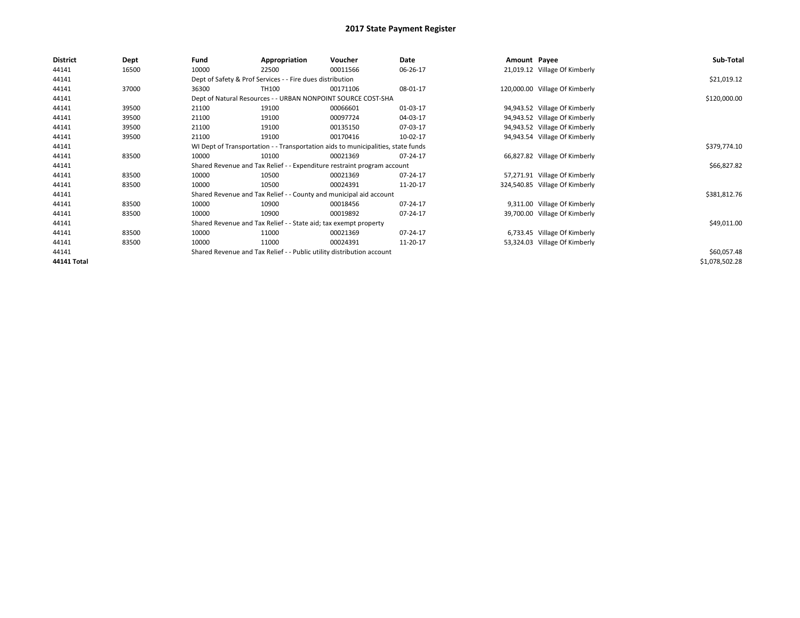| <b>District</b> | Dept  | Fund  | Appropriation                                                         | Voucher                                                                          | Date     | Amount Payee |                                | Sub-Total      |  |
|-----------------|-------|-------|-----------------------------------------------------------------------|----------------------------------------------------------------------------------|----------|--------------|--------------------------------|----------------|--|
| 44141           | 16500 | 10000 | 22500                                                                 | 00011566                                                                         | 06-26-17 |              | 21,019.12 Village Of Kimberly  |                |  |
| 44141           |       |       | Dept of Safety & Prof Services - - Fire dues distribution             |                                                                                  |          |              |                                | \$21,019.12    |  |
| 44141           | 37000 | 36300 | TH100                                                                 | 00171106                                                                         | 08-01-17 |              | 120,000.00 Village Of Kimberly |                |  |
| 44141           |       |       | Dept of Natural Resources - - URBAN NONPOINT SOURCE COST-SHA          |                                                                                  |          |              |                                |                |  |
| 44141           | 39500 | 21100 | 19100                                                                 | 00066601                                                                         | 01-03-17 |              | 94,943.52 Village Of Kimberly  |                |  |
| 44141           | 39500 | 21100 | 19100                                                                 | 00097724                                                                         | 04-03-17 |              | 94,943.52 Village Of Kimberly  |                |  |
| 44141           | 39500 | 21100 | 19100                                                                 | 00135150                                                                         | 07-03-17 |              | 94,943.52 Village Of Kimberly  |                |  |
| 44141           | 39500 | 21100 | 19100                                                                 | 00170416                                                                         | 10-02-17 |              | 94,943.54 Village Of Kimberly  |                |  |
| 44141           |       |       |                                                                       | WI Dept of Transportation - - Transportation aids to municipalities, state funds |          |              |                                | \$379,774.10   |  |
| 44141           | 83500 | 10000 | 10100                                                                 | 00021369                                                                         | 07-24-17 |              | 66,827.82 Village Of Kimberly  |                |  |
| 44141           |       |       |                                                                       | Shared Revenue and Tax Relief - - Expenditure restraint program account          |          |              |                                | \$66,827.82    |  |
| 44141           | 83500 | 10000 | 10500                                                                 | 00021369                                                                         | 07-24-17 |              | 57,271.91 Village Of Kimberly  |                |  |
| 44141           | 83500 | 10000 | 10500                                                                 | 00024391                                                                         | 11-20-17 |              | 324,540.85 Village Of Kimberly |                |  |
| 44141           |       |       |                                                                       | Shared Revenue and Tax Relief - - County and municipal aid account               |          |              |                                | \$381,812.76   |  |
| 44141           | 83500 | 10000 | 10900                                                                 | 00018456                                                                         | 07-24-17 |              | 9,311.00 Village Of Kimberly   |                |  |
| 44141           | 83500 | 10000 | 10900                                                                 | 00019892                                                                         | 07-24-17 |              | 39,700.00 Village Of Kimberly  |                |  |
| 44141           |       |       | Shared Revenue and Tax Relief - - State aid; tax exempt property      |                                                                                  |          |              |                                | \$49,011.00    |  |
| 44141           | 83500 | 10000 | 11000                                                                 | 00021369                                                                         | 07-24-17 |              | 6,733.45 Village Of Kimberly   |                |  |
| 44141           | 83500 | 10000 | 11000                                                                 | 00024391                                                                         | 11-20-17 |              | 53,324.03 Village Of Kimberly  |                |  |
| 44141           |       |       | Shared Revenue and Tax Relief - - Public utility distribution account |                                                                                  |          |              |                                | \$60,057.48    |  |
| 44141 Total     |       |       |                                                                       |                                                                                  |          |              |                                | \$1,078,502.28 |  |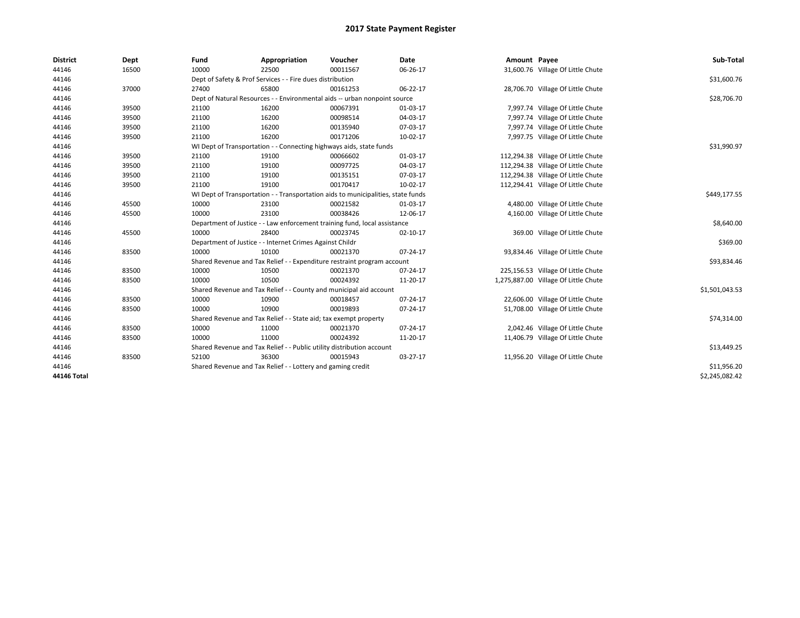| <b>District</b> | Dept  | Fund  | Appropriation                                                                    | Voucher  | Date     | Amount Payee |                                      | Sub-Total      |
|-----------------|-------|-------|----------------------------------------------------------------------------------|----------|----------|--------------|--------------------------------------|----------------|
| 44146           | 16500 | 10000 | 22500                                                                            | 00011567 | 06-26-17 |              | 31,600.76 Village Of Little Chute    |                |
| 44146           |       |       | Dept of Safety & Prof Services - - Fire dues distribution                        |          |          |              |                                      | \$31,600.76    |
| 44146           | 37000 | 27400 | 65800                                                                            | 00161253 | 06-22-17 |              | 28,706.70 Village Of Little Chute    |                |
| 44146           |       |       | Dept of Natural Resources - - Environmental aids -- urban nonpoint source        |          |          |              |                                      | \$28,706.70    |
| 44146           | 39500 | 21100 | 16200                                                                            | 00067391 | 01-03-17 |              | 7,997.74 Village Of Little Chute     |                |
| 44146           | 39500 | 21100 | 16200                                                                            | 00098514 | 04-03-17 |              | 7,997.74 Village Of Little Chute     |                |
| 44146           | 39500 | 21100 | 16200                                                                            | 00135940 | 07-03-17 |              | 7,997.74 Village Of Little Chute     |                |
| 44146           | 39500 | 21100 | 16200                                                                            | 00171206 | 10-02-17 |              | 7,997.75 Village Of Little Chute     |                |
| 44146           |       |       | WI Dept of Transportation - - Connecting highways aids, state funds              |          |          |              |                                      | \$31,990.97    |
| 44146           | 39500 | 21100 | 19100                                                                            | 00066602 | 01-03-17 |              | 112,294.38 Village Of Little Chute   |                |
| 44146           | 39500 | 21100 | 19100                                                                            | 00097725 | 04-03-17 |              | 112,294.38 Village Of Little Chute   |                |
| 44146           | 39500 | 21100 | 19100                                                                            | 00135151 | 07-03-17 |              | 112,294.38 Village Of Little Chute   |                |
| 44146           | 39500 | 21100 | 19100                                                                            | 00170417 | 10-02-17 |              | 112,294.41 Village Of Little Chute   |                |
| 44146           |       |       | WI Dept of Transportation - - Transportation aids to municipalities, state funds |          |          |              |                                      | \$449,177.55   |
| 44146           | 45500 | 10000 | 23100                                                                            | 00021582 | 01-03-17 |              | 4,480.00 Village Of Little Chute     |                |
| 44146           | 45500 | 10000 | 23100                                                                            | 00038426 | 12-06-17 |              | 4,160.00 Village Of Little Chute     |                |
| 44146           |       |       | Department of Justice - - Law enforcement training fund, local assistance        |          |          |              |                                      | \$8,640.00     |
| 44146           | 45500 | 10000 | 28400                                                                            | 00023745 | 02-10-17 |              | 369.00 Village Of Little Chute       |                |
| 44146           |       |       | Department of Justice - - Internet Crimes Against Childr                         |          |          |              |                                      | \$369.00       |
| 44146           | 83500 | 10000 | 10100                                                                            | 00021370 | 07-24-17 |              | 93,834.46 Village Of Little Chute    |                |
| 44146           |       |       | Shared Revenue and Tax Relief - - Expenditure restraint program account          |          |          |              |                                      | \$93,834.46    |
| 44146           | 83500 | 10000 | 10500                                                                            | 00021370 | 07-24-17 |              | 225,156.53 Village Of Little Chute   |                |
| 44146           | 83500 | 10000 | 10500                                                                            | 00024392 | 11-20-17 |              | 1,275,887.00 Village Of Little Chute |                |
| 44146           |       |       | Shared Revenue and Tax Relief - - County and municipal aid account               |          |          |              |                                      | \$1,501,043.53 |
| 44146           | 83500 | 10000 | 10900                                                                            | 00018457 | 07-24-17 |              | 22,606.00 Village Of Little Chute    |                |
| 44146           | 83500 | 10000 | 10900                                                                            | 00019893 | 07-24-17 |              | 51,708.00 Village Of Little Chute    |                |
| 44146           |       |       | Shared Revenue and Tax Relief - - State aid; tax exempt property                 |          |          |              |                                      | \$74,314.00    |
| 44146           | 83500 | 10000 | 11000                                                                            | 00021370 | 07-24-17 |              | 2,042.46 Village Of Little Chute     |                |
| 44146           | 83500 | 10000 | 11000                                                                            | 00024392 | 11-20-17 |              | 11,406.79 Village Of Little Chute    |                |
| 44146           |       |       | Shared Revenue and Tax Relief - - Public utility distribution account            |          |          |              |                                      | \$13,449.25    |
| 44146           | 83500 | 52100 | 36300                                                                            | 00015943 | 03-27-17 |              | 11,956.20 Village Of Little Chute    |                |
| 44146           |       |       | Shared Revenue and Tax Relief - - Lottery and gaming credit                      |          |          |              |                                      | \$11,956.20    |
| 44146 Total     |       |       |                                                                                  |          |          |              |                                      | \$2,245,082.42 |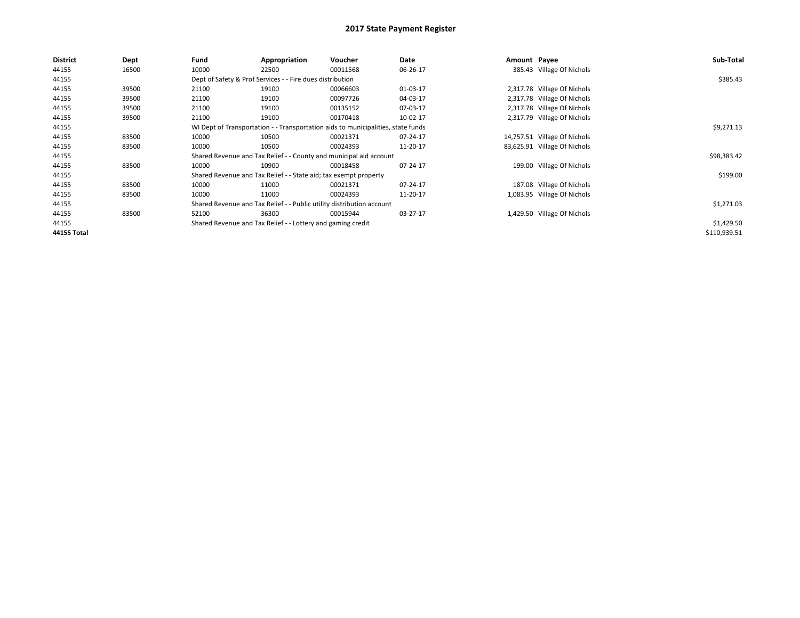| <b>District</b>    | Dept  | Fund                                                        | Appropriation                                                         | Voucher                                                                          | Date     | Amount Payee |                              | Sub-Total    |
|--------------------|-------|-------------------------------------------------------------|-----------------------------------------------------------------------|----------------------------------------------------------------------------------|----------|--------------|------------------------------|--------------|
| 44155              | 16500 | 10000                                                       | 22500                                                                 | 00011568                                                                         | 06-26-17 |              | 385.43 Village Of Nichols    |              |
| 44155              |       |                                                             | Dept of Safety & Prof Services - - Fire dues distribution             |                                                                                  |          |              |                              | \$385.43     |
| 44155              | 39500 | 21100                                                       | 19100                                                                 | 00066603                                                                         | 01-03-17 |              | 2,317.78 Village Of Nichols  |              |
| 44155              | 39500 | 21100                                                       | 19100                                                                 | 00097726                                                                         | 04-03-17 |              | 2,317.78 Village Of Nichols  |              |
| 44155              | 39500 | 21100                                                       | 19100                                                                 | 00135152                                                                         | 07-03-17 |              | 2,317.78 Village Of Nichols  |              |
| 44155              | 39500 | 21100                                                       | 19100                                                                 | 00170418                                                                         | 10-02-17 |              | 2,317.79 Village Of Nichols  |              |
| 44155              |       |                                                             |                                                                       | WI Dept of Transportation - - Transportation aids to municipalities, state funds |          |              |                              | \$9,271.13   |
| 44155              | 83500 | 10000                                                       | 10500                                                                 | 00021371                                                                         | 07-24-17 |              | 14,757.51 Village Of Nichols |              |
| 44155              | 83500 | 10000                                                       | 10500                                                                 | 00024393                                                                         | 11-20-17 |              | 83,625.91 Village Of Nichols |              |
| 44155              |       |                                                             |                                                                       | Shared Revenue and Tax Relief - - County and municipal aid account               |          |              |                              | \$98,383.42  |
| 44155              | 83500 | 10000                                                       | 10900                                                                 | 00018458                                                                         | 07-24-17 |              | 199.00 Village Of Nichols    |              |
| 44155              |       |                                                             | Shared Revenue and Tax Relief - - State aid; tax exempt property      |                                                                                  |          |              |                              | \$199.00     |
| 44155              | 83500 | 10000                                                       | 11000                                                                 | 00021371                                                                         | 07-24-17 |              | 187.08 Village Of Nichols    |              |
| 44155              | 83500 | 10000                                                       | 11000                                                                 | 00024393                                                                         | 11-20-17 |              | 1,083.95 Village Of Nichols  |              |
| 44155              |       |                                                             | Shared Revenue and Tax Relief - - Public utility distribution account |                                                                                  |          |              |                              | \$1,271.03   |
| 44155              | 83500 | 52100                                                       | 36300                                                                 | 00015944                                                                         | 03-27-17 |              | 1,429.50 Village Of Nichols  |              |
| 44155              |       | Shared Revenue and Tax Relief - - Lottery and gaming credit |                                                                       | \$1,429.50                                                                       |          |              |                              |              |
| <b>44155 Total</b> |       |                                                             |                                                                       |                                                                                  |          |              |                              | \$110,939.51 |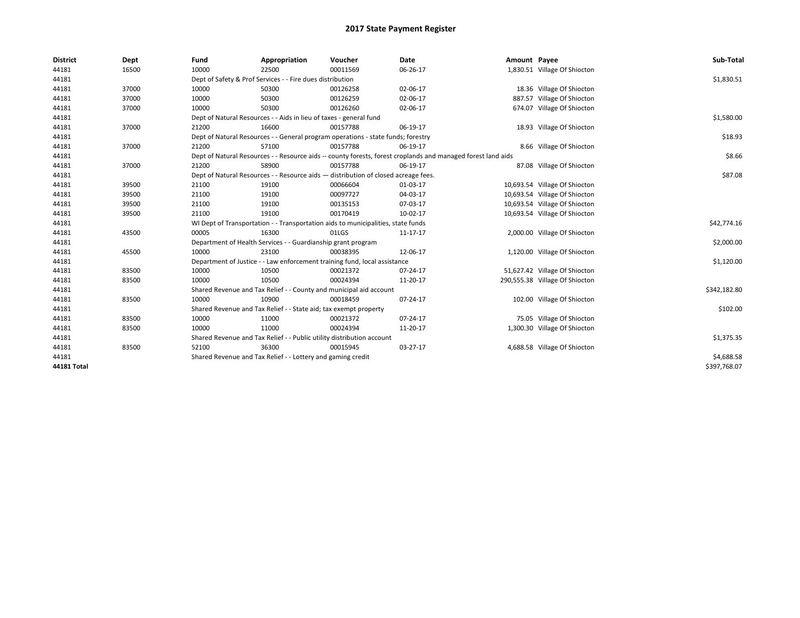| <b>District</b> | Dept  | Fund  | Appropriation                                                         | Voucher                                                                            | Date                                                                                                         | Amount Payee |                                | Sub-Total    |
|-----------------|-------|-------|-----------------------------------------------------------------------|------------------------------------------------------------------------------------|--------------------------------------------------------------------------------------------------------------|--------------|--------------------------------|--------------|
| 44181           | 16500 | 10000 | 22500                                                                 | 00011569                                                                           | 06-26-17                                                                                                     |              | 1,830.51 Village Of Shiocton   |              |
| 44181           |       |       | Dept of Safety & Prof Services - - Fire dues distribution             |                                                                                    |                                                                                                              |              |                                | \$1,830.51   |
| 44181           | 37000 | 10000 | 50300                                                                 | 00126258                                                                           | 02-06-17                                                                                                     |              | 18.36 Village Of Shiocton      |              |
| 44181           | 37000 | 10000 | 50300                                                                 | 00126259                                                                           | 02-06-17                                                                                                     |              | 887.57 Village Of Shiocton     |              |
| 44181           | 37000 | 10000 | 50300                                                                 | 00126260                                                                           | 02-06-17                                                                                                     |              | 674.07 Village Of Shiocton     |              |
| 44181           |       |       | Dept of Natural Resources - - Aids in lieu of taxes - general fund    |                                                                                    |                                                                                                              |              |                                | \$1,580.00   |
| 44181           | 37000 | 21200 | 16600                                                                 | 00157788                                                                           | 06-19-17                                                                                                     |              | 18.93 Village Of Shiocton      |              |
| 44181           |       |       |                                                                       | Dept of Natural Resources - - General program operations - state funds; forestry   |                                                                                                              |              |                                | \$18.93      |
| 44181           | 37000 | 21200 | 57100                                                                 | 00157788                                                                           | 06-19-17                                                                                                     |              | 8.66 Village Of Shiocton       |              |
| 44181           |       |       |                                                                       |                                                                                    | Dept of Natural Resources - - Resource aids -- county forests, forest croplands and managed forest land aids |              |                                | \$8.66       |
| 44181           | 37000 | 21200 | 58900                                                                 | 00157788                                                                           | 06-19-17                                                                                                     |              | 87.08 Village Of Shiocton      |              |
| 44181           |       |       |                                                                       | Dept of Natural Resources - - Resource aids - distribution of closed acreage fees. |                                                                                                              |              |                                | \$87.08      |
| 44181           | 39500 | 21100 | 19100                                                                 | 00066604                                                                           | 01-03-17                                                                                                     |              | 10,693.54 Village Of Shiocton  |              |
| 44181           | 39500 | 21100 | 19100                                                                 | 00097727                                                                           | 04-03-17                                                                                                     |              | 10,693.54 Village Of Shiocton  |              |
| 44181           | 39500 | 21100 | 19100                                                                 | 00135153                                                                           | 07-03-17                                                                                                     |              | 10,693.54 Village Of Shiocton  |              |
| 44181           | 39500 | 21100 | 19100                                                                 | 00170419                                                                           | 10-02-17                                                                                                     |              | 10,693.54 Village Of Shiocton  |              |
| 44181           |       |       |                                                                       | WI Dept of Transportation - - Transportation aids to municipalities, state funds   |                                                                                                              |              |                                | \$42,774.16  |
| 44181           | 43500 | 00005 | 16300                                                                 | 01LGS                                                                              | 11-17-17                                                                                                     |              | 2,000.00 Village Of Shiocton   |              |
| 44181           |       |       | Department of Health Services - - Guardianship grant program          |                                                                                    |                                                                                                              |              |                                | \$2,000.00   |
| 44181           | 45500 | 10000 | 23100                                                                 | 00038395                                                                           | 12-06-17                                                                                                     |              | 1,120.00 Village Of Shiocton   |              |
| 44181           |       |       |                                                                       | Department of Justice - - Law enforcement training fund, local assistance          |                                                                                                              |              |                                | \$1,120.00   |
| 44181           | 83500 | 10000 | 10500                                                                 | 00021372                                                                           | $07 - 24 - 17$                                                                                               |              | 51,627.42 Village Of Shiocton  |              |
| 44181           | 83500 | 10000 | 10500                                                                 | 00024394                                                                           | 11-20-17                                                                                                     |              | 290,555.38 Village Of Shiocton |              |
| 44181           |       |       |                                                                       | Shared Revenue and Tax Relief - - County and municipal aid account                 |                                                                                                              |              |                                | \$342,182.80 |
| 44181           | 83500 | 10000 | 10900                                                                 | 00018459                                                                           | 07-24-17                                                                                                     |              | 102.00 Village Of Shiocton     |              |
| 44181           |       |       | Shared Revenue and Tax Relief - - State aid; tax exempt property      |                                                                                    |                                                                                                              |              |                                | \$102.00     |
| 44181           | 83500 | 10000 | 11000                                                                 | 00021372                                                                           | 07-24-17                                                                                                     |              | 75.05 Village Of Shiocton      |              |
| 44181           | 83500 | 10000 | 11000                                                                 | 00024394                                                                           | 11-20-17                                                                                                     |              | 1,300.30 Village Of Shiocton   |              |
| 44181           |       |       | Shared Revenue and Tax Relief - - Public utility distribution account |                                                                                    |                                                                                                              |              |                                | \$1,375.35   |
| 44181           | 83500 | 52100 | 36300                                                                 | 00015945                                                                           | 03-27-17                                                                                                     |              | 4,688.58 Village Of Shiocton   |              |
| 44181           |       |       | Shared Revenue and Tax Relief - - Lottery and gaming credit           |                                                                                    |                                                                                                              |              |                                | \$4,688.58   |
| 44181 Total     |       |       |                                                                       |                                                                                    |                                                                                                              |              |                                | \$397,768.07 |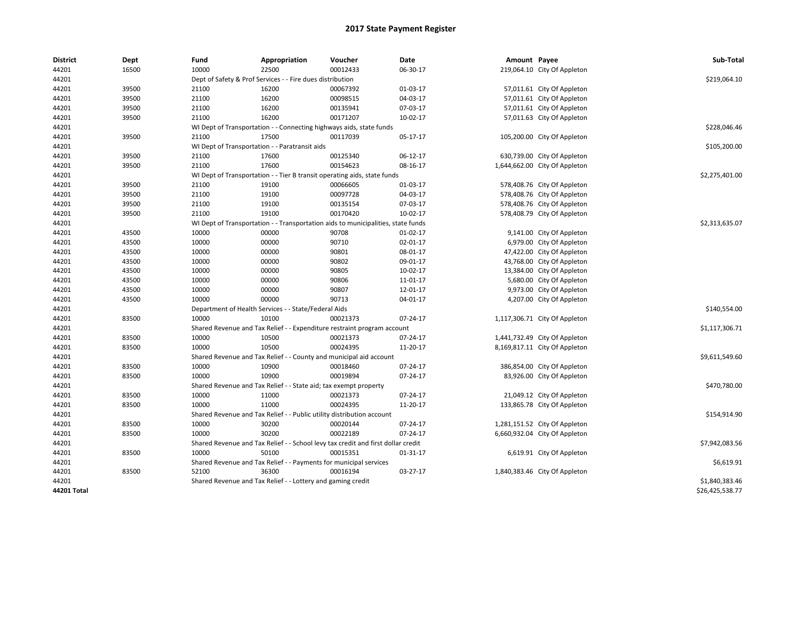| <b>District</b> | Dept  | Fund  | Appropriation                                                         | Voucher                                                                          | Date       | Amount Payee |                               | Sub-Total       |
|-----------------|-------|-------|-----------------------------------------------------------------------|----------------------------------------------------------------------------------|------------|--------------|-------------------------------|-----------------|
| 44201           | 16500 | 10000 | 22500                                                                 | 00012433                                                                         | 06-30-17   |              | 219,064.10 City Of Appleton   |                 |
| 44201           |       |       | Dept of Safety & Prof Services - - Fire dues distribution             |                                                                                  |            |              |                               | \$219,064.10    |
| 44201           | 39500 | 21100 | 16200                                                                 | 00067392                                                                         | 01-03-17   |              | 57,011.61 City Of Appleton    |                 |
| 44201           | 39500 | 21100 | 16200                                                                 | 00098515                                                                         | 04-03-17   |              | 57,011.61 City Of Appleton    |                 |
| 44201           | 39500 | 21100 | 16200                                                                 | 00135941                                                                         | 07-03-17   |              | 57,011.61 City Of Appleton    |                 |
| 44201           | 39500 | 21100 | 16200                                                                 | 00171207                                                                         | 10-02-17   |              | 57,011.63 City Of Appleton    |                 |
| 44201           |       |       | WI Dept of Transportation - - Connecting highways aids, state funds   |                                                                                  |            |              |                               | \$228,046.46    |
| 44201           | 39500 | 21100 | 17500                                                                 | 00117039                                                                         | 05-17-17   |              | 105,200.00 City Of Appleton   |                 |
| 44201           |       |       | WI Dept of Transportation - - Paratransit aids                        |                                                                                  |            |              |                               | \$105,200.00    |
| 44201           | 39500 | 21100 | 17600                                                                 | 00125340                                                                         | 06-12-17   |              | 630,739.00 City Of Appleton   |                 |
| 44201           | 39500 | 21100 | 17600                                                                 | 00154623                                                                         | 08-16-17   |              | 1,644,662.00 City Of Appleton |                 |
| 44201           |       |       |                                                                       | WI Dept of Transportation - - Tier B transit operating aids, state funds         |            |              |                               | \$2,275,401.00  |
| 44201           | 39500 | 21100 | 19100                                                                 | 00066605                                                                         | 01-03-17   |              | 578,408.76 City Of Appleton   |                 |
| 44201           | 39500 | 21100 | 19100                                                                 | 00097728                                                                         | 04-03-17   |              | 578,408.76 City Of Appleton   |                 |
| 44201           | 39500 | 21100 | 19100                                                                 | 00135154                                                                         | 07-03-17   |              | 578,408.76 City Of Appleton   |                 |
| 44201           | 39500 | 21100 | 19100                                                                 | 00170420                                                                         | 10-02-17   |              | 578,408.79 City Of Appleton   |                 |
| 44201           |       |       |                                                                       | WI Dept of Transportation - - Transportation aids to municipalities, state funds |            |              |                               | \$2,313,635.07  |
| 44201           | 43500 | 10000 | 00000                                                                 | 90708                                                                            | $01-02-17$ |              | 9,141.00 City Of Appleton     |                 |
| 44201           | 43500 | 10000 | 00000                                                                 | 90710                                                                            | 02-01-17   |              | 6,979.00 City Of Appleton     |                 |
| 44201           | 43500 | 10000 | 00000                                                                 | 90801                                                                            | 08-01-17   |              | 47,422.00 City Of Appleton    |                 |
| 44201           | 43500 | 10000 | 00000                                                                 | 90802                                                                            | 09-01-17   |              | 43,768.00 City Of Appleton    |                 |
| 44201           | 43500 | 10000 | 00000                                                                 | 90805                                                                            | 10-02-17   |              | 13,384.00 City Of Appleton    |                 |
| 44201           | 43500 | 10000 | 00000                                                                 | 90806                                                                            | 11-01-17   |              | 5,680.00 City Of Appleton     |                 |
| 44201           | 43500 | 10000 | 00000                                                                 | 90807                                                                            | 12-01-17   |              | 9,973.00 City Of Appleton     |                 |
| 44201           | 43500 | 10000 | 00000                                                                 | 90713                                                                            | 04-01-17   |              | 4,207.00 City Of Appleton     |                 |
| 44201           |       |       | Department of Health Services - - State/Federal Aids                  |                                                                                  |            |              |                               | \$140,554.00    |
| 44201           | 83500 | 10000 | 10100                                                                 | 00021373                                                                         | 07-24-17   |              | 1,117,306.71 City Of Appleton |                 |
| 44201           |       |       |                                                                       | Shared Revenue and Tax Relief - - Expenditure restraint program account          |            |              |                               | \$1,117,306.71  |
| 44201           | 83500 | 10000 | 10500                                                                 | 00021373                                                                         | 07-24-17   |              | 1,441,732.49 City Of Appleton |                 |
| 44201           | 83500 | 10000 | 10500                                                                 | 00024395                                                                         | 11-20-17   |              | 8,169,817.11 City Of Appleton |                 |
| 44201           |       |       | Shared Revenue and Tax Relief - - County and municipal aid account    |                                                                                  |            |              |                               | \$9,611,549.60  |
| 44201           | 83500 | 10000 | 10900                                                                 | 00018460                                                                         | 07-24-17   |              | 386,854.00 City Of Appleton   |                 |
| 44201           | 83500 | 10000 | 10900                                                                 | 00019894                                                                         | 07-24-17   |              | 83,926.00 City Of Appleton    |                 |
| 44201           |       |       | Shared Revenue and Tax Relief - - State aid; tax exempt property      |                                                                                  |            |              |                               | \$470,780.00    |
| 44201           | 83500 | 10000 | 11000                                                                 | 00021373                                                                         | 07-24-17   |              | 21,049.12 City Of Appleton    |                 |
| 44201           | 83500 | 10000 | 11000                                                                 | 00024395                                                                         | 11-20-17   |              | 133,865.78 City Of Appleton   |                 |
| 44201           |       |       | Shared Revenue and Tax Relief - - Public utility distribution account |                                                                                  |            |              |                               | \$154,914.90    |
| 44201           | 83500 | 10000 | 30200                                                                 | 00020144                                                                         | 07-24-17   |              | 1,281,151.52 City Of Appleton |                 |
| 44201           | 83500 | 10000 | 30200                                                                 | 00022189                                                                         | 07-24-17   |              | 6,660,932.04 City Of Appleton |                 |
| 44201           |       |       |                                                                       | Shared Revenue and Tax Relief - - School levy tax credit and first dollar credit |            |              |                               | \$7,942,083.56  |
| 44201           | 83500 | 10000 | 50100                                                                 | 00015351                                                                         | 01-31-17   |              | 6,619.91 City Of Appleton     |                 |
| 44201           |       |       | Shared Revenue and Tax Relief - - Payments for municipal services     |                                                                                  |            |              |                               | \$6,619.91      |
| 44201           | 83500 | 52100 | 36300                                                                 | 00016194                                                                         | 03-27-17   |              | 1,840,383.46 City Of Appleton |                 |
| 44201           |       |       | Shared Revenue and Tax Relief - - Lottery and gaming credit           |                                                                                  |            |              |                               | \$1,840,383.46  |
| 44201 Total     |       |       |                                                                       |                                                                                  |            |              |                               | \$26,425,538.77 |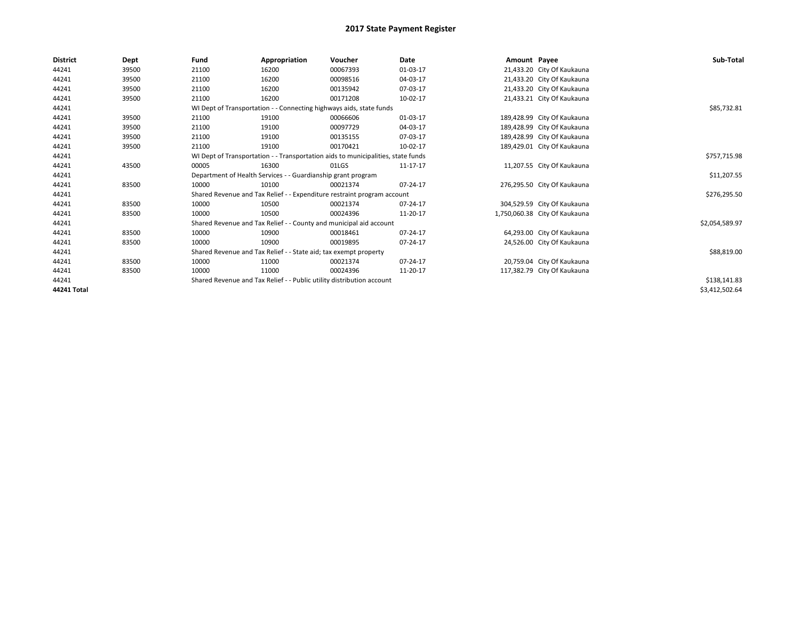| <b>District</b> | Dept  | Fund  | Appropriation                                                         | Voucher                                                                          | Date     | Amount Payee |                               | Sub-Total      |
|-----------------|-------|-------|-----------------------------------------------------------------------|----------------------------------------------------------------------------------|----------|--------------|-------------------------------|----------------|
| 44241           | 39500 | 21100 | 16200                                                                 | 00067393                                                                         | 01-03-17 |              | 21,433.20 City Of Kaukauna    |                |
| 44241           | 39500 | 21100 | 16200                                                                 | 00098516                                                                         | 04-03-17 |              | 21,433.20 City Of Kaukauna    |                |
| 44241           | 39500 | 21100 | 16200                                                                 | 00135942                                                                         | 07-03-17 |              | 21,433.20 City Of Kaukauna    |                |
| 44241           | 39500 | 21100 | 16200                                                                 | 00171208                                                                         | 10-02-17 |              | 21,433.21 City Of Kaukauna    |                |
| 44241           |       |       | WI Dept of Transportation - - Connecting highways aids, state funds   |                                                                                  |          |              |                               | \$85,732.81    |
| 44241           | 39500 | 21100 | 19100                                                                 | 00066606                                                                         | 01-03-17 |              | 189,428.99 City Of Kaukauna   |                |
| 44241           | 39500 | 21100 | 19100                                                                 | 00097729                                                                         | 04-03-17 |              | 189,428.99 City Of Kaukauna   |                |
| 44241           | 39500 | 21100 | 19100                                                                 | 00135155                                                                         | 07-03-17 |              | 189,428.99 City Of Kaukauna   |                |
| 44241           | 39500 | 21100 | 19100                                                                 | 00170421                                                                         | 10-02-17 |              | 189,429.01 City Of Kaukauna   |                |
| 44241           |       |       |                                                                       | WI Dept of Transportation - - Transportation aids to municipalities, state funds |          |              |                               | \$757,715.98   |
| 44241           | 43500 | 00005 | 16300                                                                 | 01LGS                                                                            | 11-17-17 |              | 11,207.55 City Of Kaukauna    |                |
| 44241           |       |       | Department of Health Services - - Guardianship grant program          |                                                                                  |          |              |                               | \$11,207.55    |
| 44241           | 83500 | 10000 | 10100                                                                 | 00021374                                                                         | 07-24-17 |              | 276,295.50 City Of Kaukauna   |                |
| 44241           |       |       |                                                                       | Shared Revenue and Tax Relief - - Expenditure restraint program account          |          |              |                               | \$276,295.50   |
| 44241           | 83500 | 10000 | 10500                                                                 | 00021374                                                                         | 07-24-17 |              | 304,529.59 City Of Kaukauna   |                |
| 44241           | 83500 | 10000 | 10500                                                                 | 00024396                                                                         | 11-20-17 |              | 1,750,060.38 City Of Kaukauna |                |
| 44241           |       |       |                                                                       | Shared Revenue and Tax Relief - - County and municipal aid account               |          |              |                               | \$2,054,589.97 |
| 44241           | 83500 | 10000 | 10900                                                                 | 00018461                                                                         | 07-24-17 |              | 64,293.00 City Of Kaukauna    |                |
| 44241           | 83500 | 10000 | 10900                                                                 | 00019895                                                                         | 07-24-17 |              | 24,526.00 City Of Kaukauna    |                |
| 44241           |       |       | Shared Revenue and Tax Relief - - State aid; tax exempt property      |                                                                                  |          |              |                               | \$88,819.00    |
| 44241           | 83500 | 10000 | 11000                                                                 | 00021374                                                                         | 07-24-17 |              | 20,759.04 City Of Kaukauna    |                |
| 44241           | 83500 | 10000 | 11000                                                                 | 00024396                                                                         | 11-20-17 |              | 117,382.79 City Of Kaukauna   |                |
| 44241           |       |       | Shared Revenue and Tax Relief - - Public utility distribution account |                                                                                  |          |              |                               | \$138,141.83   |
| 44241 Total     |       |       |                                                                       |                                                                                  |          |              |                               | \$3,412,502.64 |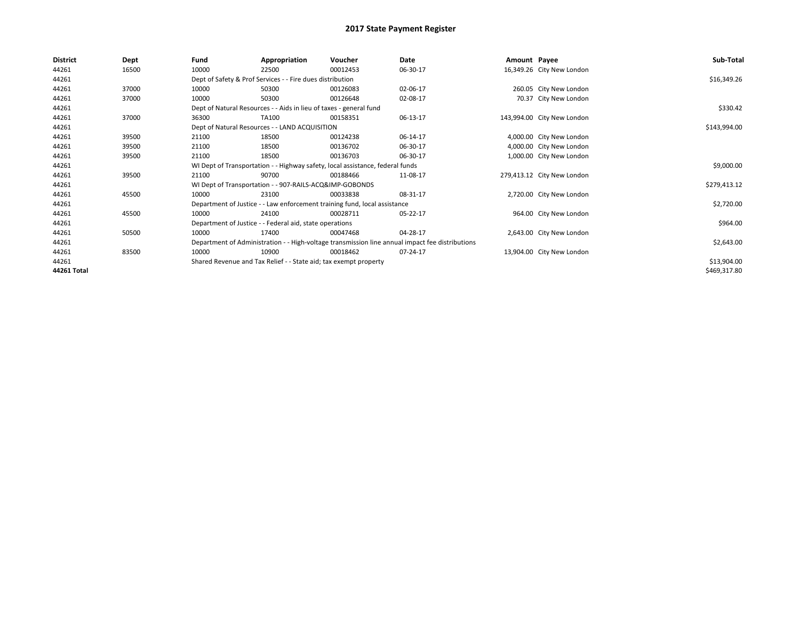| <b>District</b> | Dept  | Fund                                                                                            | Appropriation                                                                 | Voucher  | Date     | Amount Payee |                            | Sub-Total    |  |  |  |
|-----------------|-------|-------------------------------------------------------------------------------------------------|-------------------------------------------------------------------------------|----------|----------|--------------|----------------------------|--------------|--|--|--|
| 44261           | 16500 | 10000                                                                                           | 22500                                                                         | 00012453 | 06-30-17 |              | 16,349.26 City New London  |              |  |  |  |
| 44261           |       |                                                                                                 | Dept of Safety & Prof Services - - Fire dues distribution                     |          |          |              |                            |              |  |  |  |
| 44261           | 37000 | 10000                                                                                           | 50300                                                                         | 00126083 | 02-06-17 |              | 260.05 City New London     |              |  |  |  |
| 44261           | 37000 | 10000                                                                                           | 50300                                                                         | 00126648 | 02-08-17 |              | 70.37 City New London      |              |  |  |  |
| 44261           |       |                                                                                                 | Dept of Natural Resources - - Aids in lieu of taxes - general fund            |          |          |              |                            |              |  |  |  |
| 44261           | 37000 | 36300                                                                                           | TA100                                                                         | 00158351 | 06-13-17 |              | 143,994.00 City New London |              |  |  |  |
| 44261           |       |                                                                                                 | Dept of Natural Resources - - LAND ACQUISITION                                |          |          |              |                            |              |  |  |  |
| 44261           | 39500 | 21100                                                                                           | 18500                                                                         | 00124238 | 06-14-17 |              | 4,000.00 City New London   |              |  |  |  |
| 44261           | 39500 | 21100                                                                                           | 18500                                                                         | 00136702 | 06-30-17 |              | 4,000.00 City New London   |              |  |  |  |
| 44261           | 39500 | 21100                                                                                           | 18500                                                                         | 00136703 | 06-30-17 |              | 1,000.00 City New London   |              |  |  |  |
| 44261           |       |                                                                                                 | WI Dept of Transportation - - Highway safety, local assistance, federal funds |          |          |              |                            |              |  |  |  |
| 44261           | 39500 | 21100                                                                                           | 90700                                                                         | 00188466 | 11-08-17 |              | 279,413.12 City New London |              |  |  |  |
| 44261           |       | WI Dept of Transportation - - 907-RAILS-ACQ&IMP-GOBONDS                                         | \$279,413.12                                                                  |          |          |              |                            |              |  |  |  |
| 44261           | 45500 | 10000                                                                                           | 23100                                                                         | 00033838 | 08-31-17 |              | 2,720.00 City New London   |              |  |  |  |
| 44261           |       | Department of Justice - - Law enforcement training fund, local assistance                       | \$2,720.00                                                                    |          |          |              |                            |              |  |  |  |
| 44261           | 45500 | 10000                                                                                           | 24100                                                                         | 00028711 | 05-22-17 |              | 964.00 City New London     |              |  |  |  |
| 44261           |       | Department of Justice - - Federal aid, state operations                                         | \$964.00                                                                      |          |          |              |                            |              |  |  |  |
| 44261           | 50500 | 10000                                                                                           | 17400                                                                         | 00047468 | 04-28-17 |              | 2,643.00 City New London   |              |  |  |  |
| 44261           |       | Department of Administration - - High-voltage transmission line annual impact fee distributions | \$2,643.00                                                                    |          |          |              |                            |              |  |  |  |
| 44261           | 83500 | 10000                                                                                           | 10900                                                                         | 00018462 | 07-24-17 |              | 13,904.00 City New London  |              |  |  |  |
| 44261           |       | Shared Revenue and Tax Relief - - State aid; tax exempt property                                | \$13,904.00                                                                   |          |          |              |                            |              |  |  |  |
| 44261 Total     |       |                                                                                                 |                                                                               |          |          |              |                            | \$469,317.80 |  |  |  |
|                 |       |                                                                                                 |                                                                               |          |          |              |                            |              |  |  |  |